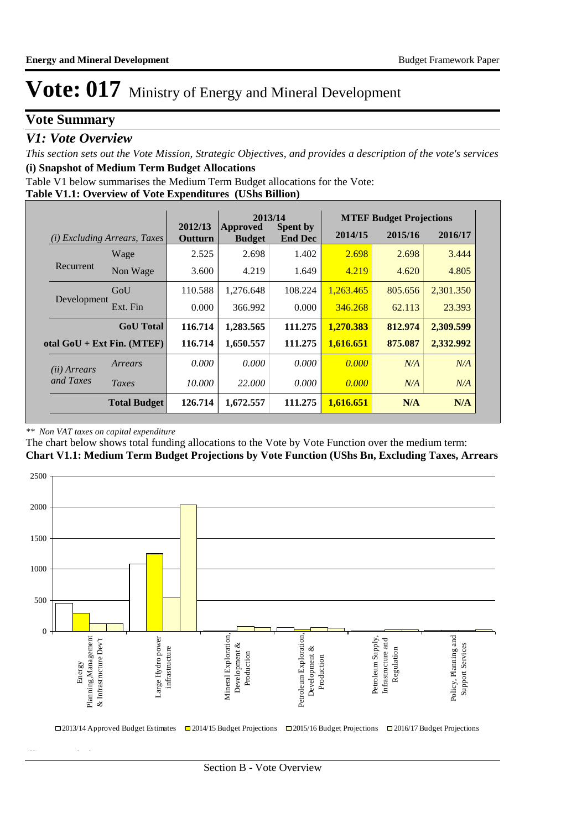### **Vote Summary**

### *V1: Vote Overview*

*This section sets out the Vote Mission, Strategic Objectives, and provides a description of the vote's services* **(i) Snapshot of Medium Term Budget Allocations** 

**Table V1.1: Overview of Vote Expenditures (UShs Billion)** Table V1 below summarises the Medium Term Budget allocations for the Vote:

|              |                                 |                    | 2013/14                          |                                   |           | <b>MTEF Budget Projections</b> |           |
|--------------|---------------------------------|--------------------|----------------------------------|-----------------------------------|-----------|--------------------------------|-----------|
| (i)          | <i>Excluding Arrears, Taxes</i> | 2012/13<br>Outturn | <b>Approved</b><br><b>Budget</b> | <b>Spent by</b><br><b>End Dec</b> | 2014/15   | 2015/16                        | 2016/17   |
|              | Wage                            | 2.525              | 2.698                            | 1.402                             | 2.698     | 2.698                          | 3.444     |
| Recurrent    | Non Wage                        | 3.600              | 4.219                            | 1.649                             | 4.219     | 4.620                          | 4.805     |
|              | GoU                             | 110.588            | 1,276.648                        | 108.224                           | 1,263.465 | 805.656                        | 2,301.350 |
| Development  | Ext. Fin                        | 0.000              | 366.992                          | 0.000                             | 346.268   | 62.113                         | 23.393    |
|              | <b>GoU</b> Total                | 116.714            | 1,283.565                        | 111.275                           | 1,270.383 | 812.974                        | 2,309.599 |
|              | otal $GoU + Ext Fin. (MTEF)$    | 116.714            | 1,650.557                        | 111.275                           | 1,616.651 | 875.087                        | 2,332.992 |
| (ii) Arrears | Arrears                         | 0.000              | 0.000                            | 0.000                             | 0.000     | N/A                            | N/A       |
| and Taxes    | Taxes                           | 10.000             | 22,000                           | 0.000                             | 0.000     | N/A                            | N/A       |
|              | <b>Total Budget</b>             | 126.714            | 1,672.557                        | 111.275                           | 1,616.651 | N/A                            | N/A       |

#### *\*\* Non VAT taxes on capital expenditure*

**(ii) Vote Mission Statement**

The chart below shows total funding allocations to the Vote by Vote Function over the medium term:

**Chart V1.1: Medium Term Budget Projections by Vote Function (UShs Bn, Excluding Taxes, Arrears**

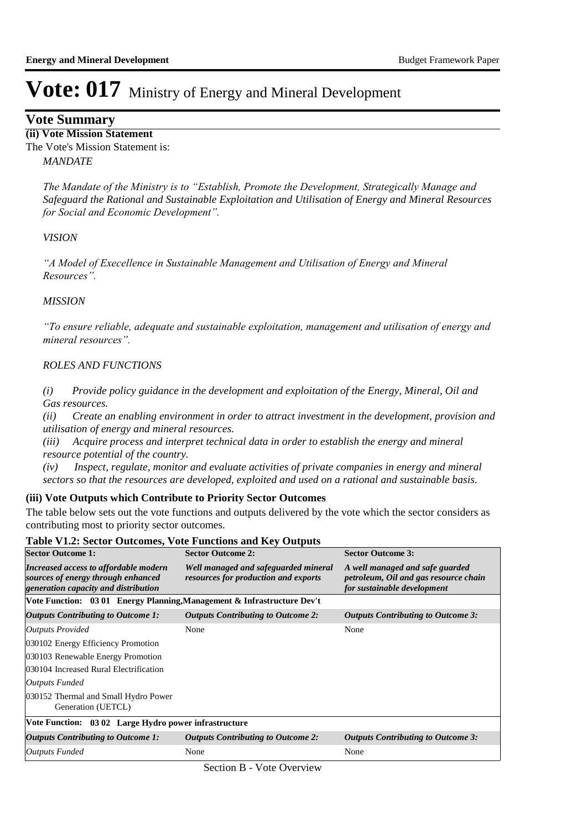#### **Vote Summary**

 *MANDATE* **(ii) Vote Mission Statement** The Vote's Mission Statement is:

> *The Mandate of the Ministry is to "Establish, Promote the Development, Strategically Manage and Safeguard the Rational and Sustainable Exploitation and Utilisation of Energy and Mineral Resources for Social and Economic Development".*

#### *VISION*

*"A Model of Execellence in Sustainable Management and Utilisation of Energy and Mineral Resources".*

#### *MISSION*

*"To ensure reliable, adequate and sustainable exploitation, management and utilisation of energy and mineral resources".* 

#### *ROLES AND FUNCTIONS*

*(i) Provide policy guidance in the development and exploitation of the Energy, Mineral, Oil and Gas resources.* 

*(ii) Create an enabling environment in order to attract investment in the development, provision and utilisation of energy and mineral resources.*

*(iii) Acquire process and interpret technical data in order to establish the energy and mineral resource potential of the country.* 

*(iv) Inspect, regulate, monitor and evaluate activities of private companies in energy and mineral sectors so that the resources are developed, exploited and used on a rational and sustainable basis.*

#### **(iii) Vote Outputs which Contribute to Priority Sector Outcomes**

The table below sets out the vote functions and outputs delivered by the vote which the sector considers as contributing most to priority sector outcomes.

#### **Table V1.2: Sector Outcomes, Vote Functions and Key Outputs**

| <b>Sector Outcome 1:</b>                                                                                            | <b>Sector Outcome 2:</b>                                                     | <b>Sector Outcome 3:</b>                                                                                |  |  |  |
|---------------------------------------------------------------------------------------------------------------------|------------------------------------------------------------------------------|---------------------------------------------------------------------------------------------------------|--|--|--|
| Increased access to affordable modern<br>sources of energy through enhanced<br>generation capacity and distribution | Well managed and safeguarded mineral<br>resources for production and exports | A well managed and safe guarded<br>petroleum, Oil and gas resource chain<br>for sustainable development |  |  |  |
| Vote Function: 03 01 Energy Planning, Management & Infrastructure Dev't                                             |                                                                              |                                                                                                         |  |  |  |
| <b>Outputs Contributing to Outcome 1:</b>                                                                           | <b>Outputs Contributing to Outcome 2:</b>                                    | <b>Outputs Contributing to Outcome 3:</b>                                                               |  |  |  |
| Outputs Provided                                                                                                    | None                                                                         | None                                                                                                    |  |  |  |
| 030102 Energy Efficiency Promotion                                                                                  |                                                                              |                                                                                                         |  |  |  |
| 030103 Renewable Energy Promotion                                                                                   |                                                                              |                                                                                                         |  |  |  |
| 030104 Increased Rural Electrification                                                                              |                                                                              |                                                                                                         |  |  |  |
| Outputs Funded                                                                                                      |                                                                              |                                                                                                         |  |  |  |
| 030152 Thermal and Small Hydro Power<br>Generation (UETCL)                                                          |                                                                              |                                                                                                         |  |  |  |
| Vote Function: 03 02 Large Hydro power infrastructure                                                               |                                                                              |                                                                                                         |  |  |  |
| Outputs Contributing to Outcome 1:                                                                                  | <b>Outputs Contributing to Outcome 2:</b>                                    | <b>Outputs Contributing to Outcome 3:</b>                                                               |  |  |  |
| <b>Outputs Funded</b>                                                                                               | None                                                                         | None                                                                                                    |  |  |  |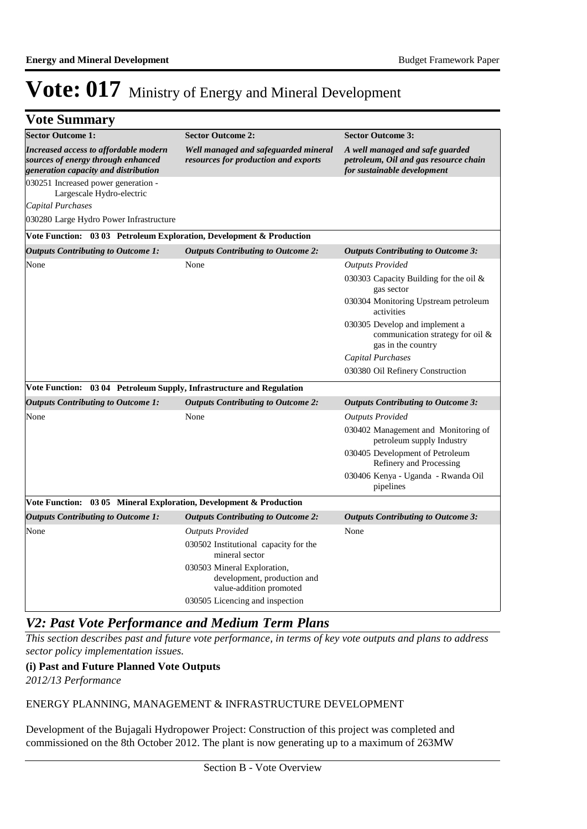### **Vote Summary**

| <b>Sector Outcome 1:</b>                                                                                            | <b>Sector Outcome 2:</b>                                                              | <b>Sector Outcome 3:</b>                                                                                |
|---------------------------------------------------------------------------------------------------------------------|---------------------------------------------------------------------------------------|---------------------------------------------------------------------------------------------------------|
| Increased access to affordable modern<br>sources of energy through enhanced<br>generation capacity and distribution | Well managed and safeguarded mineral<br>resources for production and exports          | A well managed and safe guarded<br>petroleum, Oil and gas resource chain<br>for sustainable development |
| 030251 Increased power generation -<br>Largescale Hydro-electric                                                    |                                                                                       |                                                                                                         |
| <b>Capital Purchases</b>                                                                                            |                                                                                       |                                                                                                         |
| 030280 Large Hydro Power Infrastructure                                                                             |                                                                                       |                                                                                                         |
| Vote Function: 03 03 Petroleum Exploration, Development & Production                                                |                                                                                       |                                                                                                         |
| <b>Outputs Contributing to Outcome 1:</b>                                                                           | <b>Outputs Contributing to Outcome 2:</b>                                             | <b>Outputs Contributing to Outcome 3:</b>                                                               |
| None                                                                                                                | None                                                                                  | <b>Outputs Provided</b>                                                                                 |
|                                                                                                                     |                                                                                       | 030303 Capacity Building for the oil $\&$<br>gas sector                                                 |
|                                                                                                                     |                                                                                       | 030304 Monitoring Upstream petroleum<br>activities                                                      |
|                                                                                                                     |                                                                                       | 030305 Develop and implement a<br>communication strategy for oil &<br>gas in the country                |
|                                                                                                                     |                                                                                       | Capital Purchases                                                                                       |
|                                                                                                                     |                                                                                       | 030380 Oil Refinery Construction                                                                        |
| Vote Function: 03 04 Petroleum Supply, Infrastructure and Regulation                                                |                                                                                       |                                                                                                         |
| <b>Outputs Contributing to Outcome 1:</b>                                                                           | <b>Outputs Contributing to Outcome 2:</b>                                             | <b>Outputs Contributing to Outcome 3:</b>                                                               |
| None                                                                                                                | None                                                                                  | <b>Outputs Provided</b>                                                                                 |
|                                                                                                                     |                                                                                       | 030402 Management and Monitoring of<br>petroleum supply Industry                                        |
|                                                                                                                     |                                                                                       | 030405 Development of Petroleum<br>Refinery and Processing                                              |
|                                                                                                                     |                                                                                       | 030406 Kenya - Uganda - Rwanda Oil<br>pipelines                                                         |
| Vote Function: 03 05 Mineral Exploration, Development & Production                                                  |                                                                                       |                                                                                                         |
| <b>Outputs Contributing to Outcome 1:</b>                                                                           | <b>Outputs Contributing to Outcome 2:</b>                                             | <b>Outputs Contributing to Outcome 3:</b>                                                               |
| None                                                                                                                | <b>Outputs Provided</b>                                                               | None                                                                                                    |
|                                                                                                                     | 030502 Institutional capacity for the<br>mineral sector                               |                                                                                                         |
|                                                                                                                     | 030503 Mineral Exploration,<br>development, production and<br>value-addition promoted |                                                                                                         |
|                                                                                                                     | 030505 Licencing and inspection                                                       |                                                                                                         |

#### *V2: Past Vote Performance and Medium Term Plans*

*This section describes past and future vote performance, in terms of key vote outputs and plans to address sector policy implementation issues.* 

#### **(i) Past and Future Planned Vote Outputs**

*2012/13 Performance*

#### ENERGY PLANNING, MANAGEMENT & INFRASTRUCTURE DEVELOPMENT

Development of the Bujagali Hydropower Project: Construction of this project was completed and commissioned on the 8th October 2012. The plant is now generating up to a maximum of 263MW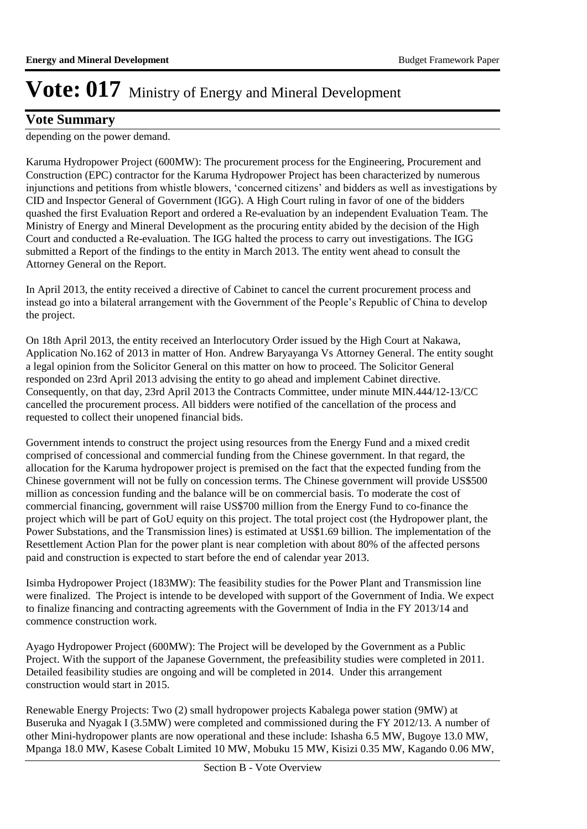### **Vote Summary**

depending on the power demand.

Karuma Hydropower Project (600MW): The procurement process for the Engineering, Procurement and Construction (EPC) contractor for the Karuma Hydropower Project has been characterized by numerous injunctions and petitions from whistle blowers, 'concerned citizens' and bidders as well as investigations by CID and Inspector General of Government (IGG). A High Court ruling in favor of one of the bidders quashed the first Evaluation Report and ordered a Re-evaluation by an independent Evaluation Team. The Ministry of Energy and Mineral Development as the procuring entity abided by the decision of the High Court and conducted a Re-evaluation. The IGG halted the process to carry out investigations. The IGG submitted a Report of the findings to the entity in March 2013. The entity went ahead to consult the Attorney General on the Report.

In April 2013, the entity received a directive of Cabinet to cancel the current procurement process and instead go into a bilateral arrangement with the Government of the People's Republic of China to develop the project.

On 18th April 2013, the entity received an Interlocutory Order issued by the High Court at Nakawa, Application No.162 of 2013 in matter of Hon. Andrew Baryayanga Vs Attorney General. The entity sought a legal opinion from the Solicitor General on this matter on how to proceed. The Solicitor General responded on 23rd April 2013 advising the entity to go ahead and implement Cabinet directive. Consequently, on that day, 23rd April 2013 the Contracts Committee, under minute MIN.444/12-13/CC cancelled the procurement process. All bidders were notified of the cancellation of the process and requested to collect their unopened financial bids.

Government intends to construct the project using resources from the Energy Fund and a mixed credit comprised of concessional and commercial funding from the Chinese government. In that regard, the allocation for the Karuma hydropower project is premised on the fact that the expected funding from the Chinese government will not be fully on concession terms. The Chinese government will provide US\$500 million as concession funding and the balance will be on commercial basis. To moderate the cost of commercial financing, government will raise US\$700 million from the Energy Fund to co-finance the project which will be part of GoU equity on this project. The total project cost (the Hydropower plant, the Power Substations, and the Transmission lines) is estimated at US\$1.69 billion. The implementation of the Resettlement Action Plan for the power plant is near completion with about 80% of the affected persons paid and construction is expected to start before the end of calendar year 2013.

Isimba Hydropower Project (183MW): The feasibility studies for the Power Plant and Transmission line were finalized. The Project is intende to be developed with support of the Government of India. We expect to finalize financing and contracting agreements with the Government of India in the FY 2013/14 and commence construction work.

Ayago Hydropower Project (600MW): The Project will be developed by the Government as a Public Project. With the support of the Japanese Government, the prefeasibility studies were completed in 2011. Detailed feasibility studies are ongoing and will be completed in 2014. Under this arrangement construction would start in 2015.

Renewable Energy Projects: Two (2) small hydropower projects Kabalega power station (9MW) at Buseruka and Nyagak I (3.5MW) were completed and commissioned during the FY 2012/13. A number of other Mini-hydropower plants are now operational and these include: Ishasha 6.5 MW, Bugoye 13.0 MW, Mpanga 18.0 MW, Kasese Cobalt Limited 10 MW, Mobuku 15 MW, Kisizi 0.35 MW, Kagando 0.06 MW,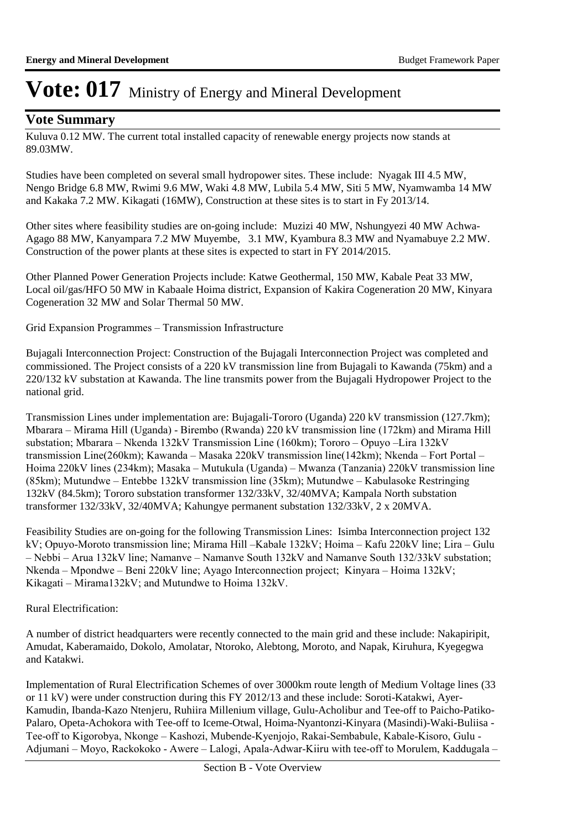### **Vote Summary**

Kuluva 0.12 MW. The current total installed capacity of renewable energy projects now stands at 89.03MW.

Studies have been completed on several small hydropower sites. These include: Nyagak III 4.5 MW, Nengo Bridge 6.8 MW, Rwimi 9.6 MW, Waki 4.8 MW, Lubila 5.4 MW, Siti 5 MW, Nyamwamba 14 MW and Kakaka 7.2 MW. Kikagati (16MW), Construction at these sites is to start in Fy 2013/14.

Other sites where feasibility studies are on-going include: Muzizi 40 MW, Nshungyezi 40 MW Achwa-Agago 88 MW, Kanyampara 7.2 MW Muyembe, 3.1 MW, Kyambura 8.3 MW and Nyamabuye 2.2 MW. Construction of the power plants at these sites is expected to start in FY 2014/2015.

Other Planned Power Generation Projects include: Katwe Geothermal, 150 MW, Kabale Peat 33 MW, Local oil/gas/HFO 50 MW in Kabaale Hoima district, Expansion of Kakira Cogeneration 20 MW, Kinyara Cogeneration 32 MW and Solar Thermal 50 MW.

Grid Expansion Programmes – Transmission Infrastructure

Bujagali Interconnection Project: Construction of the Bujagali Interconnection Project was completed and commissioned. The Project consists of a 220 kV transmission line from Bujagali to Kawanda (75km) and a 220/132 kV substation at Kawanda. The line transmits power from the Bujagali Hydropower Project to the national grid.

Transmission Lines under implementation are: Bujagali-Tororo (Uganda) 220 kV transmission (127.7km); Mbarara – Mirama Hill (Uganda) - Birembo (Rwanda) 220 kV transmission line (172km) and Mirama Hill substation; Mbarara – Nkenda 132kV Transmission Line (160km); Tororo – Opuyo –Lira 132kV transmission Line(260km); Kawanda – Masaka 220kV transmission line(142km); Nkenda – Fort Portal – Hoima 220kV lines (234km); Masaka – Mutukula (Uganda) – Mwanza (Tanzania) 220kV transmission line (85km); Mutundwe – Entebbe 132kV transmission line (35km); Mutundwe – Kabulasoke Restringing 132kV (84.5km); Tororo substation transformer 132/33kV, 32/40MVA; Kampala North substation transformer 132/33kV, 32/40MVA; Kahungye permanent substation 132/33kV, 2 x 20MVA.

Feasibility Studies are on-going for the following Transmission Lines: Isimba Interconnection project 132 kV; Opuyo-Moroto transmission line; Mirama Hill –Kabale 132kV; Hoima – Kafu 220kV line; Lira – Gulu – Nebbi – Arua 132kV line; Namanve – Namanve South 132kV and Namanve South 132/33kV substation; Nkenda – Mpondwe – Beni 220kV line; Ayago Interconnection project; Kinyara – Hoima 132kV; Kikagati – Mirama132kV; and Mutundwe to Hoima 132kV.

Rural Electrification:

A number of district headquarters were recently connected to the main grid and these include: Nakapiripit, Amudat, Kaberamaido, Dokolo, Amolatar, Ntoroko, Alebtong, Moroto, and Napak, Kiruhura, Kyegegwa and Katakwi.

Implementation of Rural Electrification Schemes of over 3000km route length of Medium Voltage lines (33 or 11 kV) were under construction during this FY 2012/13 and these include: Soroti-Katakwi, Ayer-Kamudin, Ibanda-Kazo Ntenjeru, Ruhiira Millenium village, Gulu-Acholibur and Tee-off to Paicho-Patiko-Palaro, Opeta-Achokora with Tee-off to Iceme-Otwal, Hoima-Nyantonzi-Kinyara (Masindi)-Waki-Buliisa - Tee-off to Kigorobya, Nkonge – Kashozi, Mubende-Kyenjojo, Rakai-Sembabule, Kabale-Kisoro, Gulu - Adjumani – Moyo, Rackokoko - Awere – Lalogi, Apala-Adwar-Kiiru with tee-off to Morulem, Kaddugala –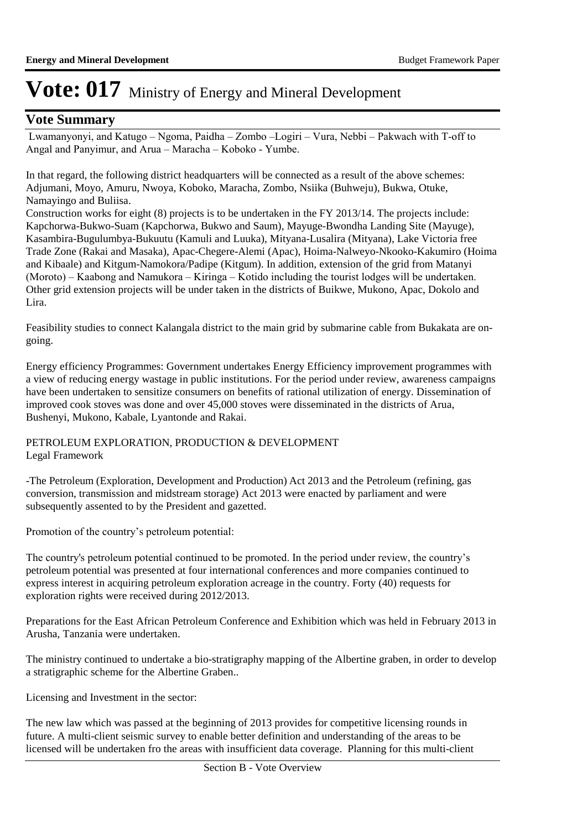### **Vote Summary**

 Lwamanyonyi, and Katugo – Ngoma, Paidha – Zombo –Logiri – Vura, Nebbi – Pakwach with T-off to Angal and Panyimur, and Arua – Maracha – Koboko - Yumbe.

In that regard, the following district headquarters will be connected as a result of the above schemes: Adjumani, Moyo, Amuru, Nwoya, Koboko, Maracha, Zombo, Nsiika (Buhweju), Bukwa, Otuke, Namayingo and Buliisa.

Construction works for eight (8) projects is to be undertaken in the FY 2013/14. The projects include: Kapchorwa-Bukwo-Suam (Kapchorwa, Bukwo and Saum), Mayuge-Bwondha Landing Site (Mayuge), Kasambira-Bugulumbya-Bukuutu (Kamuli and Luuka), Mityana-Lusalira (Mityana), Lake Victoria free Trade Zone (Rakai and Masaka), Apac-Chegere-Alemi (Apac), Hoima-Nalweyo-Nkooko-Kakumiro (Hoima and Kibaale) and Kitgum-Namokora/Padipe (Kitgum). In addition, extension of the grid from Matanyi (Moroto) – Kaabong and Namukora – Kiringa – Kotido including the tourist lodges will be undertaken. Other grid extension projects will be under taken in the districts of Buikwe, Mukono, Apac, Dokolo and Lira.

Feasibility studies to connect Kalangala district to the main grid by submarine cable from Bukakata are ongoing.

Energy efficiency Programmes: Government undertakes Energy Efficiency improvement programmes with a view of reducing energy wastage in public institutions. For the period under review, awareness campaigns have been undertaken to sensitize consumers on benefits of rational utilization of energy. Dissemination of improved cook stoves was done and over 45,000 stoves were disseminated in the districts of Arua, Bushenyi, Mukono, Kabale, Lyantonde and Rakai.

PETROLEUM EXPLORATION, PRODUCTION & DEVELOPMENT Legal Framework

-The Petroleum (Exploration, Development and Production) Act 2013 and the Petroleum (refining, gas conversion, transmission and midstream storage) Act 2013 were enacted by parliament and were subsequently assented to by the President and gazetted.

Promotion of the country's petroleum potential:

The country's petroleum potential continued to be promoted. In the period under review, the country's petroleum potential was presented at four international conferences and more companies continued to express interest in acquiring petroleum exploration acreage in the country. Forty (40) requests for exploration rights were received during 2012/2013.

Preparations for the East African Petroleum Conference and Exhibition which was held in February 2013 in Arusha, Tanzania were undertaken.

The ministry continued to undertake a bio-stratigraphy mapping of the Albertine graben, in order to develop a stratigraphic scheme for the Albertine Graben..

Licensing and Investment in the sector:

The new law which was passed at the beginning of 2013 provides for competitive licensing rounds in future. A multi-client seismic survey to enable better definition and understanding of the areas to be licensed will be undertaken fro the areas with insufficient data coverage. Planning for this multi-client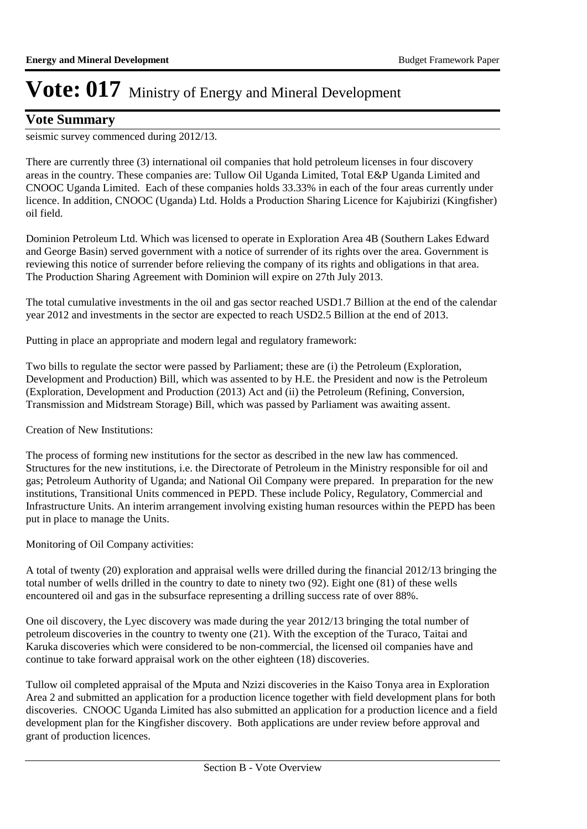### **Vote Summary**

seismic survey commenced during 2012/13.

There are currently three (3) international oil companies that hold petroleum licenses in four discovery areas in the country. These companies are: Tullow Oil Uganda Limited, Total E&P Uganda Limited and CNOOC Uganda Limited. Each of these companies holds 33.33% in each of the four areas currently under licence. In addition, CNOOC (Uganda) Ltd. Holds a Production Sharing Licence for Kajubirizi (Kingfisher) oil field.

Dominion Petroleum Ltd. Which was licensed to operate in Exploration Area 4B (Southern Lakes Edward and George Basin) served government with a notice of surrender of its rights over the area. Government is reviewing this notice of surrender before relieving the company of its rights and obligations in that area. The Production Sharing Agreement with Dominion will expire on 27th July 2013.

The total cumulative investments in the oil and gas sector reached USD1.7 Billion at the end of the calendar year 2012 and investments in the sector are expected to reach USD2.5 Billion at the end of 2013.

Putting in place an appropriate and modern legal and regulatory framework:

Two bills to regulate the sector were passed by Parliament; these are (i) the Petroleum (Exploration, Development and Production) Bill, which was assented to by H.E. the President and now is the Petroleum (Exploration, Development and Production (2013) Act and (ii) the Petroleum (Refining, Conversion, Transmission and Midstream Storage) Bill, which was passed by Parliament was awaiting assent.

Creation of New Institutions:

The process of forming new institutions for the sector as described in the new law has commenced. Structures for the new institutions, i.e. the Directorate of Petroleum in the Ministry responsible for oil and gas; Petroleum Authority of Uganda; and National Oil Company were prepared. In preparation for the new institutions, Transitional Units commenced in PEPD. These include Policy, Regulatory, Commercial and Infrastructure Units. An interim arrangement involving existing human resources within the PEPD has been put in place to manage the Units.

Monitoring of Oil Company activities:

A total of twenty (20) exploration and appraisal wells were drilled during the financial 2012/13 bringing the total number of wells drilled in the country to date to ninety two (92). Eight one (81) of these wells encountered oil and gas in the subsurface representing a drilling success rate of over 88%.

One oil discovery, the Lyec discovery was made during the year 2012/13 bringing the total number of petroleum discoveries in the country to twenty one (21). With the exception of the Turaco, Taitai and Karuka discoveries which were considered to be non-commercial, the licensed oil companies have and continue to take forward appraisal work on the other eighteen (18) discoveries.

Tullow oil completed appraisal of the Mputa and Nzizi discoveries in the Kaiso Tonya area in Exploration Area 2 and submitted an application for a production licence together with field development plans for both discoveries. CNOOC Uganda Limited has also submitted an application for a production licence and a field development plan for the Kingfisher discovery. Both applications are under review before approval and grant of production licences.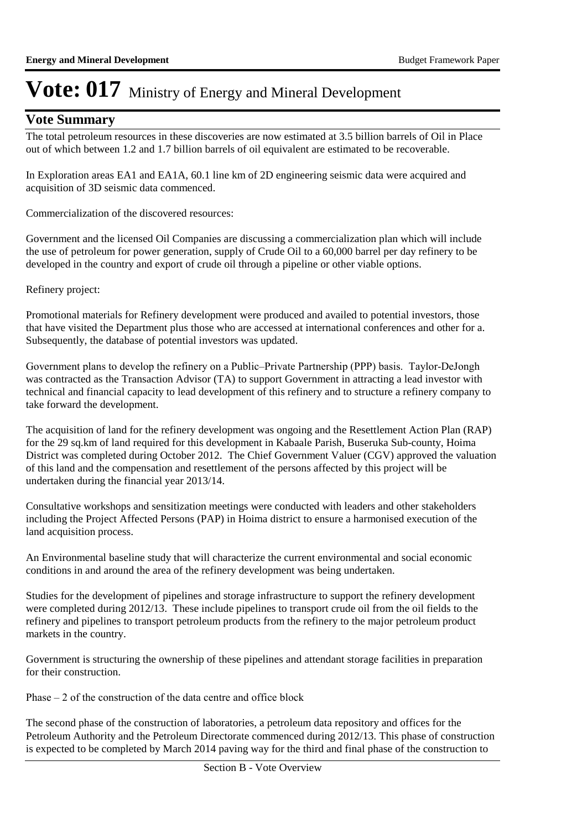### **Vote Summary**

The total petroleum resources in these discoveries are now estimated at 3.5 billion barrels of Oil in Place out of which between 1.2 and 1.7 billion barrels of oil equivalent are estimated to be recoverable.

In Exploration areas EA1 and EA1A, 60.1 line km of 2D engineering seismic data were acquired and acquisition of 3D seismic data commenced.

Commercialization of the discovered resources:

Government and the licensed Oil Companies are discussing a commercialization plan which will include the use of petroleum for power generation, supply of Crude Oil to a 60,000 barrel per day refinery to be developed in the country and export of crude oil through a pipeline or other viable options.

Refinery project:

Promotional materials for Refinery development were produced and availed to potential investors, those that have visited the Department plus those who are accessed at international conferences and other for a. Subsequently, the database of potential investors was updated.

Government plans to develop the refinery on a Public–Private Partnership (PPP) basis. Taylor-DeJongh was contracted as the Transaction Advisor (TA) to support Government in attracting a lead investor with technical and financial capacity to lead development of this refinery and to structure a refinery company to take forward the development.

The acquisition of land for the refinery development was ongoing and the Resettlement Action Plan (RAP) for the 29 sq.km of land required for this development in Kabaale Parish, Buseruka Sub-county, Hoima District was completed during October 2012. The Chief Government Valuer (CGV) approved the valuation of this land and the compensation and resettlement of the persons affected by this project will be undertaken during the financial year 2013/14.

Consultative workshops and sensitization meetings were conducted with leaders and other stakeholders including the Project Affected Persons (PAP) in Hoima district to ensure a harmonised execution of the land acquisition process.

An Environmental baseline study that will characterize the current environmental and social economic conditions in and around the area of the refinery development was being undertaken.

Studies for the development of pipelines and storage infrastructure to support the refinery development were completed during 2012/13. These include pipelines to transport crude oil from the oil fields to the refinery and pipelines to transport petroleum products from the refinery to the major petroleum product markets in the country.

Government is structuring the ownership of these pipelines and attendant storage facilities in preparation for their construction.

Phase – 2 of the construction of the data centre and office block

The second phase of the construction of laboratories, a petroleum data repository and offices for the Petroleum Authority and the Petroleum Directorate commenced during 2012/13. This phase of construction is expected to be completed by March 2014 paving way for the third and final phase of the construction to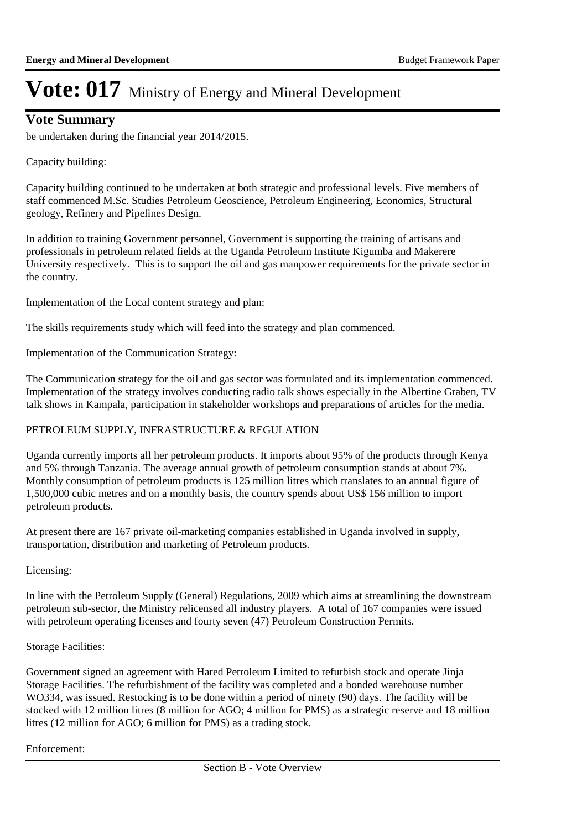### **Vote Summary**

be undertaken during the financial year 2014/2015.

#### Capacity building:

Capacity building continued to be undertaken at both strategic and professional levels. Five members of staff commenced M.Sc. Studies Petroleum Geoscience, Petroleum Engineering, Economics, Structural geology, Refinery and Pipelines Design.

In addition to training Government personnel, Government is supporting the training of artisans and professionals in petroleum related fields at the Uganda Petroleum Institute Kigumba and Makerere University respectively. This is to support the oil and gas manpower requirements for the private sector in the country.

Implementation of the Local content strategy and plan:

The skills requirements study which will feed into the strategy and plan commenced.

Implementation of the Communication Strategy:

The Communication strategy for the oil and gas sector was formulated and its implementation commenced. Implementation of the strategy involves conducting radio talk shows especially in the Albertine Graben, TV talk shows in Kampala, participation in stakeholder workshops and preparations of articles for the media.

#### PETROLEUM SUPPLY, INFRASTRUCTURE & REGULATION

Uganda currently imports all her petroleum products. It imports about 95% of the products through Kenya and 5% through Tanzania. The average annual growth of petroleum consumption stands at about 7%. Monthly consumption of petroleum products is 125 million litres which translates to an annual figure of 1,500,000 cubic metres and on a monthly basis, the country spends about US\$ 156 million to import petroleum products.

At present there are 167 private oil-marketing companies established in Uganda involved in supply, transportation, distribution and marketing of Petroleum products.

Licensing:

In line with the Petroleum Supply (General) Regulations, 2009 which aims at streamlining the downstream petroleum sub-sector, the Ministry relicensed all industry players. A total of 167 companies were issued with petroleum operating licenses and fourty seven (47) Petroleum Construction Permits.

#### Storage Facilities:

Government signed an agreement with Hared Petroleum Limited to refurbish stock and operate Jinja Storage Facilities. The refurbishment of the facility was completed and a bonded warehouse number WO334, was issued. Restocking is to be done within a period of ninety (90) days. The facility will be stocked with 12 million litres (8 million for AGO; 4 million for PMS) as a strategic reserve and 18 million litres (12 million for AGO; 6 million for PMS) as a trading stock.

#### Enforcement: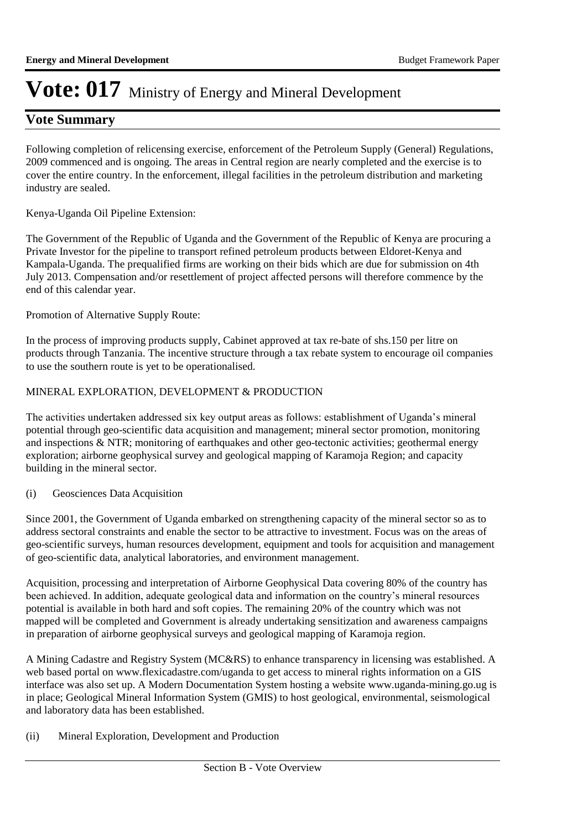### **Vote Summary**

Following completion of relicensing exercise, enforcement of the Petroleum Supply (General) Regulations, 2009 commenced and is ongoing. The areas in Central region are nearly completed and the exercise is to cover the entire country. In the enforcement, illegal facilities in the petroleum distribution and marketing industry are sealed.

#### Kenya-Uganda Oil Pipeline Extension:

The Government of the Republic of Uganda and the Government of the Republic of Kenya are procuring a Private Investor for the pipeline to transport refined petroleum products between Eldoret-Kenya and Kampala-Uganda. The prequalified firms are working on their bids which are due for submission on 4th July 2013. Compensation and/or resettlement of project affected persons will therefore commence by the end of this calendar year.

Promotion of Alternative Supply Route:

In the process of improving products supply, Cabinet approved at tax re-bate of shs.150 per litre on products through Tanzania. The incentive structure through a tax rebate system to encourage oil companies to use the southern route is yet to be operationalised.

#### MINERAL EXPLORATION, DEVELOPMENT & PRODUCTION

The activities undertaken addressed six key output areas as follows: establishment of Uganda's mineral potential through geo-scientific data acquisition and management; mineral sector promotion, monitoring and inspections & NTR; monitoring of earthquakes and other geo-tectonic activities; geothermal energy exploration; airborne geophysical survey and geological mapping of Karamoja Region; and capacity building in the mineral sector.

#### (i) Geosciences Data Acquisition

Since 2001, the Government of Uganda embarked on strengthening capacity of the mineral sector so as to address sectoral constraints and enable the sector to be attractive to investment. Focus was on the areas of geo-scientific surveys, human resources development, equipment and tools for acquisition and management of geo-scientific data, analytical laboratories, and environment management.

Acquisition, processing and interpretation of Airborne Geophysical Data covering 80% of the country has been achieved. In addition, adequate geological data and information on the country's mineral resources potential is available in both hard and soft copies. The remaining 20% of the country which was not mapped will be completed and Government is already undertaking sensitization and awareness campaigns in preparation of airborne geophysical surveys and geological mapping of Karamoja region.

A Mining Cadastre and Registry System (MC&RS) to enhance transparency in licensing was established. A web based portal on www.flexicadastre.com/uganda to get access to mineral rights information on a GIS interface was also set up. A Modern Documentation System hosting a website www.uganda-mining.go.ug is in place; Geological Mineral Information System (GMIS) to host geological, environmental, seismological and laboratory data has been established.

#### (ii) Mineral Exploration, Development and Production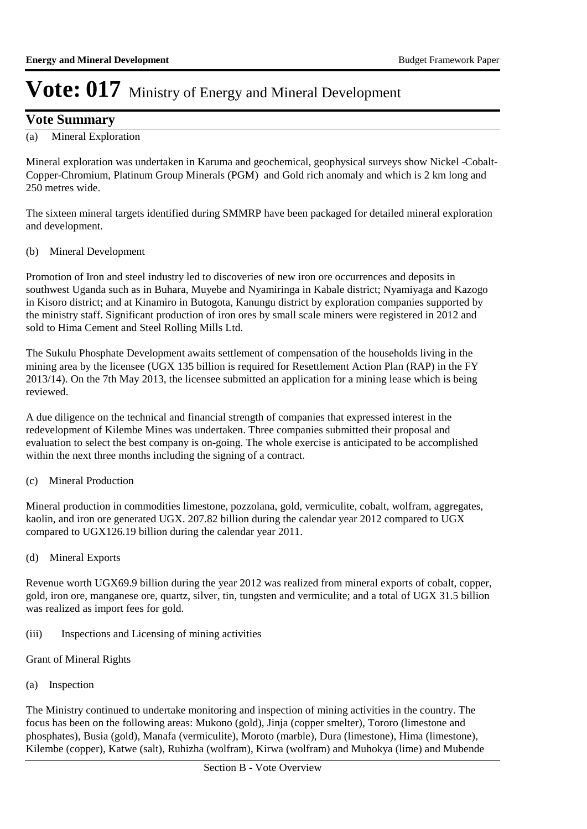### **Vote Summary**

### (a) Mineral Exploration

Mineral exploration was undertaken in Karuma and geochemical, geophysical surveys show Nickel -Cobalt-Copper-Chromium, Platinum Group Minerals (PGM) and Gold rich anomaly and which is 2 km long and 250 metres wide.

The sixteen mineral targets identified during SMMRP have been packaged for detailed mineral exploration and development.

#### (b) Mineral Development

Promotion of Iron and steel industry led to discoveries of new iron ore occurrences and deposits in southwest Uganda such as in Buhara, Muyebe and Nyamiringa in Kabale district; Nyamiyaga and Kazogo in Kisoro district; and at Kinamiro in Butogota, Kanungu district by exploration companies supported by the ministry staff. Significant production of iron ores by small scale miners were registered in 2012 and sold to Hima Cement and Steel Rolling Mills Ltd.

The Sukulu Phosphate Development awaits settlement of compensation of the households living in the mining area by the licensee (UGX 135 billion is required for Resettlement Action Plan (RAP) in the FY 2013/14). On the 7th May 2013, the licensee submitted an application for a mining lease which is being reviewed.

A due diligence on the technical and financial strength of companies that expressed interest in the redevelopment of Kilembe Mines was undertaken. Three companies submitted their proposal and evaluation to select the best company is on-going. The whole exercise is anticipated to be accomplished within the next three months including the signing of a contract.

#### (c) Mineral Production

Mineral production in commodities limestone, pozzolana, gold, vermiculite, cobalt, wolfram, aggregates, kaolin, and iron ore generated UGX. 207.82 billion during the calendar year 2012 compared to UGX compared to UGX126.19 billion during the calendar year 2011.

(d) Mineral Exports

Revenue worth UGX69.9 billion during the year 2012 was realized from mineral exports of cobalt, copper, gold, iron ore, manganese ore, quartz, silver, tin, tungsten and vermiculite; and a total of UGX 31.5 billion was realized as import fees for gold.

(iii) Inspections and Licensing of mining activities

#### Grant of Mineral Rights

(a) Inspection

The Ministry continued to undertake monitoring and inspection of mining activities in the country. The focus has been on the following areas: Mukono (gold), Jinja (copper smelter), Tororo (limestone and phosphates), Busia (gold), Manafa (vermiculite), Moroto (marble), Dura (limestone), Hima (limestone), Kilembe (copper), Katwe (salt), Ruhizha (wolfram), Kirwa (wolfram) and Muhokya (lime) and Mubende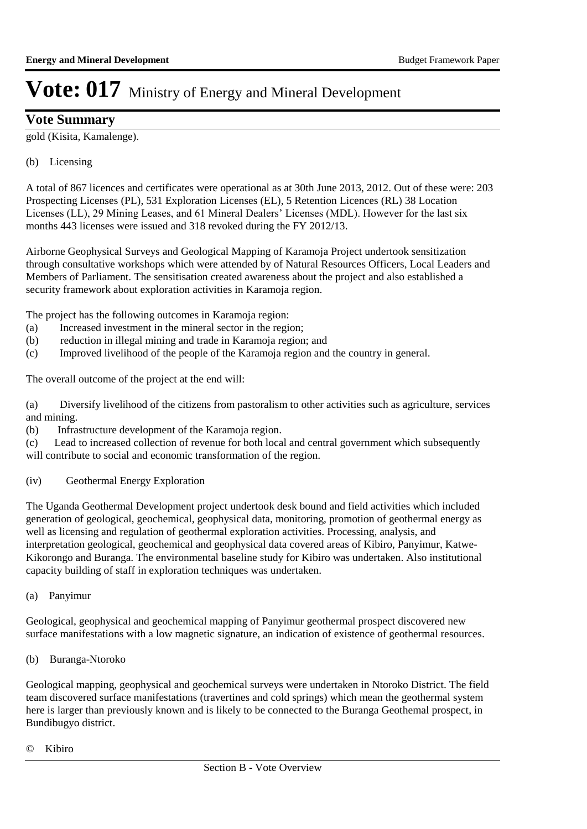### **Vote Summary**

gold (Kisita, Kamalenge).

#### (b) Licensing

A total of 867 licences and certificates were operational as at 30th June 2013, 2012. Out of these were: 203 Prospecting Licenses (PL), 531 Exploration Licenses (EL), 5 Retention Licences (RL) 38 Location Licenses (LL), 29 Mining Leases, and 61 Mineral Dealers' Licenses (MDL). However for the last six months 443 licenses were issued and 318 revoked during the FY 2012/13.

Airborne Geophysical Surveys and Geological Mapping of Karamoja Project undertook sensitization through consultative workshops which were attended by of Natural Resources Officers, Local Leaders and Members of Parliament. The sensitisation created awareness about the project and also established a security framework about exploration activities in Karamoja region.

The project has the following outcomes in Karamoja region:

- (a) Increased investment in the mineral sector in the region;
- (b) reduction in illegal mining and trade in Karamoja region; and
- (c) Improved livelihood of the people of the Karamoja region and the country in general.

The overall outcome of the project at the end will:

(a) Diversify livelihood of the citizens from pastoralism to other activities such as agriculture, services and mining.

(b) Infrastructure development of the Karamoja region.

(c) Lead to increased collection of revenue for both local and central government which subsequently will contribute to social and economic transformation of the region.

(iv) Geothermal Energy Exploration

The Uganda Geothermal Development project undertook desk bound and field activities which included generation of geological, geochemical, geophysical data, monitoring, promotion of geothermal energy as well as licensing and regulation of geothermal exploration activities. Processing, analysis, and interpretation geological, geochemical and geophysical data covered areas of Kibiro, Panyimur, Katwe-Kikorongo and Buranga. The environmental baseline study for Kibiro was undertaken. Also institutional capacity building of staff in exploration techniques was undertaken.

(a) Panyimur

Geological, geophysical and geochemical mapping of Panyimur geothermal prospect discovered new surface manifestations with a low magnetic signature, an indication of existence of geothermal resources.

(b) Buranga-Ntoroko

Geological mapping, geophysical and geochemical surveys were undertaken in Ntoroko District. The field team discovered surface manifestations (travertines and cold springs) which mean the geothermal system here is larger than previously known and is likely to be connected to the Buranga Geothemal prospect, in Bundibugyo district.

© Kibiro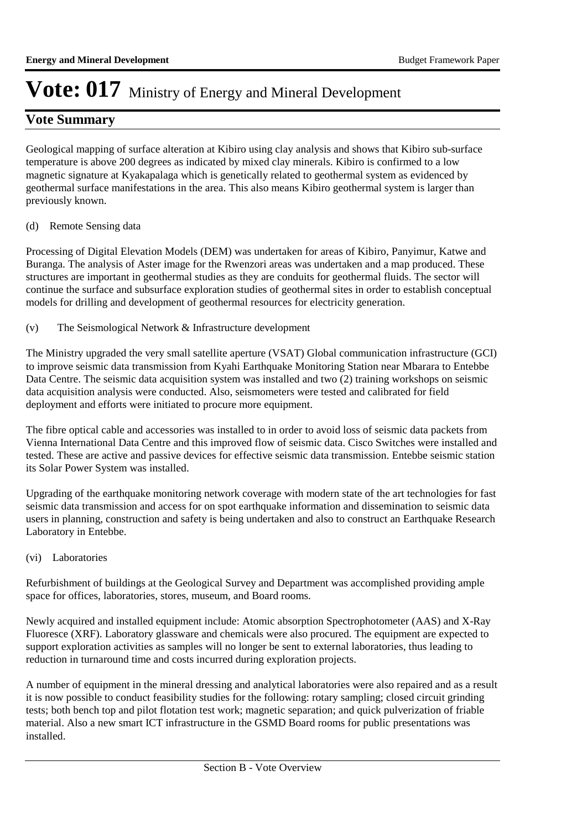### **Vote Summary**

Geological mapping of surface alteration at Kibiro using clay analysis and shows that Kibiro sub-surface temperature is above 200 degrees as indicated by mixed clay minerals. Kibiro is confirmed to a low magnetic signature at Kyakapalaga which is genetically related to geothermal system as evidenced by geothermal surface manifestations in the area. This also means Kibiro geothermal system is larger than previously known.

(d) Remote Sensing data

Processing of Digital Elevation Models (DEM) was undertaken for areas of Kibiro, Panyimur, Katwe and Buranga. The analysis of Aster image for the Rwenzori areas was undertaken and a map produced. These structures are important in geothermal studies as they are conduits for geothermal fluids. The sector will continue the surface and subsurface exploration studies of geothermal sites in order to establish conceptual models for drilling and development of geothermal resources for electricity generation.

(v) The Seismological Network & Infrastructure development

The Ministry upgraded the very small satellite aperture (VSAT) Global communication infrastructure (GCI) to improve seismic data transmission from Kyahi Earthquake Monitoring Station near Mbarara to Entebbe Data Centre. The seismic data acquisition system was installed and two (2) training workshops on seismic data acquisition analysis were conducted. Also, seismometers were tested and calibrated for field deployment and efforts were initiated to procure more equipment.

The fibre optical cable and accessories was installed to in order to avoid loss of seismic data packets from Vienna International Data Centre and this improved flow of seismic data. Cisco Switches were installed and tested. These are active and passive devices for effective seismic data transmission. Entebbe seismic station its Solar Power System was installed.

Upgrading of the earthquake monitoring network coverage with modern state of the art technologies for fast seismic data transmission and access for on spot earthquake information and dissemination to seismic data users in planning, construction and safety is being undertaken and also to construct an Earthquake Research Laboratory in Entebbe.

(vi) Laboratories

Refurbishment of buildings at the Geological Survey and Department was accomplished providing ample space for offices, laboratories, stores, museum, and Board rooms.

Newly acquired and installed equipment include: Atomic absorption Spectrophotometer (AAS) and X-Ray Fluoresce (XRF). Laboratory glassware and chemicals were also procured. The equipment are expected to support exploration activities as samples will no longer be sent to external laboratories, thus leading to reduction in turnaround time and costs incurred during exploration projects.

A number of equipment in the mineral dressing and analytical laboratories were also repaired and as a result it is now possible to conduct feasibility studies for the following: rotary sampling; closed circuit grinding tests; both bench top and pilot flotation test work; magnetic separation; and quick pulverization of friable material. Also a new smart ICT infrastructure in the GSMD Board rooms for public presentations was installed.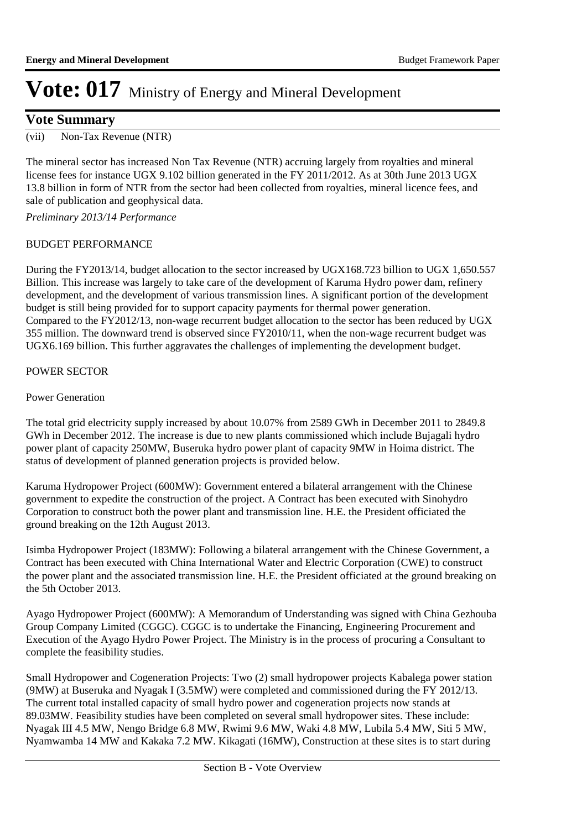### **Vote Summary**

(vii) Non-Tax Revenue (NTR)

The mineral sector has increased Non Tax Revenue (NTR) accruing largely from royalties and mineral license fees for instance UGX 9.102 billion generated in the FY 2011/2012. As at 30th June 2013 UGX 13.8 billion in form of NTR from the sector had been collected from royalties, mineral licence fees, and sale of publication and geophysical data.

*Preliminary 2013/14 Performance*

#### BUDGET PERFORMANCE

During the FY2013/14, budget allocation to the sector increased by UGX168.723 billion to UGX 1,650.557 Billion. This increase was largely to take care of the development of Karuma Hydro power dam, refinery development, and the development of various transmission lines. A significant portion of the development budget is still being provided for to support capacity payments for thermal power generation. Compared to the FY2012/13, non-wage recurrent budget allocation to the sector has been reduced by UGX 355 million. The downward trend is observed since FY2010/11, when the non-wage recurrent budget was UGX6.169 billion. This further aggravates the challenges of implementing the development budget.

#### POWER SECTOR

#### Power Generation

The total grid electricity supply increased by about 10.07% from 2589 GWh in December 2011 to 2849.8 GWh in December 2012. The increase is due to new plants commissioned which include Bujagali hydro power plant of capacity 250MW, Buseruka hydro power plant of capacity 9MW in Hoima district. The status of development of planned generation projects is provided below.

Karuma Hydropower Project (600MW): Government entered a bilateral arrangement with the Chinese government to expedite the construction of the project. A Contract has been executed with Sinohydro Corporation to construct both the power plant and transmission line. H.E. the President officiated the ground breaking on the 12th August 2013.

Isimba Hydropower Project (183MW): Following a bilateral arrangement with the Chinese Government, a Contract has been executed with China International Water and Electric Corporation (CWE) to construct the power plant and the associated transmission line. H.E. the President officiated at the ground breaking on the 5th October 2013.

Ayago Hydropower Project (600MW): A Memorandum of Understanding was signed with China Gezhouba Group Company Limited (CGGC). CGGC is to undertake the Financing, Engineering Procurement and Execution of the Ayago Hydro Power Project. The Ministry is in the process of procuring a Consultant to complete the feasibility studies.

Small Hydropower and Cogeneration Projects: Two (2) small hydropower projects Kabalega power station (9MW) at Buseruka and Nyagak I (3.5MW) were completed and commissioned during the FY 2012/13. The current total installed capacity of small hydro power and cogeneration projects now stands at 89.03MW. Feasibility studies have been completed on several small hydropower sites. These include: Nyagak III 4.5 MW, Nengo Bridge 6.8 MW, Rwimi 9.6 MW, Waki 4.8 MW, Lubila 5.4 MW, Siti 5 MW, Nyamwamba 14 MW and Kakaka 7.2 MW. Kikagati (16MW), Construction at these sites is to start during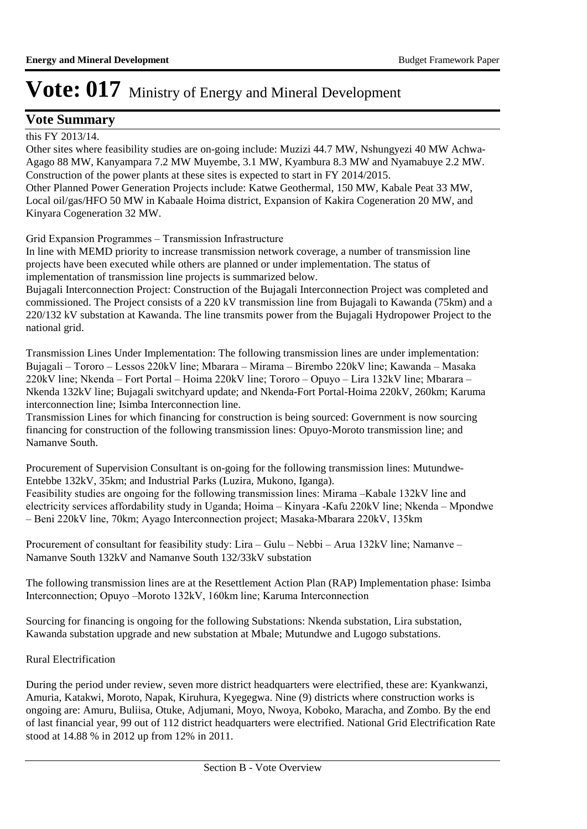### **Vote Summary**

this FY 2013/14.

Other sites where feasibility studies are on-going include: Muzizi 44.7 MW, Nshungyezi 40 MW Achwa-Agago 88 MW, Kanyampara 7.2 MW Muyembe, 3.1 MW, Kyambura 8.3 MW and Nyamabuye 2.2 MW. Construction of the power plants at these sites is expected to start in FY 2014/2015. Other Planned Power Generation Projects include: Katwe Geothermal, 150 MW, Kabale Peat 33 MW, Local oil/gas/HFO 50 MW in Kabaale Hoima district, Expansion of Kakira Cogeneration 20 MW, and Kinyara Cogeneration 32 MW.

Grid Expansion Programmes – Transmission Infrastructure

In line with MEMD priority to increase transmission network coverage, a number of transmission line projects have been executed while others are planned or under implementation. The status of implementation of transmission line projects is summarized below.

Bujagali Interconnection Project: Construction of the Bujagali Interconnection Project was completed and commissioned. The Project consists of a 220 kV transmission line from Bujagali to Kawanda (75km) and a 220/132 kV substation at Kawanda. The line transmits power from the Bujagali Hydropower Project to the national grid.

Transmission Lines Under Implementation: The following transmission lines are under implementation: Bujagali – Tororo – Lessos 220kV line; Mbarara – Mirama – Birembo 220kV line; Kawanda – Masaka 220kV line; Nkenda – Fort Portal – Hoima 220kV line; Tororo – Opuyo – Lira 132kV line; Mbarara – Nkenda 132kV line; Bujagali switchyard update; and Nkenda-Fort Portal-Hoima 220kV, 260km; Karuma interconnection line; Isimba Interconnection line.

Transmission Lines for which financing for construction is being sourced: Government is now sourcing financing for construction of the following transmission lines: Opuyo-Moroto transmission line; and Namanve South.

Procurement of Supervision Consultant is on-going for the following transmission lines: Mutundwe-Entebbe 132kV, 35km; and Industrial Parks (Luzira, Mukono, Iganga).

Feasibility studies are ongoing for the following transmission lines: Mirama –Kabale 132kV line and electricity services affordability study in Uganda; Hoima – Kinyara -Kafu 220kV line; Nkenda – Mpondwe – Beni 220kV line, 70km; Ayago Interconnection project; Masaka-Mbarara 220kV, 135km

Procurement of consultant for feasibility study: Lira – Gulu – Nebbi – Arua 132kV line; Namanve – Namanve South 132kV and Namanve South 132/33kV substation

The following transmission lines are at the Resettlement Action Plan (RAP) Implementation phase: Isimba Interconnection; Opuyo –Moroto 132kV, 160km line; Karuma Interconnection

Sourcing for financing is ongoing for the following Substations: Nkenda substation, Lira substation, Kawanda substation upgrade and new substation at Mbale; Mutundwe and Lugogo substations.

#### Rural Electrification

During the period under review, seven more district headquarters were electrified, these are: Kyankwanzi, Amuria, Katakwi, Moroto, Napak, Kiruhura, Kyegegwa. Nine (9) districts where construction works is ongoing are: Amuru, Buliisa, Otuke, Adjumani, Moyo, Nwoya, Koboko, Maracha, and Zombo. By the end of last financial year, 99 out of 112 district headquarters were electrified. National Grid Electrification Rate stood at 14.88 % in 2012 up from 12% in 2011.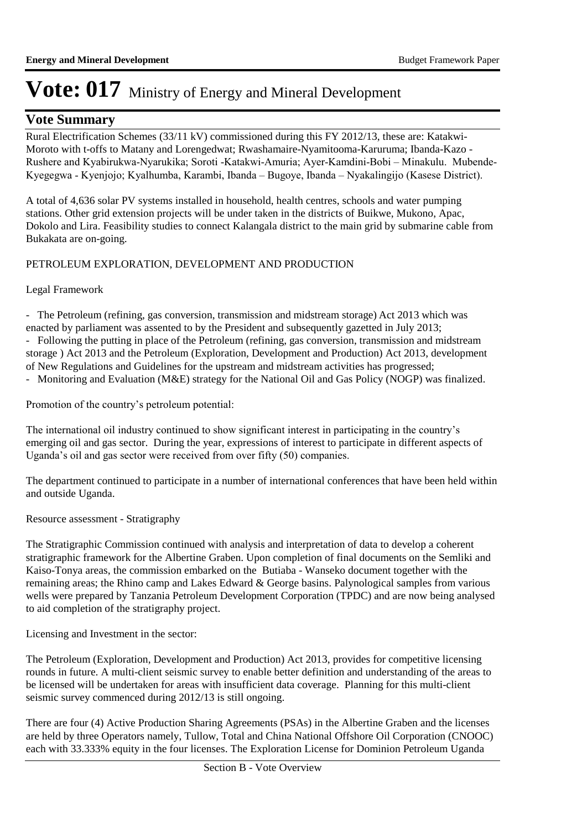### **Vote Summary**

Rural Electrification Schemes (33/11 kV) commissioned during this FY 2012/13, these are: Katakwi-Moroto with t-offs to Matany and Lorengedwat; Rwashamaire-Nyamitooma-Karuruma; Ibanda-Kazo - Rushere and Kyabirukwa-Nyarukika; Soroti -Katakwi-Amuria; Ayer-Kamdini-Bobi – Minakulu. Mubende-Kyegegwa - Kyenjojo; Kyalhumba, Karambi, Ibanda – Bugoye, Ibanda – Nyakalingijo (Kasese District).

A total of 4,636 solar PV systems installed in household, health centres, schools and water pumping stations. Other grid extension projects will be under taken in the districts of Buikwe, Mukono, Apac, Dokolo and Lira. Feasibility studies to connect Kalangala district to the main grid by submarine cable from Bukakata are on-going.

#### PETROLEUM EXPLORATION, DEVELOPMENT AND PRODUCTION

#### Legal Framework

- The Petroleum (refining, gas conversion, transmission and midstream storage) Act 2013 which was enacted by parliament was assented to by the President and subsequently gazetted in July 2013; - Following the putting in place of the Petroleum (refining, gas conversion, transmission and midstream storage ) Act 2013 and the Petroleum (Exploration, Development and Production) Act 2013, development of New Regulations and Guidelines for the upstream and midstream activities has progressed;

- Monitoring and Evaluation (M&E) strategy for the National Oil and Gas Policy (NOGP) was finalized.

Promotion of the country's petroleum potential:

The international oil industry continued to show significant interest in participating in the country's emerging oil and gas sector. During the year, expressions of interest to participate in different aspects of Uganda's oil and gas sector were received from over fifty (50) companies.

The department continued to participate in a number of international conferences that have been held within and outside Uganda.

Resource assessment - Stratigraphy

The Stratigraphic Commission continued with analysis and interpretation of data to develop a coherent stratigraphic framework for the Albertine Graben. Upon completion of final documents on the Semliki and Kaiso-Tonya areas, the commission embarked on the Butiaba - Wanseko document together with the remaining areas; the Rhino camp and Lakes Edward & George basins. Palynological samples from various wells were prepared by Tanzania Petroleum Development Corporation (TPDC) and are now being analysed to aid completion of the stratigraphy project.

Licensing and Investment in the sector:

The Petroleum (Exploration, Development and Production) Act 2013, provides for competitive licensing rounds in future. A multi-client seismic survey to enable better definition and understanding of the areas to be licensed will be undertaken for areas with insufficient data coverage. Planning for this multi-client seismic survey commenced during 2012/13 is still ongoing.

There are four (4) Active Production Sharing Agreements (PSAs) in the Albertine Graben and the licenses are held by three Operators namely, Tullow, Total and China National Offshore Oil Corporation (CNOOC) each with 33.333% equity in the four licenses. The Exploration License for Dominion Petroleum Uganda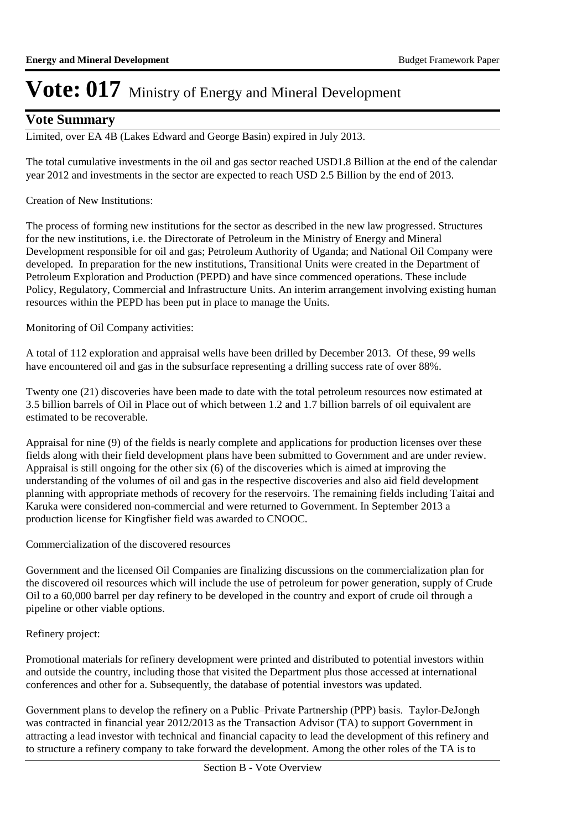### **Vote Summary**

Limited, over EA 4B (Lakes Edward and George Basin) expired in July 2013.

The total cumulative investments in the oil and gas sector reached USD1.8 Billion at the end of the calendar year 2012 and investments in the sector are expected to reach USD 2.5 Billion by the end of 2013.

Creation of New Institutions:

The process of forming new institutions for the sector as described in the new law progressed. Structures for the new institutions, i.e. the Directorate of Petroleum in the Ministry of Energy and Mineral Development responsible for oil and gas; Petroleum Authority of Uganda; and National Oil Company were developed. In preparation for the new institutions, Transitional Units were created in the Department of Petroleum Exploration and Production (PEPD) and have since commenced operations. These include Policy, Regulatory, Commercial and Infrastructure Units. An interim arrangement involving existing human resources within the PEPD has been put in place to manage the Units.

Monitoring of Oil Company activities:

A total of 112 exploration and appraisal wells have been drilled by December 2013. Of these, 99 wells have encountered oil and gas in the subsurface representing a drilling success rate of over 88%.

Twenty one (21) discoveries have been made to date with the total petroleum resources now estimated at 3.5 billion barrels of Oil in Place out of which between 1.2 and 1.7 billion barrels of oil equivalent are estimated to be recoverable.

Appraisal for nine (9) of the fields is nearly complete and applications for production licenses over these fields along with their field development plans have been submitted to Government and are under review. Appraisal is still ongoing for the other six (6) of the discoveries which is aimed at improving the understanding of the volumes of oil and gas in the respective discoveries and also aid field development planning with appropriate methods of recovery for the reservoirs. The remaining fields including Taitai and Karuka were considered non-commercial and were returned to Government. In September 2013 a production license for Kingfisher field was awarded to CNOOC.

Commercialization of the discovered resources

Government and the licensed Oil Companies are finalizing discussions on the commercialization plan for the discovered oil resources which will include the use of petroleum for power generation, supply of Crude Oil to a 60,000 barrel per day refinery to be developed in the country and export of crude oil through a pipeline or other viable options.

#### Refinery project:

Promotional materials for refinery development were printed and distributed to potential investors within and outside the country, including those that visited the Department plus those accessed at international conferences and other for a. Subsequently, the database of potential investors was updated.

Government plans to develop the refinery on a Public–Private Partnership (PPP) basis. Taylor-DeJongh was contracted in financial year 2012/2013 as the Transaction Advisor (TA) to support Government in attracting a lead investor with technical and financial capacity to lead the development of this refinery and to structure a refinery company to take forward the development. Among the other roles of the TA is to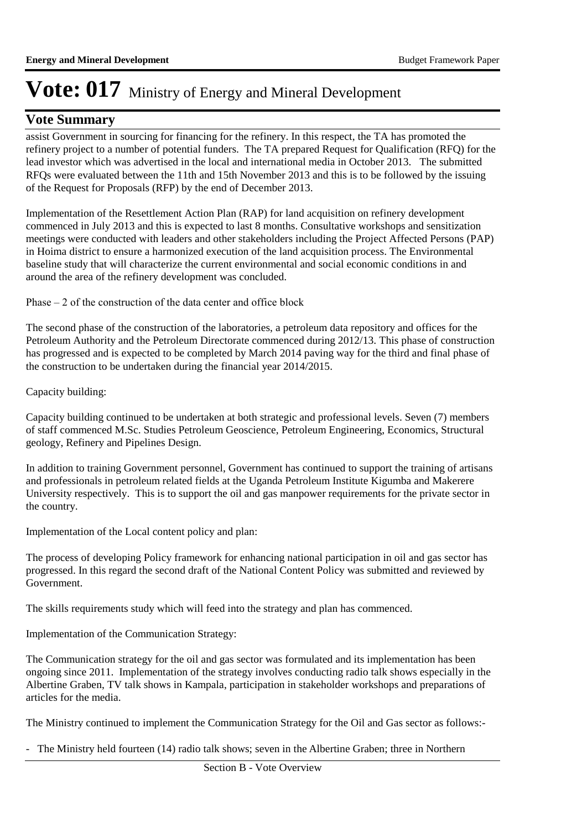### **Vote Summary**

assist Government in sourcing for financing for the refinery. In this respect, the TA has promoted the refinery project to a number of potential funders. The TA prepared Request for Qualification (RFQ) for the lead investor which was advertised in the local and international media in October 2013. The submitted RFQs were evaluated between the 11th and 15th November 2013 and this is to be followed by the issuing of the Request for Proposals (RFP) by the end of December 2013.

Implementation of the Resettlement Action Plan (RAP) for land acquisition on refinery development commenced in July 2013 and this is expected to last 8 months. Consultative workshops and sensitization meetings were conducted with leaders and other stakeholders including the Project Affected Persons (PAP) in Hoima district to ensure a harmonized execution of the land acquisition process. The Environmental baseline study that will characterize the current environmental and social economic conditions in and around the area of the refinery development was concluded.

Phase – 2 of the construction of the data center and office block

The second phase of the construction of the laboratories, a petroleum data repository and offices for the Petroleum Authority and the Petroleum Directorate commenced during 2012/13. This phase of construction has progressed and is expected to be completed by March 2014 paving way for the third and final phase of the construction to be undertaken during the financial year 2014/2015.

Capacity building:

Capacity building continued to be undertaken at both strategic and professional levels. Seven (7) members of staff commenced M.Sc. Studies Petroleum Geoscience, Petroleum Engineering, Economics, Structural geology, Refinery and Pipelines Design.

In addition to training Government personnel, Government has continued to support the training of artisans and professionals in petroleum related fields at the Uganda Petroleum Institute Kigumba and Makerere University respectively. This is to support the oil and gas manpower requirements for the private sector in the country.

Implementation of the Local content policy and plan:

The process of developing Policy framework for enhancing national participation in oil and gas sector has progressed. In this regard the second draft of the National Content Policy was submitted and reviewed by Government.

The skills requirements study which will feed into the strategy and plan has commenced.

Implementation of the Communication Strategy:

The Communication strategy for the oil and gas sector was formulated and its implementation has been ongoing since 2011. Implementation of the strategy involves conducting radio talk shows especially in the Albertine Graben, TV talk shows in Kampala, participation in stakeholder workshops and preparations of articles for the media.

The Ministry continued to implement the Communication Strategy for the Oil and Gas sector as follows:-

- The Ministry held fourteen (14) radio talk shows; seven in the Albertine Graben; three in Northern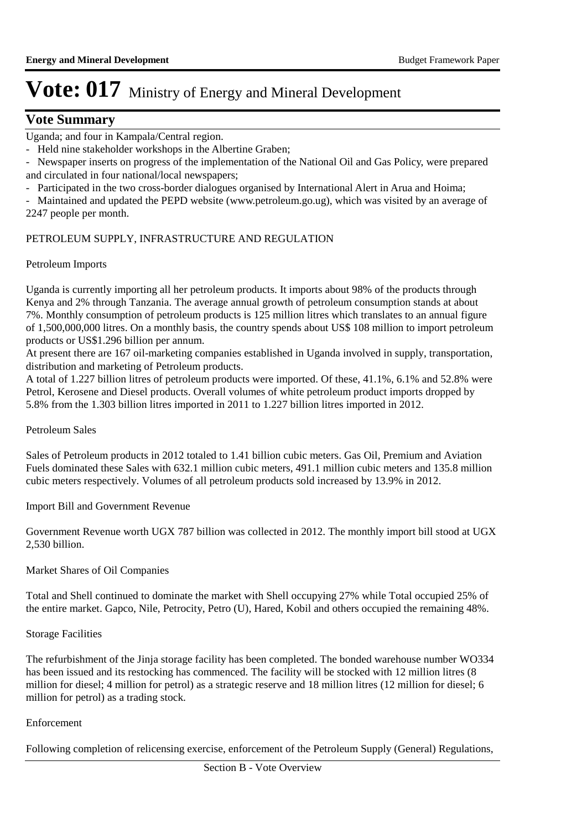### **Vote Summary**

Uganda; and four in Kampala/Central region.

- Held nine stakeholder workshops in the Albertine Graben;

- Newspaper inserts on progress of the implementation of the National Oil and Gas Policy, were prepared and circulated in four national/local newspapers;

- Participated in the two cross-border dialogues organised by International Alert in Arua and Hoima;

- Maintained and updated the PEPD website (www.petroleum.go.ug), which was visited by an average of 2247 people per month.

#### PETROLEUM SUPPLY, INFRASTRUCTURE AND REGULATION

#### Petroleum Imports

Uganda is currently importing all her petroleum products. It imports about 98% of the products through Kenya and 2% through Tanzania. The average annual growth of petroleum consumption stands at about 7%. Monthly consumption of petroleum products is 125 million litres which translates to an annual figure of 1,500,000,000 litres. On a monthly basis, the country spends about US\$ 108 million to import petroleum products or US\$1.296 billion per annum.

At present there are 167 oil-marketing companies established in Uganda involved in supply, transportation, distribution and marketing of Petroleum products.

A total of 1.227 billion litres of petroleum products were imported. Of these, 41.1%, 6.1% and 52.8% were Petrol, Kerosene and Diesel products. Overall volumes of white petroleum product imports dropped by 5.8% from the 1.303 billion litres imported in 2011 to 1.227 billion litres imported in 2012.

#### Petroleum Sales

Sales of Petroleum products in 2012 totaled to 1.41 billion cubic meters. Gas Oil, Premium and Aviation Fuels dominated these Sales with 632.1 million cubic meters, 491.1 million cubic meters and 135.8 million cubic meters respectively. Volumes of all petroleum products sold increased by 13.9% in 2012.

Import Bill and Government Revenue

Government Revenue worth UGX 787 billion was collected in 2012. The monthly import bill stood at UGX 2,530 billion.

#### Market Shares of Oil Companies

Total and Shell continued to dominate the market with Shell occupying 27% while Total occupied 25% of the entire market. Gapco, Nile, Petrocity, Petro (U), Hared, Kobil and others occupied the remaining 48%.

#### Storage Facilities

The refurbishment of the Jinja storage facility has been completed. The bonded warehouse number WO334 has been issued and its restocking has commenced. The facility will be stocked with 12 million litres (8) million for diesel; 4 million for petrol) as a strategic reserve and 18 million litres (12 million for diesel; 6 million for petrol) as a trading stock.

#### Enforcement

Following completion of relicensing exercise, enforcement of the Petroleum Supply (General) Regulations,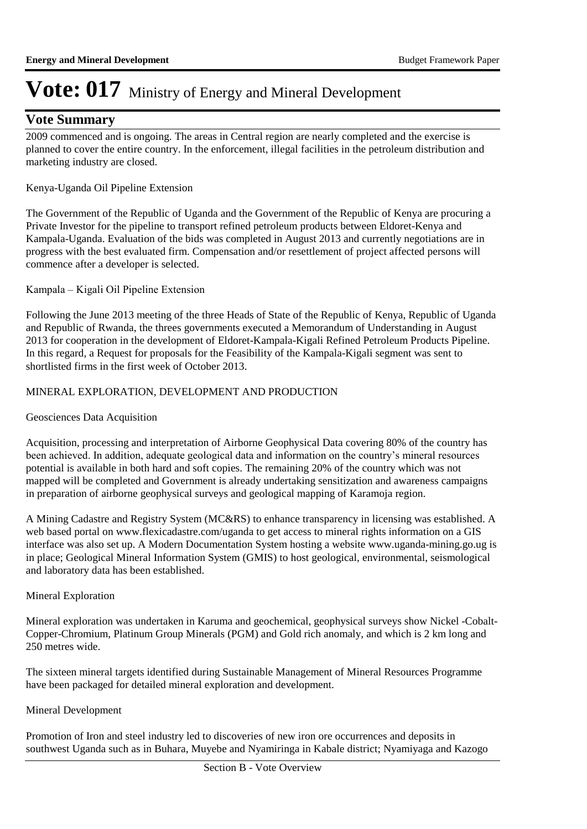### **Vote Summary**

2009 commenced and is ongoing. The areas in Central region are nearly completed and the exercise is planned to cover the entire country. In the enforcement, illegal facilities in the petroleum distribution and marketing industry are closed.

#### Kenya-Uganda Oil Pipeline Extension

The Government of the Republic of Uganda and the Government of the Republic of Kenya are procuring a Private Investor for the pipeline to transport refined petroleum products between Eldoret-Kenya and Kampala-Uganda. Evaluation of the bids was completed in August 2013 and currently negotiations are in progress with the best evaluated firm. Compensation and/or resettlement of project affected persons will commence after a developer is selected.

#### Kampala – Kigali Oil Pipeline Extension

Following the June 2013 meeting of the three Heads of State of the Republic of Kenya, Republic of Uganda and Republic of Rwanda, the threes governments executed a Memorandum of Understanding in August 2013 for cooperation in the development of Eldoret-Kampala-Kigali Refined Petroleum Products Pipeline. In this regard, a Request for proposals for the Feasibility of the Kampala-Kigali segment was sent to shortlisted firms in the first week of October 2013.

#### MINERAL EXPLORATION, DEVELOPMENT AND PRODUCTION

#### Geosciences Data Acquisition

Acquisition, processing and interpretation of Airborne Geophysical Data covering 80% of the country has been achieved. In addition, adequate geological data and information on the country's mineral resources potential is available in both hard and soft copies. The remaining 20% of the country which was not mapped will be completed and Government is already undertaking sensitization and awareness campaigns in preparation of airborne geophysical surveys and geological mapping of Karamoja region.

A Mining Cadastre and Registry System (MC&RS) to enhance transparency in licensing was established. A web based portal on www.flexicadastre.com/uganda to get access to mineral rights information on a GIS interface was also set up. A Modern Documentation System hosting a website www.uganda-mining.go.ug is in place; Geological Mineral Information System (GMIS) to host geological, environmental, seismological and laboratory data has been established.

#### Mineral Exploration

Mineral exploration was undertaken in Karuma and geochemical, geophysical surveys show Nickel -Cobalt-Copper-Chromium, Platinum Group Minerals (PGM) and Gold rich anomaly, and which is 2 km long and 250 metres wide.

The sixteen mineral targets identified during Sustainable Management of Mineral Resources Programme have been packaged for detailed mineral exploration and development.

#### Mineral Development

Promotion of Iron and steel industry led to discoveries of new iron ore occurrences and deposits in southwest Uganda such as in Buhara, Muyebe and Nyamiringa in Kabale district; Nyamiyaga and Kazogo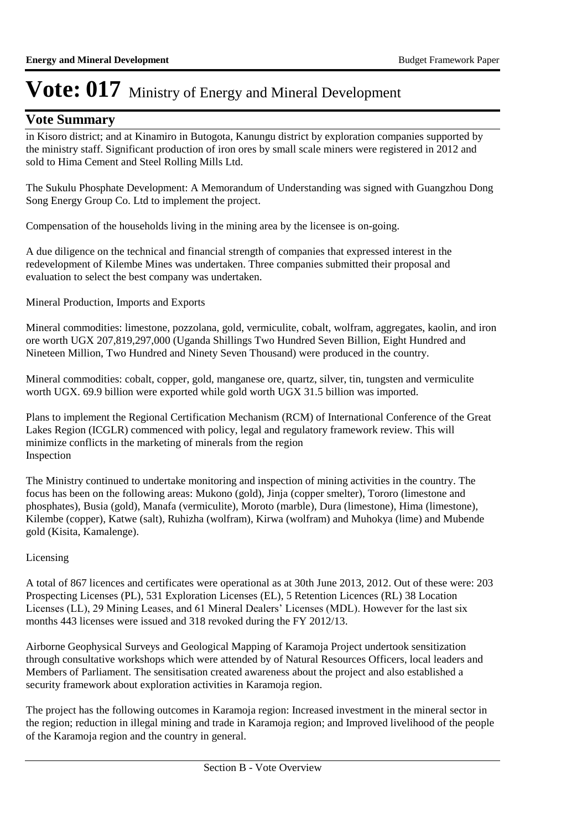### **Vote Summary**

in Kisoro district; and at Kinamiro in Butogota, Kanungu district by exploration companies supported by the ministry staff. Significant production of iron ores by small scale miners were registered in 2012 and sold to Hima Cement and Steel Rolling Mills Ltd.

The Sukulu Phosphate Development: A Memorandum of Understanding was signed with Guangzhou Dong Song Energy Group Co. Ltd to implement the project.

Compensation of the households living in the mining area by the licensee is on-going.

A due diligence on the technical and financial strength of companies that expressed interest in the redevelopment of Kilembe Mines was undertaken. Three companies submitted their proposal and evaluation to select the best company was undertaken.

Mineral Production, Imports and Exports

Mineral commodities: limestone, pozzolana, gold, vermiculite, cobalt, wolfram, aggregates, kaolin, and iron ore worth UGX 207,819,297,000 (Uganda Shillings Two Hundred Seven Billion, Eight Hundred and Nineteen Million, Two Hundred and Ninety Seven Thousand) were produced in the country.

Mineral commodities: cobalt, copper, gold, manganese ore, quartz, silver, tin, tungsten and vermiculite worth UGX. 69.9 billion were exported while gold worth UGX 31.5 billion was imported.

Plans to implement the Regional Certification Mechanism (RCM) of International Conference of the Great Lakes Region (ICGLR) commenced with policy, legal and regulatory framework review. This will minimize conflicts in the marketing of minerals from the region Inspection

The Ministry continued to undertake monitoring and inspection of mining activities in the country. The focus has been on the following areas: Mukono (gold), Jinja (copper smelter), Tororo (limestone and phosphates), Busia (gold), Manafa (vermiculite), Moroto (marble), Dura (limestone), Hima (limestone), Kilembe (copper), Katwe (salt), Ruhizha (wolfram), Kirwa (wolfram) and Muhokya (lime) and Mubende gold (Kisita, Kamalenge).

#### Licensing

A total of 867 licences and certificates were operational as at 30th June 2013, 2012. Out of these were: 203 Prospecting Licenses (PL), 531 Exploration Licenses (EL), 5 Retention Licences (RL) 38 Location Licenses (LL), 29 Mining Leases, and 61 Mineral Dealers' Licenses (MDL). However for the last six months 443 licenses were issued and 318 revoked during the FY 2012/13.

Airborne Geophysical Surveys and Geological Mapping of Karamoja Project undertook sensitization through consultative workshops which were attended by of Natural Resources Officers, local leaders and Members of Parliament. The sensitisation created awareness about the project and also established a security framework about exploration activities in Karamoja region.

The project has the following outcomes in Karamoja region: Increased investment in the mineral sector in the region; reduction in illegal mining and trade in Karamoja region; and Improved livelihood of the people of the Karamoja region and the country in general.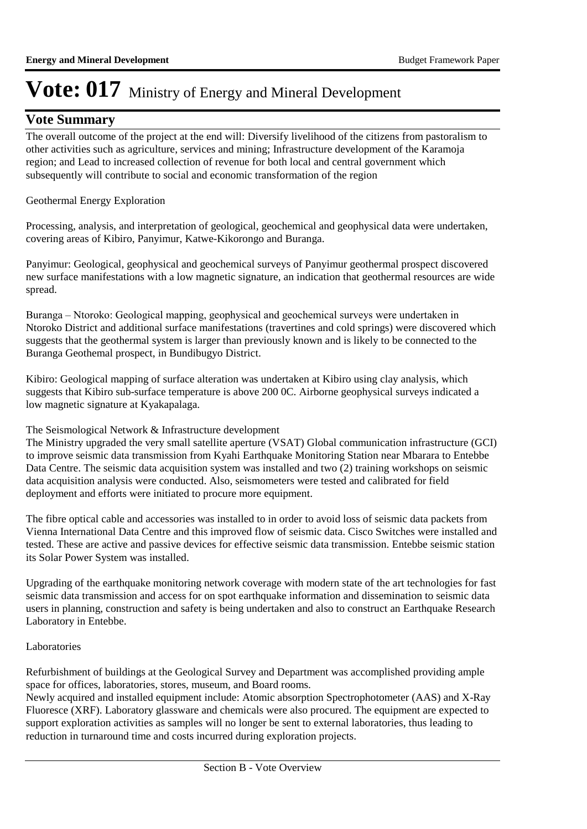### **Vote Summary**

The overall outcome of the project at the end will: Diversify livelihood of the citizens from pastoralism to other activities such as agriculture, services and mining; Infrastructure development of the Karamoja region; and Lead to increased collection of revenue for both local and central government which subsequently will contribute to social and economic transformation of the region

#### Geothermal Energy Exploration

Processing, analysis, and interpretation of geological, geochemical and geophysical data were undertaken, covering areas of Kibiro, Panyimur, Katwe-Kikorongo and Buranga.

Panyimur: Geological, geophysical and geochemical surveys of Panyimur geothermal prospect discovered new surface manifestations with a low magnetic signature, an indication that geothermal resources are wide spread.

Buranga – Ntoroko: Geological mapping, geophysical and geochemical surveys were undertaken in Ntoroko District and additional surface manifestations (travertines and cold springs) were discovered which suggests that the geothermal system is larger than previously known and is likely to be connected to the Buranga Geothemal prospect, in Bundibugyo District.

Kibiro: Geological mapping of surface alteration was undertaken at Kibiro using clay analysis, which suggests that Kibiro sub-surface temperature is above 200 0C. Airborne geophysical surveys indicated a low magnetic signature at Kyakapalaga.

#### The Seismological Network & Infrastructure development

The Ministry upgraded the very small satellite aperture (VSAT) Global communication infrastructure (GCI) to improve seismic data transmission from Kyahi Earthquake Monitoring Station near Mbarara to Entebbe Data Centre. The seismic data acquisition system was installed and two (2) training workshops on seismic data acquisition analysis were conducted. Also, seismometers were tested and calibrated for field deployment and efforts were initiated to procure more equipment.

The fibre optical cable and accessories was installed to in order to avoid loss of seismic data packets from Vienna International Data Centre and this improved flow of seismic data. Cisco Switches were installed and tested. These are active and passive devices for effective seismic data transmission. Entebbe seismic station its Solar Power System was installed.

Upgrading of the earthquake monitoring network coverage with modern state of the art technologies for fast seismic data transmission and access for on spot earthquake information and dissemination to seismic data users in planning, construction and safety is being undertaken and also to construct an Earthquake Research Laboratory in Entebbe.

#### Laboratories

Refurbishment of buildings at the Geological Survey and Department was accomplished providing ample space for offices, laboratories, stores, museum, and Board rooms.

Newly acquired and installed equipment include: Atomic absorption Spectrophotometer (AAS) and X-Ray Fluoresce (XRF). Laboratory glassware and chemicals were also procured. The equipment are expected to support exploration activities as samples will no longer be sent to external laboratories, thus leading to reduction in turnaround time and costs incurred during exploration projects.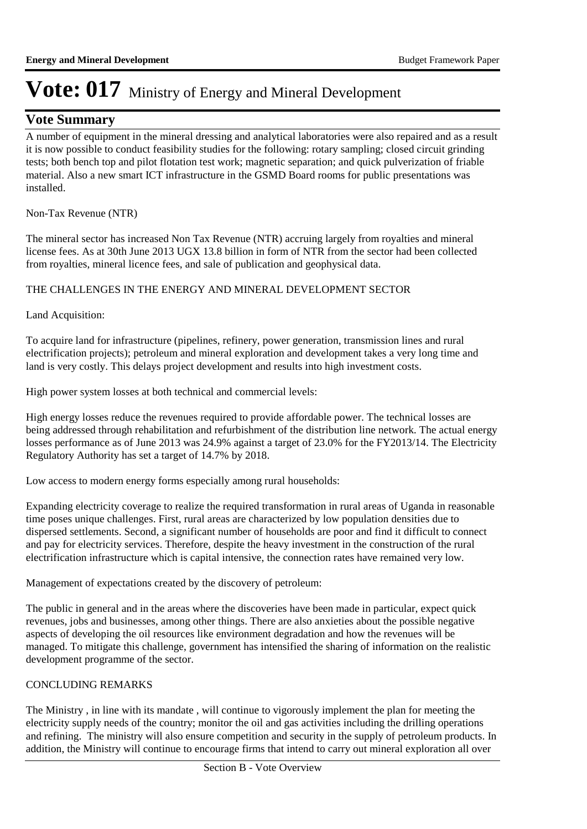### **Vote Summary**

A number of equipment in the mineral dressing and analytical laboratories were also repaired and as a result it is now possible to conduct feasibility studies for the following: rotary sampling; closed circuit grinding tests; both bench top and pilot flotation test work; magnetic separation; and quick pulverization of friable material. Also a new smart ICT infrastructure in the GSMD Board rooms for public presentations was installed.

Non-Tax Revenue (NTR)

The mineral sector has increased Non Tax Revenue (NTR) accruing largely from royalties and mineral license fees. As at 30th June 2013 UGX 13.8 billion in form of NTR from the sector had been collected from royalties, mineral licence fees, and sale of publication and geophysical data.

THE CHALLENGES IN THE ENERGY AND MINERAL DEVELOPMENT SECTOR

Land Acquisition:

To acquire land for infrastructure (pipelines, refinery, power generation, transmission lines and rural electrification projects); petroleum and mineral exploration and development takes a very long time and land is very costly. This delays project development and results into high investment costs.

High power system losses at both technical and commercial levels:

High energy losses reduce the revenues required to provide affordable power. The technical losses are being addressed through rehabilitation and refurbishment of the distribution line network. The actual energy losses performance as of June 2013 was 24.9% against a target of 23.0% for the FY2013/14. The Electricity Regulatory Authority has set a target of 14.7% by 2018.

Low access to modern energy forms especially among rural households:

Expanding electricity coverage to realize the required transformation in rural areas of Uganda in reasonable time poses unique challenges. First, rural areas are characterized by low population densities due to dispersed settlements. Second, a significant number of households are poor and find it difficult to connect and pay for electricity services. Therefore, despite the heavy investment in the construction of the rural electrification infrastructure which is capital intensive, the connection rates have remained very low.

Management of expectations created by the discovery of petroleum:

The public in general and in the areas where the discoveries have been made in particular, expect quick revenues, jobs and businesses, among other things. There are also anxieties about the possible negative aspects of developing the oil resources like environment degradation and how the revenues will be managed. To mitigate this challenge, government has intensified the sharing of information on the realistic development programme of the sector.

#### CONCLUDING REMARKS

The Ministry , in line with its mandate , will continue to vigorously implement the plan for meeting the electricity supply needs of the country; monitor the oil and gas activities including the drilling operations and refining. The ministry will also ensure competition and security in the supply of petroleum products. In addition, the Ministry will continue to encourage firms that intend to carry out mineral exploration all over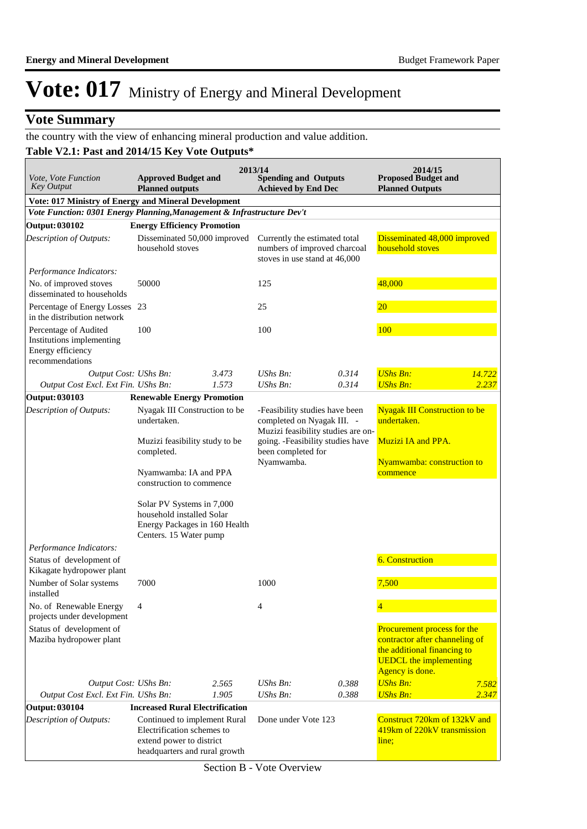### **Vote Summary**

### the country with the view of enhancing mineral production and value addition.

### **Table V2.1: Past and 2014/15 Key Vote Outputs\***

| <i>Vote, Vote Function</i><br><b>Key Output</b>                                            | <b>Approved Budget and</b><br><b>Planned outputs</b>                                                                    |       | 2013/14<br><b>Spending and Outputs</b><br><b>Achieved by End Dec</b>                                                                   |       | 2014/15<br><b>Proposed Budget and</b><br><b>Planned Outputs</b>                                                                                  |        |
|--------------------------------------------------------------------------------------------|-------------------------------------------------------------------------------------------------------------------------|-------|----------------------------------------------------------------------------------------------------------------------------------------|-------|--------------------------------------------------------------------------------------------------------------------------------------------------|--------|
| Vote: 017 Ministry of Energy and Mineral Development                                       |                                                                                                                         |       |                                                                                                                                        |       |                                                                                                                                                  |        |
| Vote Function: 0301 Energy Planning, Management & Infrastructure Dev't                     |                                                                                                                         |       |                                                                                                                                        |       |                                                                                                                                                  |        |
| <b>Output: 030102</b>                                                                      | <b>Energy Efficiency Promotion</b>                                                                                      |       |                                                                                                                                        |       |                                                                                                                                                  |        |
| Description of Outputs:                                                                    | Disseminated 50,000 improved<br>household stoves                                                                        |       | Currently the estimated total<br>numbers of improved charcoal<br>stoves in use stand at 46,000                                         |       | Disseminated 48,000 improved<br>household stoves                                                                                                 |        |
| Performance Indicators:                                                                    |                                                                                                                         |       |                                                                                                                                        |       |                                                                                                                                                  |        |
| No. of improved stoves<br>disseminated to households                                       | 50000                                                                                                                   |       | 125                                                                                                                                    |       | 48,000                                                                                                                                           |        |
| Percentage of Energy Losses 23<br>in the distribution network                              |                                                                                                                         |       | 25                                                                                                                                     |       | $20\,$                                                                                                                                           |        |
| Percentage of Audited<br>Institutions implementing<br>Energy efficiency<br>recommendations | 100                                                                                                                     |       | 100                                                                                                                                    |       | 100                                                                                                                                              |        |
| Output Cost: UShs Bn:                                                                      |                                                                                                                         | 3.473 | UShs $Bn$ :                                                                                                                            | 0.314 | <b>UShs Bn:</b>                                                                                                                                  | 14.722 |
| Output Cost Excl. Ext Fin. UShs Bn:                                                        |                                                                                                                         | 1.573 | <b>UShs Bn:</b>                                                                                                                        | 0.314 | <b>UShs Bn:</b>                                                                                                                                  | 2.237  |
| Output: 030103                                                                             | <b>Renewable Energy Promotion</b>                                                                                       |       |                                                                                                                                        |       |                                                                                                                                                  |        |
| Description of Outputs:                                                                    | Nyagak III Construction to be<br>undertaken.<br>Muzizi feasibility study to be                                          |       | -Feasibility studies have been<br>completed on Nyagak III. -<br>Muzizi feasibility studies are on-<br>going. -Feasibility studies have |       | <b>Nyagak III Construction to be</b><br>undertaken.<br><b>Muzizi IA and PPA.</b>                                                                 |        |
|                                                                                            | completed.                                                                                                              |       | been completed for<br>Nyamwamba.                                                                                                       |       | Nyamwamba: construction to                                                                                                                       |        |
|                                                                                            | Nyamwamba: IA and PPA<br>construction to commence                                                                       |       |                                                                                                                                        |       | commence                                                                                                                                         |        |
|                                                                                            | Solar PV Systems in 7,000<br>household installed Solar<br>Energy Packages in 160 Health<br>Centers. 15 Water pump       |       |                                                                                                                                        |       |                                                                                                                                                  |        |
| Performance Indicators:                                                                    |                                                                                                                         |       |                                                                                                                                        |       |                                                                                                                                                  |        |
| Status of development of<br>Kikagate hydropower plant                                      |                                                                                                                         |       |                                                                                                                                        |       | <b>6. Construction</b>                                                                                                                           |        |
| Number of Solar systems<br>installed                                                       | 7000                                                                                                                    |       | 1000                                                                                                                                   |       | 7,500                                                                                                                                            |        |
| No. of Renewable Energy<br>projects under development                                      | 4                                                                                                                       |       | 4                                                                                                                                      |       |                                                                                                                                                  |        |
| Status of development of<br>Maziba hydropower plant                                        |                                                                                                                         |       |                                                                                                                                        |       | Procurement process for the<br>contractor after channeling of<br>the additional financing to<br><b>UEDCL</b> the implementing<br>Agency is done. |        |
| Output Cost: UShs Bn:                                                                      |                                                                                                                         | 2.565 | UShs Bn:                                                                                                                               | 0.388 | <b>UShs Bn:</b>                                                                                                                                  | 7.582  |
| Output Cost Excl. Ext Fin. UShs Bn:                                                        |                                                                                                                         | 1.905 | UShs Bn:                                                                                                                               | 0.388 | <b>UShs Bn:</b>                                                                                                                                  | 2.347  |
| <b>Output: 030104</b>                                                                      | <b>Increased Rural Electrification</b>                                                                                  |       |                                                                                                                                        |       |                                                                                                                                                  |        |
| Description of Outputs:                                                                    | Continued to implement Rural<br>Electrification schemes to<br>extend power to district<br>headquarters and rural growth |       | Done under Vote 123                                                                                                                    |       | Construct 720km of 132kV and<br>419km of 220kV transmission<br>line;                                                                             |        |

Section B - Vote Overview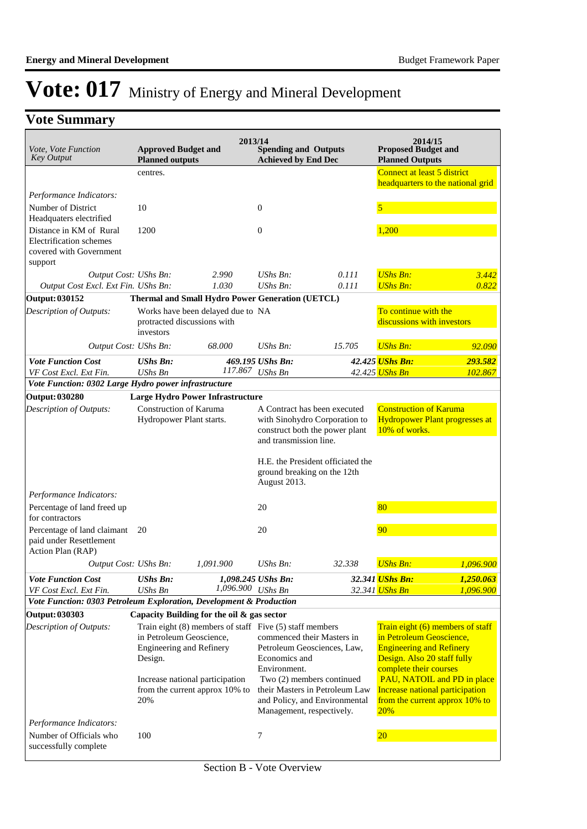### **Vote Summary**

| Vote, Vote Function<br><b>Key Output</b>                                                 | <b>Approved Budget and</b><br><b>Planned outputs</b>            | 2013/14                                                                                                                      | <b>Spending and Outputs</b><br><b>Achieved by End Dec</b> |                                                                                                                          | 2014/15<br><b>Proposed Budget and</b><br><b>Planned Outputs</b>                                                                                                                             |                             |
|------------------------------------------------------------------------------------------|-----------------------------------------------------------------|------------------------------------------------------------------------------------------------------------------------------|-----------------------------------------------------------|--------------------------------------------------------------------------------------------------------------------------|---------------------------------------------------------------------------------------------------------------------------------------------------------------------------------------------|-----------------------------|
|                                                                                          | centres.                                                        |                                                                                                                              |                                                           |                                                                                                                          | Connect at least 5 district<br>headquarters to the national grid                                                                                                                            |                             |
| Performance Indicators:                                                                  |                                                                 |                                                                                                                              |                                                           |                                                                                                                          |                                                                                                                                                                                             |                             |
| Number of District                                                                       | 10                                                              |                                                                                                                              | $\mathbf{0}$                                              |                                                                                                                          | 5                                                                                                                                                                                           |                             |
| Headquaters electrified                                                                  |                                                                 |                                                                                                                              |                                                           |                                                                                                                          |                                                                                                                                                                                             |                             |
| Distance in KM of Rural<br>Electrification schemes<br>covered with Government<br>support | 1200                                                            |                                                                                                                              | $\boldsymbol{0}$                                          |                                                                                                                          | 1,200                                                                                                                                                                                       |                             |
| Output Cost: UShs Bn:                                                                    |                                                                 | 2.990                                                                                                                        | $UShs Bn$ :                                               | 0.111                                                                                                                    | <b>UShs Bn:</b>                                                                                                                                                                             | 3.442                       |
| Output Cost Excl. Ext Fin. UShs Bn:                                                      |                                                                 | 1.030                                                                                                                        | UShs Bn:                                                  | 0.111                                                                                                                    | <b>UShs Bn:</b>                                                                                                                                                                             | 0.822                       |
| Output: 030152                                                                           |                                                                 | Thermal and Small Hydro Power Generation (UETCL)                                                                             |                                                           |                                                                                                                          |                                                                                                                                                                                             |                             |
| Description of Outputs:                                                                  | protracted discussions with<br>investors                        | Works have been delayed due to NA                                                                                            |                                                           |                                                                                                                          | To continue with the<br>discussions with investors                                                                                                                                          |                             |
| Output Cost: UShs Bn:                                                                    |                                                                 | 68.000                                                                                                                       | $UShs Bn$ :                                               | 15.705                                                                                                                   | <b>UShs Bn:</b>                                                                                                                                                                             | 92.090                      |
| <b>Vote Function Cost</b>                                                                | <b>UShs Bn:</b>                                                 |                                                                                                                              | 469.195 UShs Bn:                                          |                                                                                                                          | 42.425 UShs Bn:                                                                                                                                                                             | 293.582                     |
| VF Cost Excl. Ext Fin.                                                                   | <b>UShs Bn</b>                                                  |                                                                                                                              | 117.867 UShs Bn                                           |                                                                                                                          | 42.425 UShs Bn                                                                                                                                                                              | 102.867                     |
| Vote Function: 0302 Large Hydro power infrastructure                                     |                                                                 |                                                                                                                              |                                                           |                                                                                                                          |                                                                                                                                                                                             |                             |
| <b>Output: 030280</b>                                                                    |                                                                 | <b>Large Hydro Power Infrastructure</b>                                                                                      |                                                           |                                                                                                                          |                                                                                                                                                                                             |                             |
| Description of Outputs:                                                                  | Construction of Karuma<br>Hydropower Plant starts.              |                                                                                                                              | and transmission line.                                    | A Contract has been executed<br>with Sinohydro Corporation to<br>construct both the power plant                          | <b>Construction of Karuma</b><br><b>Hydropower Plant progresses at</b><br>10% of works.                                                                                                     |                             |
|                                                                                          |                                                                 |                                                                                                                              | August 2013.                                              | H.E. the President officiated the<br>ground breaking on the 12th                                                         |                                                                                                                                                                                             |                             |
| Performance Indicators:                                                                  |                                                                 |                                                                                                                              |                                                           |                                                                                                                          |                                                                                                                                                                                             |                             |
| Percentage of land freed up<br>for contractors                                           |                                                                 |                                                                                                                              | 20                                                        |                                                                                                                          | 80                                                                                                                                                                                          |                             |
| Percentage of land claimant<br>paid under Resettlement<br>Action Plan (RAP)              | 20                                                              |                                                                                                                              | 20                                                        |                                                                                                                          | 90                                                                                                                                                                                          |                             |
| Output Cost: UShs Bn:                                                                    |                                                                 | 1,091.900                                                                                                                    | $UShs Bn$ :                                               | 32.338                                                                                                                   | <b>UShs Bn:</b>                                                                                                                                                                             | 1.096.900                   |
| <b>Vote Function Cost</b><br>VF Cost Excl. Ext Fin.                                      | <b>UShs Bn:</b><br><b>UShs Bn</b>                               | 1,096.900                                                                                                                    | 1,098.245 UShs Bn:<br><b>UShs Bn</b>                      |                                                                                                                          | 32.341 UShs Bn:<br>32.341 UShs Bn                                                                                                                                                           | 1,250.063<br>1.096.900      |
| Vote Function: 0303 Petroleum Exploration, Development & Production                      |                                                                 |                                                                                                                              |                                                           |                                                                                                                          |                                                                                                                                                                                             |                             |
| Output: 030303                                                                           |                                                                 | Capacity Building for the oil & gas sector                                                                                   |                                                           |                                                                                                                          |                                                                                                                                                                                             |                             |
| Description of Outputs:                                                                  | in Petroleum Geoscience,<br>Engineering and Refinery<br>Design. | Train eight (8) members of staff Five (5) staff members<br>Increase national participation<br>from the current approx 10% to | Economics and<br>Environment.                             | commenced their Masters in<br>Petroleum Geosciences, Law,<br>Two (2) members continued<br>their Masters in Petroleum Law | Train eight (6) members of staff<br>in Petroleum Geoscience,<br><b>Engineering and Refinery</b><br>Design. Also 20 staff fully<br>complete their courses<br>Increase national participation | PAU, NATOIL and PD in place |
|                                                                                          | 20%                                                             |                                                                                                                              | Management, respectively.                                 | and Policy, and Environmental                                                                                            | from the current approx 10% to<br>20%                                                                                                                                                       |                             |
| Performance Indicators:<br>Number of Officials who                                       | 100                                                             |                                                                                                                              | 7                                                         |                                                                                                                          | $\overline{20}$                                                                                                                                                                             |                             |
| successfully complete                                                                    |                                                                 |                                                                                                                              |                                                           |                                                                                                                          |                                                                                                                                                                                             |                             |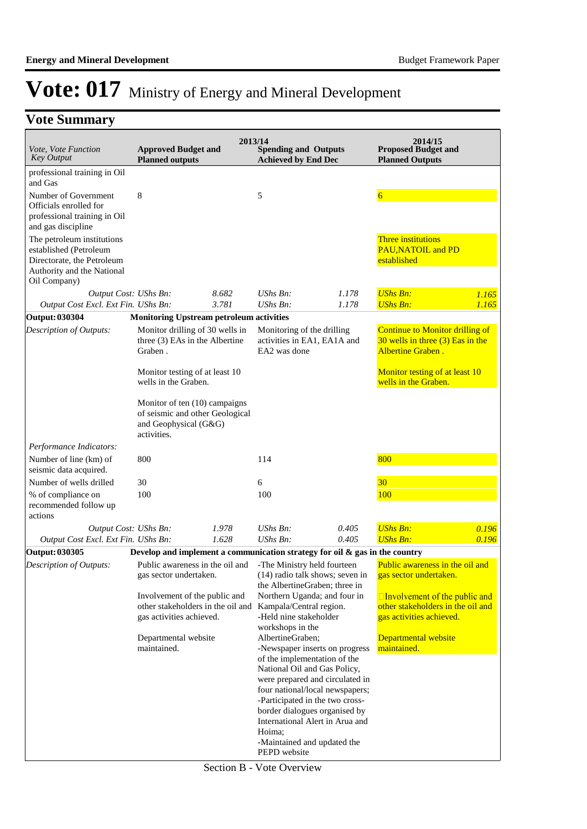### **Vote Summary**

| Vote, Vote Function<br><b>Key Output</b>                                                                         | <b>Approved Budget and</b>                                                                                             |                | 2013/14<br><b>Spending and Outputs</b>                                                                                |                                                                                                                                                                           | 2014/15<br><b>Proposed Budget and</b>                                                                 |                |
|------------------------------------------------------------------------------------------------------------------|------------------------------------------------------------------------------------------------------------------------|----------------|-----------------------------------------------------------------------------------------------------------------------|---------------------------------------------------------------------------------------------------------------------------------------------------------------------------|-------------------------------------------------------------------------------------------------------|----------------|
|                                                                                                                  | <b>Planned outputs</b>                                                                                                 |                | <b>Achieved by End Dec</b>                                                                                            |                                                                                                                                                                           | <b>Planned Outputs</b>                                                                                |                |
| professional training in Oil<br>and Gas                                                                          |                                                                                                                        |                |                                                                                                                       |                                                                                                                                                                           |                                                                                                       |                |
| Number of Government                                                                                             | 8                                                                                                                      |                | 5                                                                                                                     |                                                                                                                                                                           | $\overline{6}$                                                                                        |                |
| Officials enrolled for<br>professional training in Oil                                                           |                                                                                                                        |                |                                                                                                                       |                                                                                                                                                                           |                                                                                                       |                |
| and gas discipline                                                                                               |                                                                                                                        |                |                                                                                                                       |                                                                                                                                                                           |                                                                                                       |                |
| The petroleum institutions<br>established (Petroleum<br>Directorate, the Petroleum<br>Authority and the National |                                                                                                                        |                |                                                                                                                       |                                                                                                                                                                           | <b>Three institutions</b><br><b>PAU, NATOIL and PD</b><br>established                                 |                |
| Oil Company)                                                                                                     |                                                                                                                        |                |                                                                                                                       |                                                                                                                                                                           |                                                                                                       |                |
| Output Cost: UShs Bn:<br>Output Cost Excl. Ext Fin. UShs Bn:                                                     |                                                                                                                        | 8.682<br>3.781 | $UShs Bn$ :<br>UShs Bn:                                                                                               | 1.178<br>1.178                                                                                                                                                            | <b>UShs Bn:</b><br><b>UShs Bn:</b>                                                                    | 1.165<br>1.165 |
| Output: 030304                                                                                                   |                                                                                                                        |                |                                                                                                                       |                                                                                                                                                                           |                                                                                                       |                |
|                                                                                                                  | <b>Monitoring Upstream petroleum activities</b>                                                                        |                |                                                                                                                       |                                                                                                                                                                           |                                                                                                       |                |
| Description of Outputs:                                                                                          | Monitor drilling of 30 wells in<br>three (3) EAs in the Albertine<br>Graben.                                           |                | Monitoring of the drilling<br>activities in EA1, EA1A and<br>EA2 was done                                             |                                                                                                                                                                           | <b>Continue to Monitor drilling of</b><br>$30$ wells in three $(3)$ Eas in the<br>Albertine Graben.   |                |
|                                                                                                                  | Monitor testing of at least 10<br>wells in the Graben.                                                                 |                |                                                                                                                       |                                                                                                                                                                           | Monitor testing of at least 10<br>wells in the Graben.                                                |                |
|                                                                                                                  | Monitor of ten (10) campaigns<br>of seismic and other Geological<br>and Geophysical (G&G)<br>activities.               |                |                                                                                                                       |                                                                                                                                                                           |                                                                                                       |                |
| Performance Indicators:                                                                                          |                                                                                                                        |                |                                                                                                                       |                                                                                                                                                                           |                                                                                                       |                |
| Number of line (km) of<br>seismic data acquired.                                                                 | 800                                                                                                                    |                | 114                                                                                                                   |                                                                                                                                                                           | 800                                                                                                   |                |
| Number of wells drilled                                                                                          | 30                                                                                                                     |                | 6                                                                                                                     |                                                                                                                                                                           | 30 <sup>°</sup>                                                                                       |                |
| % of compliance on<br>recommended follow up<br>actions                                                           | 100                                                                                                                    |                | 100                                                                                                                   |                                                                                                                                                                           | 100                                                                                                   |                |
| Output Cost: UShs Bn:                                                                                            |                                                                                                                        | 1.978          | $UShs Bn$ :                                                                                                           | 0.405                                                                                                                                                                     | <b>UShs Bn:</b>                                                                                       | 0.196          |
| Output Cost Excl. Ext Fin. UShs Bn:                                                                              |                                                                                                                        | 1.628          | UShs Bn:                                                                                                              | 0.405                                                                                                                                                                     | <b>UShs Bn:</b>                                                                                       | 0.196          |
| Output: 030305                                                                                                   | Develop and implement a communication strategy for oil $\&$ gas in the country                                         |                |                                                                                                                       |                                                                                                                                                                           |                                                                                                       |                |
| Description of Outputs:                                                                                          | Public awareness in the oil and<br>gas sector undertaken.                                                              |                | -The Ministry held fourteen                                                                                           | (14) radio talk shows; seven in<br>the AlbertineGraben; three in                                                                                                          | Public awareness in the oil and<br>gas sector undertaken.                                             |                |
|                                                                                                                  | Involvement of the public and<br>other stakeholders in the oil and Kampala/Central region.<br>gas activities achieved. |                | -Held nine stakeholder                                                                                                | Northern Uganda; and four in                                                                                                                                              | $\Box$ Involvement of the public and<br>other stakeholders in the oil and<br>gas activities achieved. |                |
|                                                                                                                  | Departmental website<br>maintained.                                                                                    |                | workshops in the<br>AlbertineGraben;<br>-Newspaper inserts on progress                                                |                                                                                                                                                                           | Departmental website<br>maintained.                                                                   |                |
|                                                                                                                  |                                                                                                                        |                | of the implementation of the<br>National Oil and Gas Policy,<br>Hoima;<br>-Maintained and updated the<br>PEPD website | were prepared and circulated in<br>four national/local newspapers;<br>-Participated in the two cross-<br>border dialogues organised by<br>International Alert in Arua and |                                                                                                       |                |

Section B - Vote Overview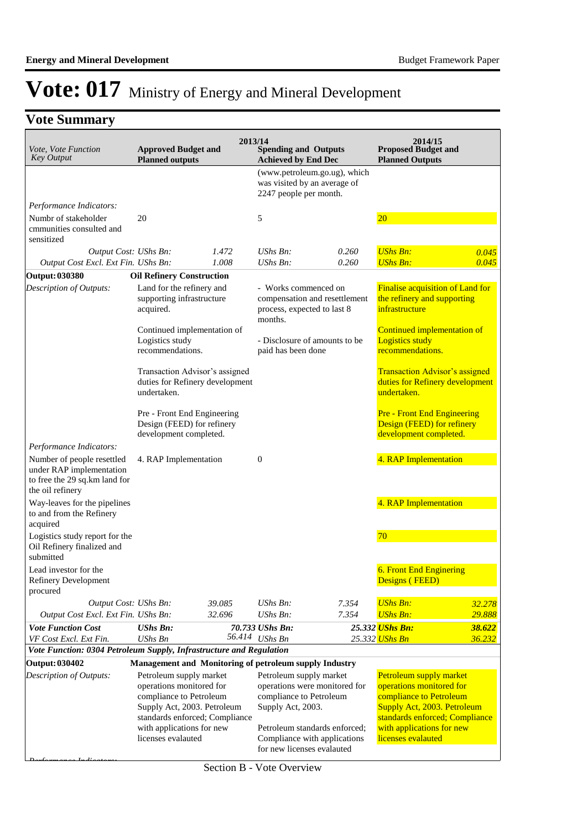### **Vote Summary**

| Vote, Vote Function<br><b>Key Output</b>                                                                    | <b>Approved Budget and</b><br><b>Planned outputs</b>                                                                                                                    |                                 | 2013/14<br><b>Spending and Outputs</b><br><b>Achieved by End Dec</b>    |                               | 2014/15<br><b>Proposed Budget and</b><br><b>Planned Outputs</b>                                                                                                      |                |
|-------------------------------------------------------------------------------------------------------------|-------------------------------------------------------------------------------------------------------------------------------------------------------------------------|---------------------------------|-------------------------------------------------------------------------|-------------------------------|----------------------------------------------------------------------------------------------------------------------------------------------------------------------|----------------|
|                                                                                                             |                                                                                                                                                                         |                                 | was visited by an average of<br>2247 people per month.                  | (www.petroleum.go.ug), which  |                                                                                                                                                                      |                |
| Performance Indicators:<br>Numbr of stakeholder<br>cmmunities consulted and                                 | 20                                                                                                                                                                      |                                 | 5                                                                       |                               | $20\,$                                                                                                                                                               |                |
| sensitized<br>Output Cost: UShs Bn:<br>Output Cost Excl. Ext Fin. UShs Bn:                                  |                                                                                                                                                                         | 1.472<br>1.008                  | $UShs Bn$ :<br>UShs Bn:                                                 | 0.260<br>0.260                | <b>UShs Bn:</b><br><b>UShs Bn:</b>                                                                                                                                   | 0.045<br>0.045 |
| <b>Output: 030380</b>                                                                                       | <b>Oil Refinery Construction</b>                                                                                                                                        |                                 |                                                                         |                               |                                                                                                                                                                      |                |
| Description of Outputs:                                                                                     | Land for the refinery and<br>supporting infrastructure<br>acquired.                                                                                                     |                                 | - Works commenced on<br>process, expected to last 8<br>months.          | compensation and resettlement | <b>Finalise acquisition of Land for</b><br>the refinery and supporting<br>infrastructure                                                                             |                |
|                                                                                                             | Continued implementation of<br>Logistics study<br>recommendations.                                                                                                      |                                 | - Disclosure of amounts to be<br>paid has been done                     |                               | Continued implementation of<br><b>Logistics study</b><br>recommendations.<br><b>Transaction Advisor's assigned</b><br>duties for Refinery development<br>undertaken. |                |
|                                                                                                             | Transaction Advisor's assigned<br>undertaken.                                                                                                                           | duties for Refinery development |                                                                         |                               |                                                                                                                                                                      |                |
|                                                                                                             | Pre - Front End Engineering<br>Design (FEED) for refinery<br>development completed.                                                                                     |                                 |                                                                         |                               | <b>Pre - Front End Engineering</b><br>Design (FEED) for refinery<br>development completed.                                                                           |                |
| Performance Indicators:                                                                                     |                                                                                                                                                                         |                                 |                                                                         |                               |                                                                                                                                                                      |                |
| Number of people resettled<br>under RAP implementation<br>to free the 29 sq.km land for<br>the oil refinery | 4. RAP Implementation                                                                                                                                                   |                                 | $\boldsymbol{0}$                                                        |                               | 4. RAP Implementation                                                                                                                                                |                |
| Way-leaves for the pipelines<br>to and from the Refinery<br>acquired                                        |                                                                                                                                                                         |                                 |                                                                         |                               | 4. RAP Implementation                                                                                                                                                |                |
| Logistics study report for the<br>Oil Refinery finalized and<br>submitted                                   |                                                                                                                                                                         |                                 |                                                                         |                               | 70                                                                                                                                                                   |                |
| Lead investor for the<br>Refinery Development<br>procured                                                   |                                                                                                                                                                         |                                 |                                                                         |                               | 6. Front End Enginering<br>Designs (FEED)                                                                                                                            |                |
| Output Cost: UShs Bn:                                                                                       |                                                                                                                                                                         | 39.085                          | UShs Bn:                                                                | 7.354                         | <b>UShs Bn:</b>                                                                                                                                                      | 32.278         |
| Output Cost Excl. Ext Fin. UShs Bn:                                                                         |                                                                                                                                                                         | 32.696                          | UShs Bn:                                                                | 7.354                         | <b>UShs Bn:</b>                                                                                                                                                      | 29.888         |
| <b>Vote Function Cost</b>                                                                                   | <b>UShs Bn:</b>                                                                                                                                                         |                                 | 70.733 UShs Bn:                                                         |                               | 25.332 UShs Bn:                                                                                                                                                      | 38.622         |
| VF Cost Excl. Ext Fin.                                                                                      | <b>UShs Bn</b>                                                                                                                                                          |                                 | 56.414 UShs Bn                                                          |                               | 25.332 <mark>UShs Bn</mark>                                                                                                                                          | 36.232         |
| Vote Function: 0304 Petroleum Supply, Infrastructure and Regulation                                         |                                                                                                                                                                         |                                 |                                                                         |                               |                                                                                                                                                                      |                |
| <b>Output: 030402</b><br>Description of Outputs:                                                            | Management and Monitoring of petroleum supply Industry<br>Petroleum supply market<br>operations monitored for<br>compliance to Petroleum<br>Supply Act, 2003. Petroleum | standards enforced; Compliance  | Petroleum supply market<br>compliance to Petroleum<br>Supply Act, 2003. | operations were monitored for | Petroleum supply market<br>operations monitored for<br>compliance to Petroleum<br>Supply Act, 2003. Petroleum<br>standards enforced; Compliance                      |                |
|                                                                                                             | with applications for new                                                                                                                                               |                                 |                                                                         | Petroleum standards enforced; | with applications for new                                                                                                                                            |                |

Petroleum standards enforced; Compliance with applications for new licenses evalauted

licenses evalauted

licenses evalauted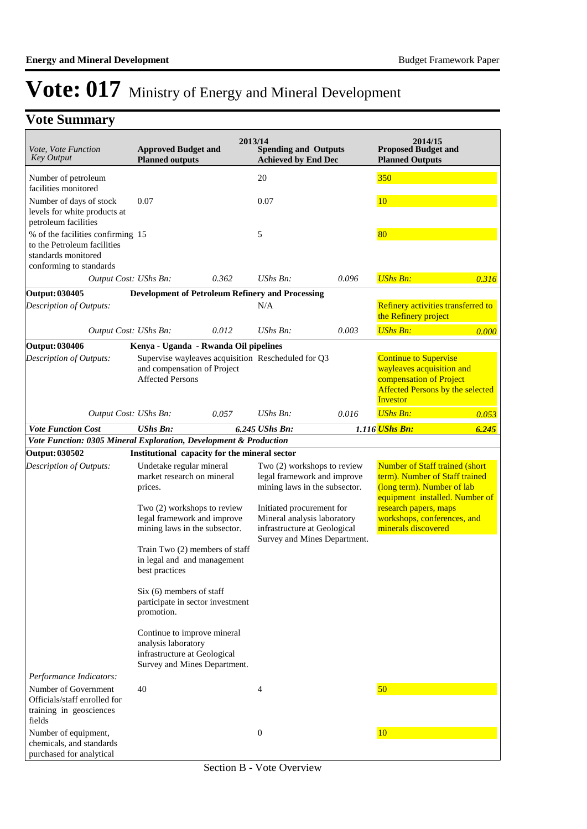### **Vote Summary**

| Vote, Vote Function<br><b>Key Output</b>                                                  | <b>Approved Budget and</b><br><b>Planned outputs</b>                                                                                                             |       | 2013/14<br><b>Spending and Outputs</b><br><b>Achieved by End Dec</b>                                                                                                                                                    |       | 2014/15<br><b>Proposed Budget and</b><br><b>Planned Outputs</b>                                                                                                                                                        |       |
|-------------------------------------------------------------------------------------------|------------------------------------------------------------------------------------------------------------------------------------------------------------------|-------|-------------------------------------------------------------------------------------------------------------------------------------------------------------------------------------------------------------------------|-------|------------------------------------------------------------------------------------------------------------------------------------------------------------------------------------------------------------------------|-------|
| Number of petroleum                                                                       |                                                                                                                                                                  |       | 20                                                                                                                                                                                                                      |       | 350                                                                                                                                                                                                                    |       |
| facilities monitored                                                                      |                                                                                                                                                                  |       |                                                                                                                                                                                                                         |       |                                                                                                                                                                                                                        |       |
| Number of days of stock<br>levels for white products at<br>petroleum facilities           | 0.07                                                                                                                                                             |       | 0.07                                                                                                                                                                                                                    |       | <b>10</b>                                                                                                                                                                                                              |       |
| % of the facilities confirming 15<br>to the Petroleum facilities<br>standards monitored   |                                                                                                                                                                  |       | 5                                                                                                                                                                                                                       |       | 80                                                                                                                                                                                                                     |       |
| conforming to standards<br>Output Cost: UShs Bn:                                          |                                                                                                                                                                  | 0.362 | $UShs Bn$ :                                                                                                                                                                                                             | 0.096 | <b>UShs Bn:</b>                                                                                                                                                                                                        | 0.316 |
| Output: 030405                                                                            | <b>Development of Petroleum Refinery and Processing</b>                                                                                                          |       |                                                                                                                                                                                                                         |       |                                                                                                                                                                                                                        |       |
| Description of Outputs:                                                                   |                                                                                                                                                                  |       | N/A                                                                                                                                                                                                                     |       | Refinery activities transferred to<br>the Refinery project                                                                                                                                                             |       |
| Output Cost: UShs Bn:                                                                     |                                                                                                                                                                  | 0.012 | $UShs Bn$ :                                                                                                                                                                                                             | 0.003 | <b>UShs Bn:</b>                                                                                                                                                                                                        | 0.000 |
| Output: 030406                                                                            | Kenya - Uganda - Rwanda Oil pipelines                                                                                                                            |       |                                                                                                                                                                                                                         |       |                                                                                                                                                                                                                        |       |
| Description of Outputs:                                                                   | Supervise wayleaves acquisition Rescheduled for Q3<br>and compensation of Project<br><b>Affected Persons</b>                                                     |       |                                                                                                                                                                                                                         |       | <b>Continue to Supervise</b><br>wayleaves acquisition and<br>compensation of Project<br><b>Affected Persons by the selected</b><br><b>Investor</b>                                                                     |       |
| Output Cost: UShs Bn:                                                                     |                                                                                                                                                                  | 0.057 | UShs Bn:                                                                                                                                                                                                                | 0.016 | <b>UShs Bn:</b>                                                                                                                                                                                                        | 0.053 |
| <b>Vote Function Cost</b>                                                                 | <b>UShs Bn:</b>                                                                                                                                                  |       | 6.245 UShs Bn:                                                                                                                                                                                                          |       | 1.116 UShs Bn:                                                                                                                                                                                                         | 6.245 |
| Vote Function: 0305 Mineral Exploration, Development & Production                         |                                                                                                                                                                  |       |                                                                                                                                                                                                                         |       |                                                                                                                                                                                                                        |       |
| <b>Output: 030502</b>                                                                     | Institutional capacity for the mineral sector                                                                                                                    |       |                                                                                                                                                                                                                         |       |                                                                                                                                                                                                                        |       |
| Description of Outputs:                                                                   | Undetake regular mineral<br>market research on mineral<br>prices.<br>Two (2) workshops to review<br>legal framework and improve<br>mining laws in the subsector. |       | Two (2) workshops to review<br>legal framework and improve<br>mining laws in the subsector.<br>Initiated procurement for<br>Mineral analysis laboratory<br>infrastructure at Geological<br>Survey and Mines Department. |       | <b>Number of Staff trained (short</b><br>term). Number of Staff trained<br>(long term). Number of lab<br>equipment installed. Number of<br>research papers, maps<br>workshops, conferences, and<br>minerals discovered |       |
|                                                                                           |                                                                                                                                                                  |       |                                                                                                                                                                                                                         |       |                                                                                                                                                                                                                        |       |
|                                                                                           | Train Two (2) members of staff<br>in legal and and management<br>best practices                                                                                  |       |                                                                                                                                                                                                                         |       |                                                                                                                                                                                                                        |       |
|                                                                                           | $Six(6)$ members of staff<br>participate in sector investment<br>promotion.                                                                                      |       |                                                                                                                                                                                                                         |       |                                                                                                                                                                                                                        |       |
|                                                                                           | Continue to improve mineral<br>analysis laboratory<br>infrastructure at Geological<br>Survey and Mines Department.                                               |       |                                                                                                                                                                                                                         |       |                                                                                                                                                                                                                        |       |
| Performance Indicators:                                                                   |                                                                                                                                                                  |       |                                                                                                                                                                                                                         |       |                                                                                                                                                                                                                        |       |
| Number of Government<br>Officials/staff enrolled for<br>training in geosciences<br>fields | 40                                                                                                                                                               |       | 4                                                                                                                                                                                                                       |       | 50                                                                                                                                                                                                                     |       |
| Number of equipment,<br>chemicals, and standards<br>purchased for analytical              |                                                                                                                                                                  |       | $\boldsymbol{0}$                                                                                                                                                                                                        |       | <b>10</b>                                                                                                                                                                                                              |       |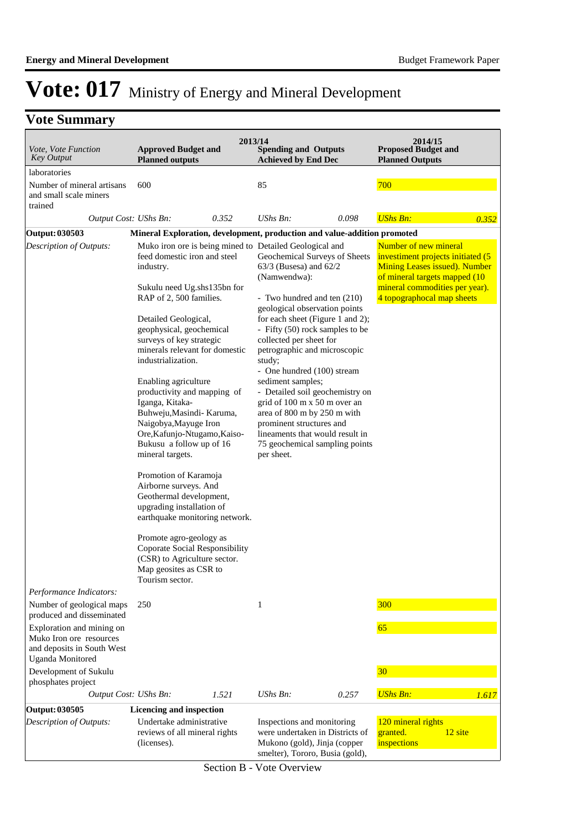### **Vote Summary**

| Vote, Vote Function<br><b>Key Output</b>                                                                     | <b>Approved Budget and</b><br><b>Planned outputs</b>                                                                                                                                                                                                                                                                                                                                                                                                                                                                                                                                                                                                                                                                                                            | 2013/14<br><b>Spending and Outputs</b><br><b>Achieved by End Dec</b>                                                                                                                                                                                                                                                                                                                                                                                                                                                                                                                                                    | 2014/15<br><b>Proposed Budget and</b><br><b>Planned Outputs</b>                                                                                                                                            |
|--------------------------------------------------------------------------------------------------------------|-----------------------------------------------------------------------------------------------------------------------------------------------------------------------------------------------------------------------------------------------------------------------------------------------------------------------------------------------------------------------------------------------------------------------------------------------------------------------------------------------------------------------------------------------------------------------------------------------------------------------------------------------------------------------------------------------------------------------------------------------------------------|-------------------------------------------------------------------------------------------------------------------------------------------------------------------------------------------------------------------------------------------------------------------------------------------------------------------------------------------------------------------------------------------------------------------------------------------------------------------------------------------------------------------------------------------------------------------------------------------------------------------------|------------------------------------------------------------------------------------------------------------------------------------------------------------------------------------------------------------|
| laboratories                                                                                                 |                                                                                                                                                                                                                                                                                                                                                                                                                                                                                                                                                                                                                                                                                                                                                                 |                                                                                                                                                                                                                                                                                                                                                                                                                                                                                                                                                                                                                         |                                                                                                                                                                                                            |
| Number of mineral artisans<br>and small scale miners<br>trained                                              | 600                                                                                                                                                                                                                                                                                                                                                                                                                                                                                                                                                                                                                                                                                                                                                             | 85                                                                                                                                                                                                                                                                                                                                                                                                                                                                                                                                                                                                                      | 700                                                                                                                                                                                                        |
| Output Cost: UShs Bn:                                                                                        | 0.352                                                                                                                                                                                                                                                                                                                                                                                                                                                                                                                                                                                                                                                                                                                                                           | $UShs Bn$ :<br>0.098                                                                                                                                                                                                                                                                                                                                                                                                                                                                                                                                                                                                    | <b>UShs Bn:</b><br>0.352                                                                                                                                                                                   |
| <b>Output: 030503</b>                                                                                        |                                                                                                                                                                                                                                                                                                                                                                                                                                                                                                                                                                                                                                                                                                                                                                 | Mineral Exploration, development, production and value-addition promoted                                                                                                                                                                                                                                                                                                                                                                                                                                                                                                                                                |                                                                                                                                                                                                            |
| Description of Outputs:<br>Performance Indicators:<br>Number of geological maps<br>produced and disseminated | feed domestic iron and steel<br>industry.<br>Sukulu need Ug.shs135bn for<br>RAP of 2, 500 families.<br>Detailed Geological,<br>geophysical, geochemical<br>surveys of key strategic<br>minerals relevant for domestic<br>industrialization.<br>Enabling agriculture<br>productivity and mapping of<br>Iganga, Kitaka-<br>Buhweju, Masindi- Karuma,<br>Naigobya, Mayuge Iron<br>Ore, Kafunjo-Ntugamo, Kaiso-<br>Bukusu a follow up of 16<br>mineral targets.<br>Promotion of Karamoja<br>Airborne surveys. And<br>Geothermal development,<br>upgrading installation of<br>earthquake monitoring network.<br>Promote agro-geology as<br><b>Coporate Social Responsibility</b><br>(CSR) to Agriculture sector.<br>Map geosites as CSR to<br>Tourism sector.<br>250 | Muko iron ore is being mined to Detailed Geological and<br>Geochemical Surveys of Sheets<br>63/3 (Busesa) and 62/2<br>(Namwendwa):<br>- Two hundred and ten (210)<br>geological observation points<br>for each sheet (Figure 1 and 2);<br>- Fifty (50) rock samples to be<br>collected per sheet for<br>petrographic and microscopic<br>study;<br>- One hundred (100) stream<br>sediment samples;<br>- Detailed soil geochemistry on<br>grid of 100 m x 50 m over an<br>area of 800 m by 250 m with<br>prominent structures and<br>lineaments that would result in<br>75 geochemical sampling points<br>per sheet.<br>1 | Number of new mineral<br>investiment projects initiated (5<br><b>Mining Leases issued). Number</b><br>of mineral targets mapped (10<br>mineral commodities per year).<br>4 topographocal map sheets<br>300 |
| Exploration and mining on<br>Muko Iron ore resources<br>and deposits in South West<br>Uganda Monitored       |                                                                                                                                                                                                                                                                                                                                                                                                                                                                                                                                                                                                                                                                                                                                                                 |                                                                                                                                                                                                                                                                                                                                                                                                                                                                                                                                                                                                                         | 65                                                                                                                                                                                                         |
| Development of Sukulu                                                                                        |                                                                                                                                                                                                                                                                                                                                                                                                                                                                                                                                                                                                                                                                                                                                                                 |                                                                                                                                                                                                                                                                                                                                                                                                                                                                                                                                                                                                                         | 30                                                                                                                                                                                                         |
| phosphates project<br>Output Cost: UShs Bn:                                                                  | 1.521                                                                                                                                                                                                                                                                                                                                                                                                                                                                                                                                                                                                                                                                                                                                                           | <b>UShs Bn:</b><br>0.257                                                                                                                                                                                                                                                                                                                                                                                                                                                                                                                                                                                                | <b>UShs Bn:</b><br>1.617                                                                                                                                                                                   |
| <b>Output: 030505</b>                                                                                        | Licencing and inspection                                                                                                                                                                                                                                                                                                                                                                                                                                                                                                                                                                                                                                                                                                                                        |                                                                                                                                                                                                                                                                                                                                                                                                                                                                                                                                                                                                                         |                                                                                                                                                                                                            |
| Description of Outputs:                                                                                      | Undertake administrative<br>reviews of all mineral rights<br>(licenses).                                                                                                                                                                                                                                                                                                                                                                                                                                                                                                                                                                                                                                                                                        | Inspections and monitoring<br>were undertaken in Districts of<br>Mukono (gold), Jinja (copper<br>smelter), Tororo, Busia (gold),                                                                                                                                                                                                                                                                                                                                                                                                                                                                                        | 120 mineral rights<br>12 site<br>granted.<br>inspections                                                                                                                                                   |

Section B - Vote Overview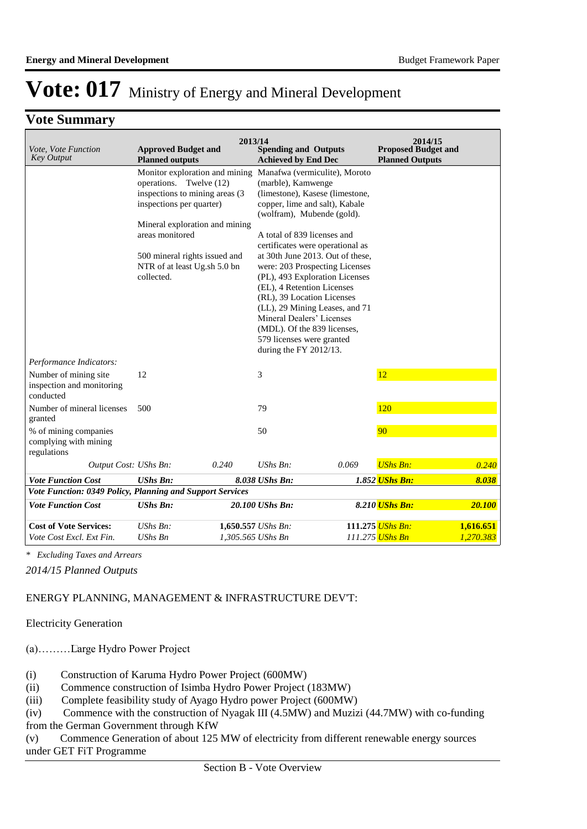### **Vote Summary**

| Vote, Vote Function<br><b>Key Output</b>                        | <b>Approved Budget and</b><br><b>Planned outputs</b>                                                                                                                                                                                                         | 2013/14 | <b>Spending and Outputs</b><br><b>Achieved by End Dec</b>                                                                                  |                                                                                                                                                                                                                                                                                                                                               | 2014/15<br><b>Proposed Budget and</b><br><b>Planned Outputs</b> |           |
|-----------------------------------------------------------------|--------------------------------------------------------------------------------------------------------------------------------------------------------------------------------------------------------------------------------------------------------------|---------|--------------------------------------------------------------------------------------------------------------------------------------------|-----------------------------------------------------------------------------------------------------------------------------------------------------------------------------------------------------------------------------------------------------------------------------------------------------------------------------------------------|-----------------------------------------------------------------|-----------|
|                                                                 | Monitor exploration and mining<br>operations. Twelve (12)<br>inspections to mining areas (3)<br>inspections per quarter)<br>Mineral exploration and mining<br>areas monitored<br>500 mineral rights issued and<br>NTR of at least Ug.sh 5.0 bn<br>collected. |         | (marble), Kamwenge<br>A total of 839 licenses and<br>(EL), 4 Retention Licenses<br>(RL), 39 Location Licenses<br>Mineral Dealers' Licenses | Manafwa (vermiculite), Moroto<br>(limestone), Kasese (limestone,<br>copper, lime and salt), Kabale<br>(wolfram), Mubende (gold).<br>certificates were operational as<br>at 30th June 2013. Out of these,<br>were: 203 Prospecting Licenses<br>(PL), 493 Exploration Licenses<br>(LL), 29 Mining Leases, and 71<br>(MDL). Of the 839 licenses, |                                                                 |           |
|                                                                 |                                                                                                                                                                                                                                                              |         | 579 licenses were granted<br>during the FY 2012/13.                                                                                        |                                                                                                                                                                                                                                                                                                                                               |                                                                 |           |
| Performance Indicators:                                         |                                                                                                                                                                                                                                                              |         |                                                                                                                                            |                                                                                                                                                                                                                                                                                                                                               |                                                                 |           |
| Number of mining site<br>inspection and monitoring<br>conducted | 12                                                                                                                                                                                                                                                           |         | 3                                                                                                                                          |                                                                                                                                                                                                                                                                                                                                               | 12                                                              |           |
| Number of mineral licenses<br>granted                           | 500                                                                                                                                                                                                                                                          |         | 79                                                                                                                                         |                                                                                                                                                                                                                                                                                                                                               | 120                                                             |           |
| % of mining companies<br>complying with mining<br>regulations   |                                                                                                                                                                                                                                                              |         | 50                                                                                                                                         |                                                                                                                                                                                                                                                                                                                                               | 90                                                              |           |
| Output Cost: UShs Bn:                                           |                                                                                                                                                                                                                                                              | 0.240   | $UShs Bn$ :                                                                                                                                | 0.069                                                                                                                                                                                                                                                                                                                                         | <b>UShs Bn:</b>                                                 | 0.240     |
| <b>Vote Function Cost</b>                                       | <b>UShs Bn:</b>                                                                                                                                                                                                                                              |         | 8.038 UShs Bn:                                                                                                                             |                                                                                                                                                                                                                                                                                                                                               | 1.852 UShs Bn:                                                  | 8.038     |
| Vote Function: 0349 Policy, Planning and Support Services       |                                                                                                                                                                                                                                                              |         |                                                                                                                                            |                                                                                                                                                                                                                                                                                                                                               |                                                                 |           |
| <b>Vote Function Cost</b>                                       | <b>UShs Bn:</b>                                                                                                                                                                                                                                              |         | 20.100 UShs Bn:                                                                                                                            |                                                                                                                                                                                                                                                                                                                                               | 8.210 UShs Bn:                                                  | 20.100    |
| <b>Cost of Vote Services:</b>                                   | UShs Bn:                                                                                                                                                                                                                                                     |         | 1,650.557 UShs Bn:                                                                                                                         |                                                                                                                                                                                                                                                                                                                                               | 111.275 UShs Bn:                                                | 1,616.651 |
| Vote Cost Excl. Ext Fin.                                        | <b>UShs Bn</b>                                                                                                                                                                                                                                               |         | 1,305.565 UShs Bn                                                                                                                          |                                                                                                                                                                                                                                                                                                                                               | 111.275 <mark>UShs Bn</mark>                                    | 1.270.383 |

*\* Excluding Taxes and Arrears*

*2014/15 Planned Outputs*

#### ENERGY PLANNING, MANAGEMENT & INFRASTRUCTURE DEV'T:

#### Electricity Generation

(a)……… Large Hydro Power Project

- (i) Construction of Karuma Hydro Power Project (600MW)
- (ii) Commence construction of Isimba Hydro Power Project (183MW)
- (iii) Complete feasibility study of Ayago Hydro power Project (600MW)

(iv) Commence with the construction of Nyagak III (4.5MW) and Muzizi (44.7MW) with co-funding from the German Government through KfW

(v) Commence Generation of about 125 MW of electricity from different renewable energy sources under GET FiT Programme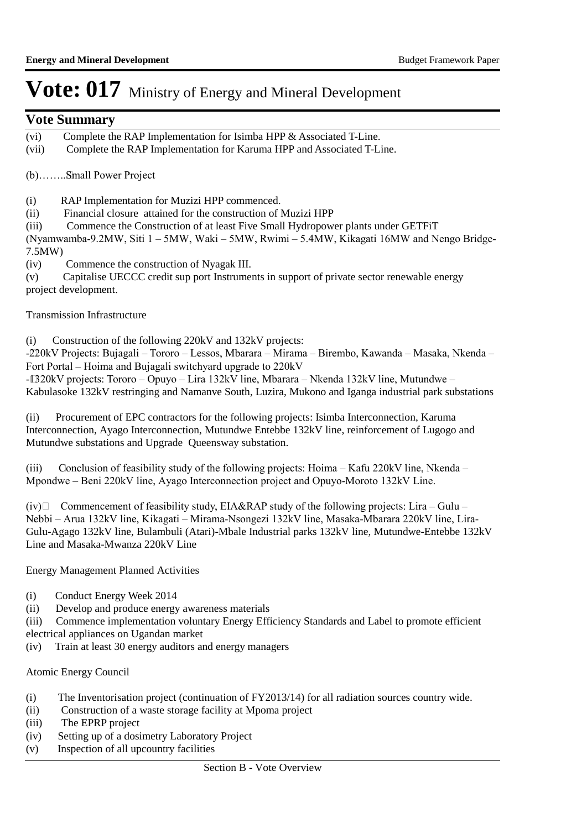### **Vote Summary**

- (vi) Complete the RAP Implementation for Isimba HPP & Associated T-Line.
- (vii) Complete the RAP Implementation for Karuma HPP and Associated T-Line.

(b)…….. Small Power Project

- (i) RAP Implementation for Muzizi HPP commenced.
- (ii) Financial closure attained for the construction of Muzizi HPP
- (iii) Commence the Construction of at least Five Small Hydropower plants under GETFiT

(Nyamwamba-9.2MW, Siti 1 – 5MW, Waki – 5MW, Rwimi – 5.4MW, Kikagati 16MW and Nengo Bridge-7.5MW)

(iv) Commence the construction of Nyagak III.

(v) Capitalise UECCC credit sup port Instruments in support of private sector renewable energy project development.

Transmission Infrastructure

(i) Construction of the following 220kV and 132kV projects:

-220kV Projects: Bujagali – Tororo – Lessos, Mbarara – Mirama – Birembo, Kawanda – Masaka, Nkenda – Fort Portal – Hoima and Bujagali switchyard upgrade to 220kV

-IB20kV projects: Tororo – Opuyo – Lira 132kV line, Mbarara – Nkenda 132kV line, Mutundwe – Kabulasoke 132kV restringing and Namanve South, Luzira, Mukono and Iganga industrial park substations

(ii) Procurement of EPC contractors for the following projects: Isimba Interconnection, Karuma Interconnection, Ayago Interconnection, Mutundwe Entebbe 132kV line, reinforcement of Lugogo and Mutundwe substations and Upgrade Queensway substation.

(iii) Conclusion of feasibility study of the following projects: Hoima – Kafu 220kV line, Nkenda – Mpondwe – Beni 220kV line, Ayago Interconnection project and Opuyo-Moroto 132kV Line.

 $(iv)$  Commencement of feasibility study, EIA&RAP study of the following projects: Lira – Gulu – Nebbi – Arua 132kV line, Kikagati – Mirama-Nsongezi 132kV line, Masaka-Mbarara 220kV line, Lira-Gulu-Agago 132kV line, Bulambuli (Atari)-Mbale Industrial parks 132kV line, Mutundwe-Entebbe 132kV Line and Masaka-Mwanza 220kV Line

Energy Management Planned Activities

- (i) Conduct Energy Week 2014
- (ii) Develop and produce energy awareness materials

(iii) Commence implementation voluntary Energy Efficiency Standards and Label to promote efficient electrical appliances on Ugandan market

(iv) Train at least 30 energy auditors and energy managers

#### Atomic Energy Council

- (i) The Inventorisation project (continuation of FY2013/14) for all radiation sources country wide.
- (ii) Construction of a waste storage facility at Mpoma project
- (iii) The EPRP project
- (iv) Setting up of a dosimetry Laboratory Project
- (v) Inspection of all upcountry facilities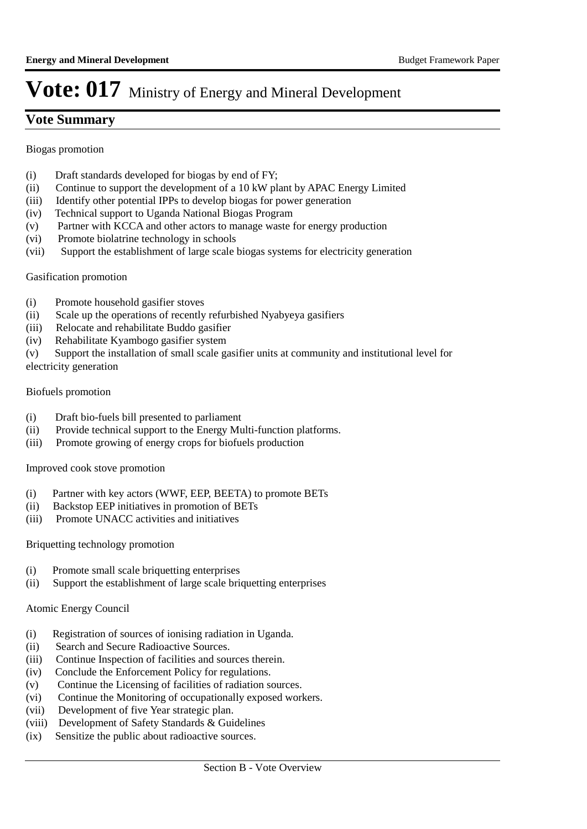### **Vote Summary**

Biogas promotion

- (i) Draft standards developed for biogas by end of FY;
- (ii) Continue to support the development of a 10 kW plant by APAC Energy Limited
- (iii) Identify other potential IPPs to develop biogas for power generation
- (iv) Technical support to Uganda National Biogas Program
- (v) Partner with KCCA and other actors to manage waste for energy production
- (vi) Promote biolatrine technology in schools
- (vii) Support the establishment of large scale biogas systems for electricity generation

#### Gasification promotion

- (i) Promote household gasifier stoves
- (ii) Scale up the operations of recently refurbished Nyabyeya gasifiers
- (iii) Relocate and rehabilitate Buddo gasifier
- (iv) Rehabilitate Kyambogo gasifier system
- (v) Support the installation of small scale gasifier units at community and institutional level for electricity generation

#### Biofuels promotion

- (i) Draft bio-fuels bill presented to parliament
- (ii) Provide technical support to the Energy Multi-function platforms.
- (iii) Promote growing of energy crops for biofuels production

#### Improved cook stove promotion

- (i) Partner with key actors (WWF, EEP, BEETA) to promote BETs
- (ii) Backstop EEP initiatives in promotion of BETs
- (iii) Promote UNACC activities and initiatives

#### Briquetting technology promotion

- (i) Promote small scale briquetting enterprises
- (ii) Support the establishment of large scale briquetting enterprises

#### Atomic Energy Council

- (i) Registration of sources of ionising radiation in Uganda.
- (ii) Search and Secure Radioactive Sources.
- (iii) Continue Inspection of facilities and sources therein.
- (iv) Conclude the Enforcement Policy for regulations.
- (v) Continue the Licensing of facilities of radiation sources.
- (vi) Continue the Monitoring of occupationally exposed workers.
- (vii) Development of five Year strategic plan.
- (viii) Development of Safety Standards & Guidelines
- (ix) Sensitize the public about radioactive sources.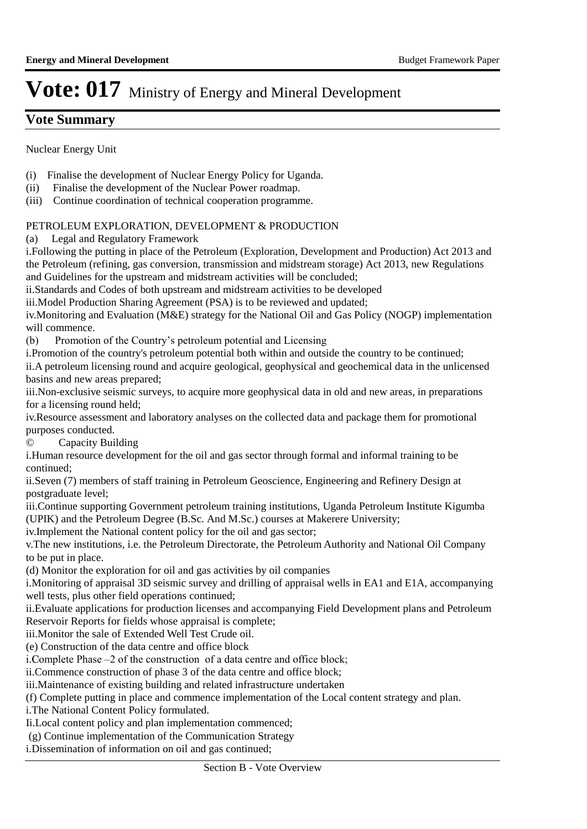### **Vote Summary**

Nuclear Energy Unit

- (i) Finalise the development of Nuclear Energy Policy for Uganda.
- (ii) Finalise the development of the Nuclear Power roadmap.
- (iii) Continue coordination of technical cooperation programme.

#### PETROLEUM EXPLORATION, DEVELOPMENT & PRODUCTION

(a) Legal and Regulatory Framework

i. Following the putting in place of the Petroleum (Exploration, Development and Production) Act 2013 and the Petroleum (refining, gas conversion, transmission and midstream storage) Act 2013, new Regulations and Guidelines for the upstream and midstream activities will be concluded;

ii.Standards and Codes of both upstream and midstream activities to be developed

iii.Model Production Sharing Agreement (PSA) is to be reviewed and updated;

iv. Monitoring and Evaluation (M&E) strategy for the National Oil and Gas Policy (NOGP) implementation will commence.

(b) Promotion of the Country's petroleum potential and Licensing

i. Promotion of the country's petroleum potential both within and outside the country to be continued;

ii.A petroleum licensing round and acquire geological, geophysical and geochemical data in the unlicensed basins and new areas prepared;

iii. Non-exclusive seismic surveys, to acquire more geophysical data in old and new areas, in preparations for a licensing round held;

iv. Resource assessment and laboratory analyses on the collected data and package them for promotional purposes conducted.

© Capacity Building

i. Human resource development for the oil and gas sector through formal and informal training to be continued;

ii. Seven (7) members of staff training in Petroleum Geoscience, Engineering and Refinery Design at postgraduate level;

iii. Continue supporting Government petroleum training institutions, Uganda Petroleum Institute Kigumba (UPIK) and the Petroleum Degree (B.Sc. And M.Sc.) courses at Makerere University;

iv. Implement the National content policy for the oil and gas sector;

v. The new institutions, i.e. the Petroleum Directorate, the Petroleum Authority and National Oil Company to be put in place.

(d) Monitor the exploration for oil and gas activities by oil companies

i. Monitoring of appraisal 3D seismic survey and drilling of appraisal wells in EA1 and E1A, accompanying well tests, plus other field operations continued;

ii. Evaluate applications for production licenses and accompanying Field Development plans and Petroleum Reservoir Reports for fields whose appraisal is complete;

iii. Monitor the sale of Extended Well Test Crude oil.

(e) Construction of the data centre and office block

i. Complete Phase –2 of the construction of a data centre and office block;

ii. Commence construction of phase 3 of the data centre and office block;

iii. Maintenance of existing building and related infrastructure undertaken

(f) Complete putting in place and commence implementation of the Local content strategy and plan.

i. The National Content Policy formulated.

Ii. Local content policy and plan implementation commenced;

(g) Continue implementation of the Communication Strategy

i. Dissemination of information on oil and gas continued;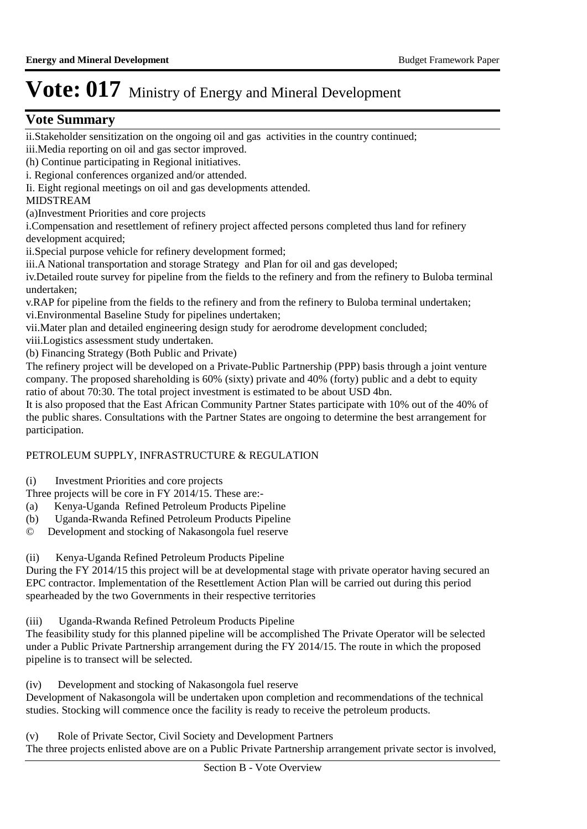### **Vote Summary**

ii. Stakeholder sensitization on the ongoing oil and gas activities in the country continued; iii. Media reporting on oil and gas sector improved.

(h) Continue participating in Regional initiatives.

i. Regional conferences organized and/or attended.

Ii. Eight regional meetings on oil and gas developments attended.

#### MIDSTREAM

(a) Investment Priorities and core projects

i. Compensation and resettlement of refinery project affected persons completed thus land for refinery development acquired;

ii.Special purpose vehicle for refinery development formed;

iii.A National transportation and storage Strategy and Plan for oil and gas developed;

iv. Detailed route survey for pipeline from the fields to the refinery and from the refinery to Buloba terminal undertaken;

v. RAP for pipeline from the fields to the refinery and from the refinery to Buloba terminal undertaken; vi. Environmental Baseline Study for pipelines undertaken;

vii. Mater plan and detailed engineering design study for aerodrome development concluded;

viii.Logistics assessment study undertaken.

(b) Financing Strategy (Both Public and Private)

The refinery project will be developed on a Private-Public Partnership (PPP) basis through a joint venture company. The proposed shareholding is 60% (sixty) private and 40% (forty) public and a debt to equity ratio of about 70:30. The total project investment is estimated to be about USD 4bn.

It is also proposed that the East African Community Partner States participate with 10% out of the 40% of the public shares. Consultations with the Partner States are ongoing to determine the best arrangement for participation.

#### PETROLEUM SUPPLY, INFRASTRUCTURE & REGULATION

(i) Investment Priorities and core projects

Three projects will be core in FY 2014/15. These are:-

- (a) Kenya-Uganda Refined Petroleum Products Pipeline
- (b) Uganda-Rwanda Refined Petroleum Products Pipeline
- © Development and stocking of Nakasongola fuel reserve

(ii) Kenya-Uganda Refined Petroleum Products Pipeline

During the FY 2014/15 this project will be at developmental stage with private operator having secured an EPC contractor. Implementation of the Resettlement Action Plan will be carried out during this period spearheaded by the two Governments in their respective territories

(iii) Uganda-Rwanda Refined Petroleum Products Pipeline

The feasibility study for this planned pipeline will be accomplished The Private Operator will be selected under a Public Private Partnership arrangement during the FY 2014/15. The route in which the proposed pipeline is to transect will be selected.

(iv) Development and stocking of Nakasongola fuel reserve

Development of Nakasongola will be undertaken upon completion and recommendations of the technical studies. Stocking will commence once the facility is ready to receive the petroleum products.

(v) Role of Private Sector, Civil Society and Development Partners The three projects enlisted above are on a Public Private Partnership arrangement private sector is involved,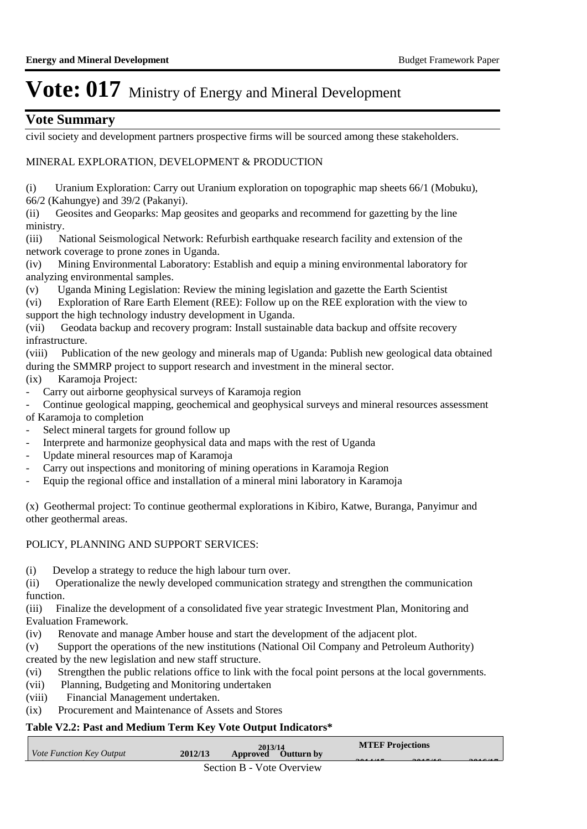### **Vote Summary**

civil society and development partners prospective firms will be sourced among these stakeholders.

#### MINERAL EXPLORATION, DEVELOPMENT & PRODUCTION

(i) Uranium Exploration: Carry out Uranium exploration on topographic map sheets 66/1 (Mobuku), 66/2 (Kahungye) and 39/2 (Pakanyi).

(ii) Geosites and Geoparks: Map geosites and geoparks and recommend for gazetting by the line ministry.

(iii) National Seismological Network: Refurbish earthquake research facility and extension of the network coverage to prone zones in Uganda.

(iv) Mining Environmental Laboratory: Establish and equip a mining environmental laboratory for analyzing environmental samples.

(v) Uganda Mining Legislation: Review the mining legislation and gazette the Earth Scientist

(vi) Exploration of Rare Earth Element (REE): Follow up on the REE exploration with the view to support the high technology industry development in Uganda.

(vii) Geodata backup and recovery program: Install sustainable data backup and offsite recovery infrastructure.

(viii) Publication of the new geology and minerals map of Uganda: Publish new geological data obtained during the SMMRP project to support research and investment in the mineral sector.

(ix) Karamoja Project:

Carry out airborne geophysical surveys of Karamoja region

Continue geological mapping, geochemical and geophysical surveys and mineral resources assessment of Karamoja to completion

- Select mineral targets for ground follow up
- Interprete and harmonize geophysical data and maps with the rest of Uganda
- Update mineral resources map of Karamoja
- Carry out inspections and monitoring of mining operations in Karamoja Region
- Equip the regional office and installation of a mineral mini laboratory in Karamoja

(x) Geothermal project: To continue geothermal explorations in Kibiro, Katwe, Buranga, Panyimur and other geothermal areas.

#### POLICY, PLANNING AND SUPPORT SERVICES:

(i) Develop a strategy to reduce the high labour turn over.

(ii) Operationalize the newly developed communication strategy and strengthen the communication function.

(iii) Finalize the development of a consolidated five year strategic Investment Plan, Monitoring and Evaluation Framework.

(iv) Renovate and manage Amber house and start the development of the adjacent plot.

(v) Support the operations of the new institutions (National Oil Company and Petroleum Authority) created by the new legislation and new staff structure.

- (vi) Strengthen the public relations office to link with the focal point persons at the local governments.
- (vii) Planning, Budgeting and Monitoring undertaken
- (viii) Financial Management undertaken.
- (ix) Procurement and Maintenance of Assets and Stores

#### **Table V2.2: Past and Medium Term Key Vote Output Indicators\***

| Vote Function Key Output | 2012/13 | 2013/14<br>Approved Outturn by | <b>MTEF Projections</b><br>$\begin{array}{c} \hline \end{array}$ | $\bullet \bullet \bullet \bullet \bullet \bullet \bullet \bullet$ |                                                             |
|--------------------------|---------|--------------------------------|------------------------------------------------------------------|-------------------------------------------------------------------|-------------------------------------------------------------|
|                          |         | Section B - Vote Overview      |                                                                  |                                                                   | $\bullet$ $\bullet$ $\bullet$ $\bullet$ $\bullet$ $\bullet$ |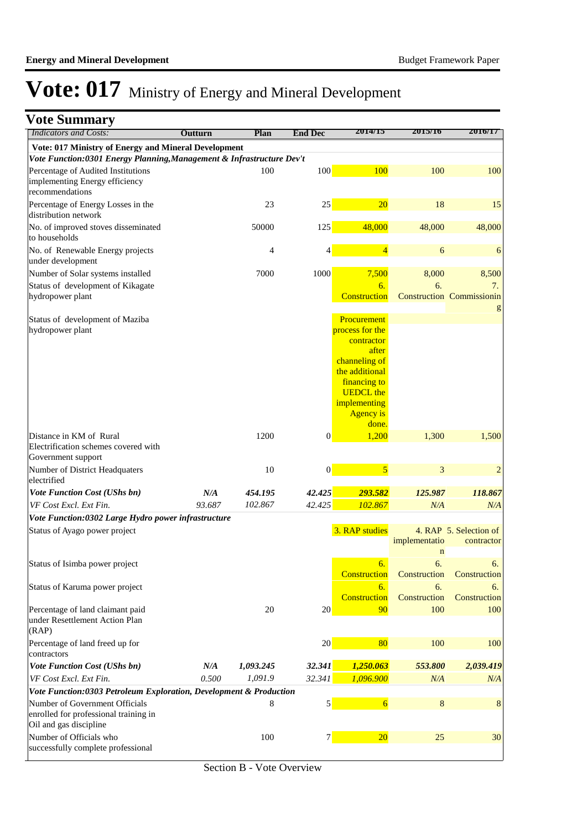| <b>Vote Summary</b>                                                                               |         |           |                  |                                                                                                                                                                           |                              |                                        |
|---------------------------------------------------------------------------------------------------|---------|-----------|------------------|---------------------------------------------------------------------------------------------------------------------------------------------------------------------------|------------------------------|----------------------------------------|
| <b>Indicators and Costs:</b>                                                                      | Outturn | Plan      | <b>End Dec</b>   | 2014/15                                                                                                                                                                   | 2015/16                      | 2016/17                                |
| Vote: 017 Ministry of Energy and Mineral Development                                              |         |           |                  |                                                                                                                                                                           |                              |                                        |
| Vote Function:0301 Energy Planning, Management & Infrastructure Dev't                             |         |           |                  |                                                                                                                                                                           |                              |                                        |
| Percentage of Audited Institutions<br>implementing Energy efficiency<br>recommendations           |         | 100       | 100              | 100                                                                                                                                                                       | 100                          | 100                                    |
| Percentage of Energy Losses in the<br>distribution network                                        |         | 23        | 25               | 20                                                                                                                                                                        | 18                           | 15                                     |
| No. of improved stoves disseminated<br>to households                                              |         | 50000     | 125              | 48,000                                                                                                                                                                    | 48,000                       | 48,000                                 |
| No. of Renewable Energy projects<br>under development                                             |         | 4         | 4                | $\overline{4}$                                                                                                                                                            | 6                            | 6                                      |
| Number of Solar systems installed                                                                 |         | 7000      | 1000             | 7,500                                                                                                                                                                     | 8,000                        | 8,500                                  |
| Status of development of Kikagate<br>hydropower plant                                             |         |           |                  | 6.<br>Construction                                                                                                                                                        | 6.                           | 7.<br><b>Construction Commissionin</b> |
| Status of development of Maziba<br>hydropower plant                                               |         |           |                  | Procurement<br>process for the<br>contractor<br>after<br>channeling of<br>the additional<br>financing to<br><b>UEDCL</b> the<br>implementing<br><b>Agency</b> is<br>done. |                              |                                        |
| Distance in KM of Rural                                                                           |         | 1200      | $\overline{0}$   | 1,200                                                                                                                                                                     | 1,300                        | 1,500                                  |
| Electrification schemes covered with<br>Government support                                        |         |           |                  |                                                                                                                                                                           |                              |                                        |
| Number of District Headquaters<br>electrified                                                     |         | 10        | $\boldsymbol{0}$ | 5                                                                                                                                                                         | 3                            | $\overline{c}$                         |
| <b>Vote Function Cost (UShs bn)</b>                                                               | N/A     | 454.195   | 42.425           | 293.582                                                                                                                                                                   | 125.987                      | 118.867                                |
| VF Cost Excl. Ext Fin.                                                                            | 93.687  | 102.867   | 42.425           | 102.867                                                                                                                                                                   | N/A                          | N/A                                    |
| Vote Function:0302 Large Hydro power infrastructure                                               |         |           |                  |                                                                                                                                                                           |                              |                                        |
| Status of Ayago power project                                                                     |         |           |                  | 3. RAP studies                                                                                                                                                            | implementatio<br>$\mathbf n$ | 4. RAP 5. Selection of<br>contractor   |
| Status of Isimba power project                                                                    |         |           |                  | 6.<br>Construction                                                                                                                                                        | 6.<br>Construction           | 6.<br>Construction                     |
| Status of Karuma power project                                                                    |         |           |                  | 6.<br>Construction                                                                                                                                                        | 6.<br>Construction           | 6.<br>Construction                     |
| Percentage of land claimant paid<br>under Resettlement Action Plan<br>(RAP)                       |         | 20        | 20 <sup>°</sup>  | 90                                                                                                                                                                        | 100                          | 100                                    |
| Percentage of land freed up for<br>contractors                                                    |         |           | 20               | 80                                                                                                                                                                        | 100                          | 100                                    |
| <b>Vote Function Cost (UShs bn)</b>                                                               | N/A     | 1,093.245 | 32.341           | 1,250.063                                                                                                                                                                 | 553.800                      | 2,039.419                              |
| VF Cost Excl. Ext Fin.                                                                            | 0.500   | 1,091.9   | 32.341           | 1,096.900                                                                                                                                                                 | N/A                          | N/A                                    |
| Vote Function:0303 Petroleum Exploration, Development & Production                                |         |           |                  |                                                                                                                                                                           |                              |                                        |
| Number of Government Officials<br>enrolled for professional training in<br>Oil and gas discipline |         | 8         | $\mathbf{5}$     | $\overline{6}$                                                                                                                                                            | $\bf 8$                      | 8                                      |
| Number of Officials who<br>successfully complete professional                                     |         | 100       | $7\vert$         | 20                                                                                                                                                                        | 25                           | 30                                     |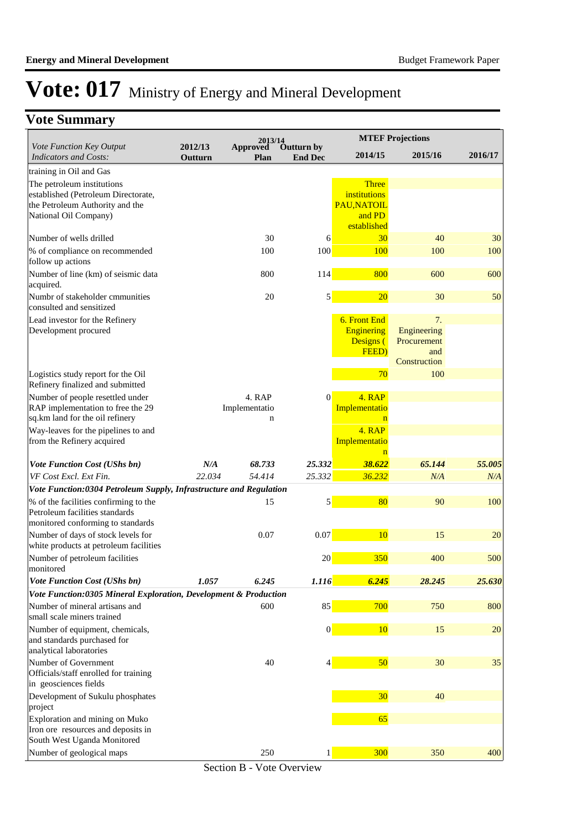### **Vote Summary**

|                                                                              |                    | 2013/14                      |                              |                              | <b>MTEF Projections</b> |         |
|------------------------------------------------------------------------------|--------------------|------------------------------|------------------------------|------------------------------|-------------------------|---------|
| Vote Function Key Output<br><b>Indicators and Costs:</b>                     | 2012/13<br>Outturn | <b>Approved</b><br>Plan      | Outturn by<br><b>End Dec</b> | 2014/15                      | 2015/16                 | 2016/17 |
| training in Oil and Gas                                                      |                    |                              |                              |                              |                         |         |
| The petroleum institutions                                                   |                    |                              |                              | <b>Three</b>                 |                         |         |
| established (Petroleum Directorate,<br>the Petroleum Authority and the       |                    |                              |                              | institutions<br>PAU, NATOIL  |                         |         |
| National Oil Company)                                                        |                    |                              |                              | and PD                       |                         |         |
|                                                                              |                    |                              |                              | established                  |                         |         |
| Number of wells drilled                                                      |                    | 30                           | 6                            | 30                           | 40                      | 30      |
| % of compliance on recommended<br>follow up actions                          |                    | 100                          | 100                          | 100                          | 100                     | 100     |
| Number of line (km) of seismic data<br>acquired.                             |                    | 800                          | 114                          | 800                          | 600                     | 600     |
| Numbr of stakeholder cmmunities<br>consulted and sensitized                  |                    | 20                           | $\mathbf{5}$                 | 20                           | 30                      | 50      |
| Lead investor for the Refinery                                               |                    |                              |                              | 6. Front End                 | 7.                      |         |
| Development procured                                                         |                    |                              |                              | <b>Enginering</b>            | Engineering             |         |
|                                                                              |                    |                              |                              | Designs (<br>FEED)           | Procurement<br>and      |         |
|                                                                              |                    |                              |                              |                              | Construction            |         |
| Logistics study report for the Oil<br>Refinery finalized and submitted       |                    |                              |                              | 70                           | 100                     |         |
| Number of people resettled under                                             |                    | 4. RAP                       | $\mathbf{0}$                 | 4. RAP                       |                         |         |
| RAP implementation to free the 29<br>sq.km land for the oil refinery         |                    | Implementatio<br>$\mathbf n$ |                              | Implementatio<br>$\mathbf n$ |                         |         |
| Way-leaves for the pipelines to and                                          |                    |                              |                              | 4. RAP                       |                         |         |
| from the Refinery acquired                                                   |                    |                              |                              | Implementatio                |                         |         |
| <b>Vote Function Cost (UShs bn)</b>                                          | N/A                | 68.733                       | 25.332                       | 38.622                       | 65.144                  | 55.005  |
| VF Cost Excl. Ext Fin.                                                       | 22.034             | 54.414                       | 25.332                       | 36.232                       | N/A                     | N/A     |
| Vote Function:0304 Petroleum Supply, Infrastructure and Regulation           |                    |                              |                              |                              |                         |         |
| % of the facilities confirming to the<br>Petroleum facilities standards      |                    | 15                           | $\overline{\mathbf{5}}$      | 80                           | 90                      | 100     |
| monitored conforming to standards                                            |                    |                              |                              |                              |                         |         |
| Number of days of stock levels for<br>white products at petroleum facilities |                    | 0.07                         | 0.07                         | 10                           | 15                      | 20      |
| Number of petroleum facilities<br>monitored                                  |                    |                              | 20                           | 350                          | 400                     | 500     |
| Vote Function Cost (UShs bn)                                                 | 1.057              | 6.245                        | 1.116                        | 6.245                        | 28.245                  | 25.630  |
| Vote Function:0305 Mineral Exploration, Development & Production             |                    |                              |                              |                              |                         |         |
| Number of mineral artisans and<br>small scale miners trained                 |                    | 600                          | 85                           | 700                          | 750                     | 800     |
| Number of equipment, chemicals,                                              |                    |                              | $\vert 0 \vert$              | 10                           | 15                      | 20      |
| and standards purchased for<br>analytical laboratories                       |                    |                              |                              |                              |                         |         |
| Number of Government<br>Officials/staff enrolled for training                |                    | 40                           |                              | 50                           | 30                      | 35      |
| in geosciences fields                                                        |                    |                              |                              |                              |                         |         |
| Development of Sukulu phosphates<br>project                                  |                    |                              |                              | 30                           | 40                      |         |
| Exploration and mining on Muko                                               |                    |                              |                              | 65                           |                         |         |
| Iron ore resources and deposits in<br>South West Uganda Monitored            |                    |                              |                              |                              |                         |         |
| Number of geological maps                                                    |                    | 250                          | 1                            | 300                          | 350                     | 400     |
|                                                                              |                    |                              |                              |                              |                         |         |

Section B - Vote Overview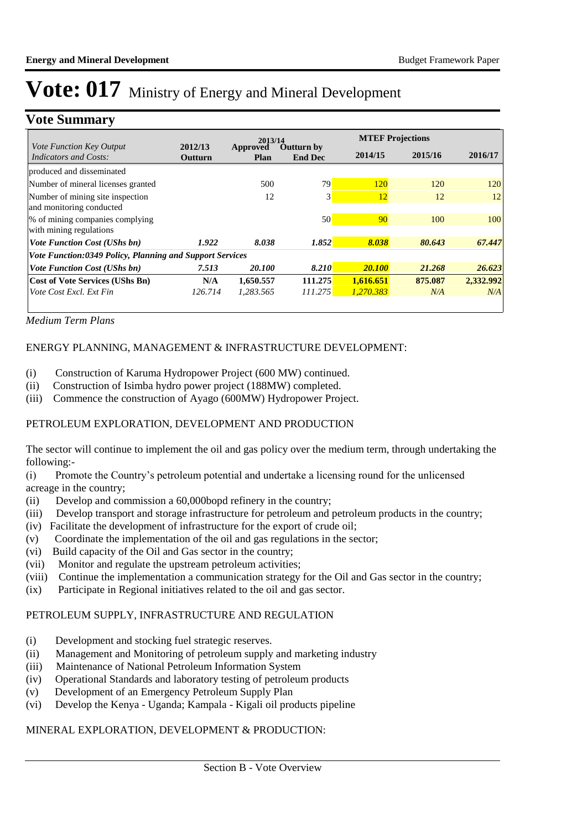### **Vote Summary**

|                                                              |                    | 2013/14          |                                     |            | <b>MTEF Projections</b> |           |  |  |  |
|--------------------------------------------------------------|--------------------|------------------|-------------------------------------|------------|-------------------------|-----------|--|--|--|
| Vote Function Key Output<br><b>Indicators and Costs:</b>     | 2012/13<br>Outturn | Approved<br>Plan | <b>Outturn by</b><br><b>End Dec</b> | 2014/15    | 2015/16                 | 2016/17   |  |  |  |
| produced and disseminated                                    |                    |                  |                                     |            |                         |           |  |  |  |
| Number of mineral licenses granted                           |                    | 500              | 79                                  | <b>120</b> | 120                     | 120       |  |  |  |
| Number of mining site inspection<br>and monitoring conducted |                    | 12               | 3                                   | 12         | 12                      | 12        |  |  |  |
| % of mining companies complying<br>with mining regulations   |                    |                  | 50                                  | 90         | 100                     | 100       |  |  |  |
| <b>Vote Function Cost (UShs bn)</b>                          | 1.922              | 8.038            | 1.852                               | 8.038      | 80.643                  | 67.447    |  |  |  |
| Vote Function:0349 Policy, Planning and Support Services     |                    |                  |                                     |            |                         |           |  |  |  |
| <b>Vote Function Cost (UShs bn)</b>                          | 7.513              | 20.100           | 8.210                               | 20.100     | 21.268                  | 26.623    |  |  |  |
| <b>Cost of Vote Services (UShs Bn)</b>                       | N/A                | 1,650.557        | 111.275                             | 1.616.651  | 875.087                 | 2,332.992 |  |  |  |
| Vote Cost Excl. Ext Fin                                      | 126.714            | 1,283.565        | 111.275                             | 1,270.383  | N/A                     | N/A       |  |  |  |
|                                                              |                    |                  |                                     |            |                         |           |  |  |  |

*Medium Term Plans*

#### ENERGY PLANNING, MANAGEMENT & INFRASTRUCTURE DEVELOPMENT:

- (i) Construction of Karuma Hydropower Project (600 MW) continued.
- (ii) Construction of Isimba hydro power project (188MW) completed.
- (iii) Commence the construction of Ayago (600MW) Hydropower Project.

#### PETROLEUM EXPLORATION, DEVELOPMENT AND PRODUCTION

The sector will continue to implement the oil and gas policy over the medium term, through undertaking the following:-

(i) Promote the Country's petroleum potential and undertake a licensing round for the unlicensed acreage in the country;

- (ii) Develop and commission a 60,000bopd refinery in the country;
- (iii) Develop transport and storage infrastructure for petroleum and petroleum products in the country;
- (iv) Facilitate the development of infrastructure for the export of crude oil;
- (v) Coordinate the implementation of the oil and gas regulations in the sector;
- (vi) Build capacity of the Oil and Gas sector in the country;
- (vii) Monitor and regulate the upstream petroleum activities;
- (viii) Continue the implementation a communication strategy for the Oil and Gas sector in the country;
- (ix) Participate in Regional initiatives related to the oil and gas sector.

### PETROLEUM SUPPLY, INFRASTRUCTURE AND REGULATION

- (i) Development and stocking fuel strategic reserves.
- (ii) Management and Monitoring of petroleum supply and marketing industry
- (iii) Maintenance of National Petroleum Information System
- (iv) Operational Standards and laboratory testing of petroleum products
- (v) Development of an Emergency Petroleum Supply Plan
- (vi) Develop the Kenya Uganda; Kampala Kigali oil products pipeline

### MINERAL EXPLORATION, DEVELOPMENT & PRODUCTION: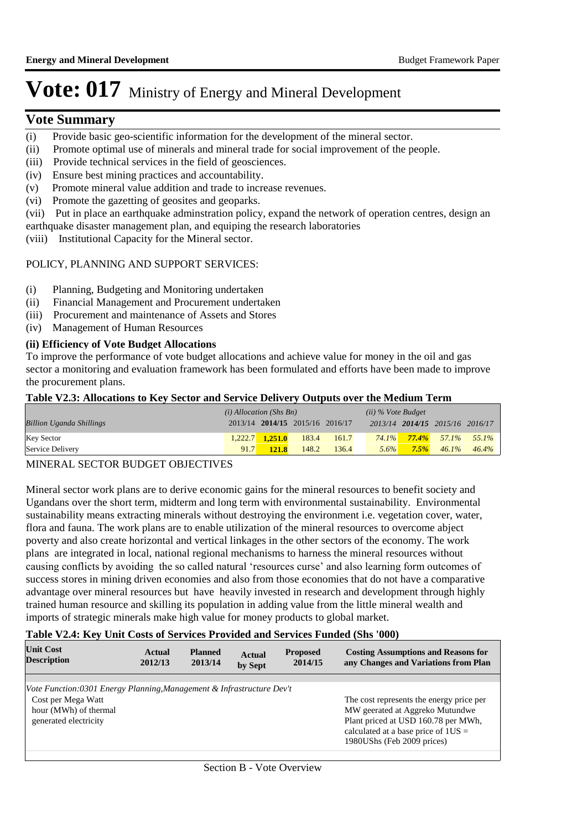#### **Vote Summary**

- (i) Provide basic geo-scientific information for the development of the mineral sector.
- (ii) Promote optimal use of minerals and mineral trade for social improvement of the people.
- (iii) Provide technical services in the field of geosciences.
- (iv) Ensure best mining practices and accountability.
- (v) Promote mineral value addition and trade to increase revenues.
- (vi) Promote the gazetting of geosites and geoparks.
- (vii) Put in place an earthquake adminstration policy, expand the network of operation centres, design an

earthquake disaster management plan, and equiping the research laboratories

(viii) Institutional Capacity for the Mineral sector.

#### POLICY, PLANNING AND SUPPORT SERVICES:

- (i) Planning, Budgeting and Monitoring undertaken
- (ii) Financial Management and Procurement undertaken
- (iii) Procurement and maintenance of Assets and Stores
- (iv) Management of Human Resources

#### **(ii) Efficiency of Vote Budget Allocations**

To improve the performance of vote budget allocations and achieve value for money in the oil and gas sector a monitoring and evaluation framework has been formulated and efforts have been made to improve the procurement plans.

#### **Table V2.3: Allocations to Key Sector and Service Delivery Outputs over the Medium Term**

|                                 | $(i)$ Allocation (Shs Bn) |                     |                                 | (ii) % Vote Budget |         |         |                                 |                                     |
|---------------------------------|---------------------------|---------------------|---------------------------------|--------------------|---------|---------|---------------------------------|-------------------------------------|
| <b>Billion Uganda Shillings</b> |                           |                     | 2013/14 2014/15 2015/16 2016/17 |                    |         |         | 2013/14 2014/15 2015/16 2016/17 |                                     |
| Key Sector                      |                           | $1,222.7$ $1,251.0$ | 183.4                           | 161.7              |         |         |                                 | $74.1\%$ $77.4\%$ $57.1\%$ $55.1\%$ |
| Service Delivery                | 91.7                      | <b>121.8</b>        | 148.2                           | 136.4              | $5.6\%$ | $7.5\%$ |                                 | $46.1\%$ $46.4\%$                   |

#### MINERAL SECTOR BUDGET OBJECTIVES

Mineral sector work plans are to derive economic gains for the mineral resources to benefit society and Ugandans over the short term, midterm and long term with environmental sustainability. Environmental sustainability means extracting minerals without destroying the environment i.e. vegetation cover, water, flora and fauna. The work plans are to enable utilization of the mineral resources to overcome abject poverty and also create horizontal and vertical linkages in the other sectors of the economy. The work plans are integrated in local, national regional mechanisms to harness the mineral resources without causing conflicts by avoiding the so called natural 'resources curse' and also learning form outcomes of success stores in mining driven economies and also from those economies that do not have a comparative advantage over mineral resources but have heavily invested in research and development through highly trained human resource and skilling its population in adding value from the little mineral wealth and imports of strategic minerals make high value for money products to global market.

#### **Table V2.4: Key Unit Costs of Services Provided and Services Funded (Shs '000)**

| <b>Unit Cost</b><br><b>Description</b>                                | Actual<br>2012/13 | <b>Planned</b><br>2013/14 | <b>Actual</b><br>by Sept | <b>Proposed</b><br>2014/15 | <b>Costing Assumptions and Reasons for</b><br>any Changes and Variations from Plan |
|-----------------------------------------------------------------------|-------------------|---------------------------|--------------------------|----------------------------|------------------------------------------------------------------------------------|
|                                                                       |                   |                           |                          |                            |                                                                                    |
| Vote Function:0301 Energy Planning, Management & Infrastructure Dev't |                   |                           |                          |                            |                                                                                    |
| Cost per Mega Watt                                                    |                   |                           |                          |                            | The cost represents the energy price per                                           |
| hour (MWh) of thermal                                                 |                   |                           |                          |                            | MW geerated at Aggreko Mutundwe                                                    |
| generated electricity                                                 |                   |                           |                          |                            | Plant priced at USD 160.78 per MWh,                                                |
|                                                                       |                   |                           |                          |                            | calculated at a base price of $1US =$                                              |
|                                                                       |                   |                           |                          |                            | 1980UShs (Feb 2009 prices)                                                         |
|                                                                       |                   |                           |                          |                            |                                                                                    |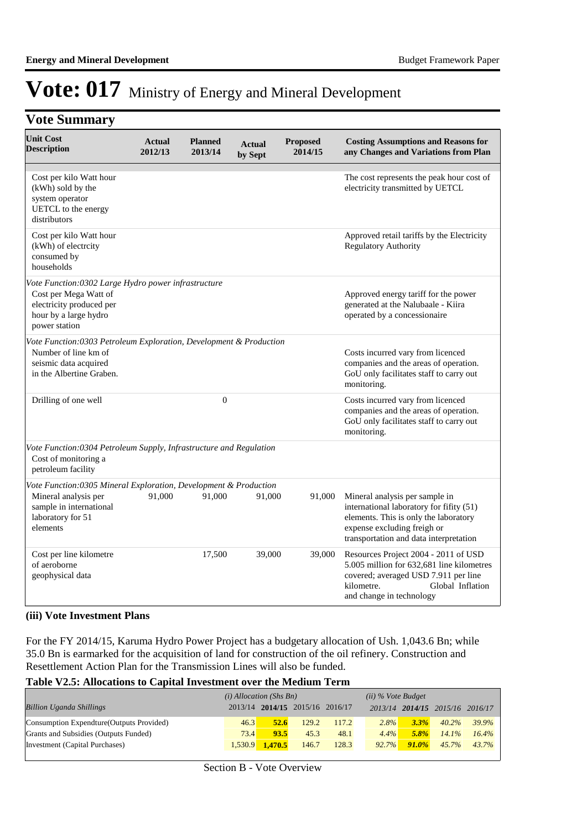### **Vote Summary**

| <b>Unit Cost</b><br><b>Description</b>                                                                                                               | <b>Actual</b><br>2012/13 | <b>Planned</b><br>2013/14 | Actual<br>by Sept | <b>Proposed</b><br>2014/15 | <b>Costing Assumptions and Reasons for</b><br>any Changes and Variations from Plan                                                                                                           |
|------------------------------------------------------------------------------------------------------------------------------------------------------|--------------------------|---------------------------|-------------------|----------------------------|----------------------------------------------------------------------------------------------------------------------------------------------------------------------------------------------|
| Cost per kilo Watt hour<br>(kWh) sold by the<br>system operator<br>UETCL to the energy<br>distributors                                               |                          |                           |                   |                            | The cost represents the peak hour cost of<br>electricity transmitted by UETCL                                                                                                                |
| Cost per kilo Watt hour<br>(kWh) of electrcity<br>consumed by<br>households                                                                          |                          |                           |                   |                            | Approved retail tariffs by the Electricity<br><b>Regulatory Authority</b>                                                                                                                    |
| Vote Function:0302 Large Hydro power infrastructure<br>Cost per Mega Watt of<br>electricity produced per<br>hour by a large hydro<br>power station   |                          |                           |                   |                            | Approved energy tariff for the power<br>generated at the Nalubaale - Kiira<br>operated by a concessionaire                                                                                   |
| Vote Function: 0303 Petroleum Exploration, Development & Production<br>Number of line km of<br>seismic data acquired<br>in the Albertine Graben.     |                          |                           |                   |                            | Costs incurred vary from licenced<br>companies and the areas of operation.<br>GoU only facilitates staff to carry out<br>monitoring.                                                         |
| Drilling of one well                                                                                                                                 |                          | $\mathbf{0}$              |                   |                            | Costs incurred vary from licenced<br>companies and the areas of operation.<br>GoU only facilitates staff to carry out<br>monitoring.                                                         |
| Vote Function:0304 Petroleum Supply, Infrastructure and Regulation<br>Cost of monitoring a<br>petroleum facility                                     |                          |                           |                   |                            |                                                                                                                                                                                              |
| Vote Function:0305 Mineral Exploration, Development & Production<br>Mineral analysis per<br>sample in international<br>laboratory for 51<br>elements | 91,000                   | 91,000                    | 91,000            | 91,000                     | Mineral analysis per sample in<br>international laboratory for fifity (51)<br>elements. This is only the laboratory<br>expense excluding freigh or<br>transportation and data interpretation |
| Cost per line kilometre<br>of aeroborne<br>geophysical data                                                                                          |                          | 17,500                    | 39,000            | 39,000                     | Resources Project 2004 - 2011 of USD<br>5.005 million for 632,681 line kilometres<br>covered; averaged USD 7.911 per line<br>kilometre.<br>Global Inflation<br>and change in technology      |

#### **(iii) Vote Investment Plans**

For the FY 2014/15, Karuma Hydro Power Project has a budgetary allocation of Ush. 1,043.6 Bn; while 35.0 Bn is earmarked for the acquisition of land for construction of the oil refinery. Construction and Resettlement Action Plan for the Transmission Lines will also be funded.

#### **Table V2.5: Allocations to Capital Investment over the Medium Term**

|                                           | $(i)$ Allocation (Shs Bn) |                                 |       | $(ii)$ % Vote Budget |         |          |                         |       |
|-------------------------------------------|---------------------------|---------------------------------|-------|----------------------|---------|----------|-------------------------|-------|
| <b>Billion Uganda Shillings</b>           |                           | 2013/14 2014/15 2015/16 2016/17 |       |                      | 2013/14 |          | 2014/15 2015/16 2016/17 |       |
| Consumption Expendture (Outputs Provided) | 46.3                      | 52.6                            | 129.2 | 117.2                | $2.8\%$ | $3.3\%$  | $40.2\%$                | 39.9% |
| Grants and Subsidies (Outputs Funded)     | 73.4                      | 93.5                            | 45.3  | 48.1                 | $4.4\%$ | $5.8\%$  | $14.1\%$                | 16.4% |
| Investment (Capital Purchases)            | 1.530.9                   | 1.470.5                         | 146.7 | 128.3                | 92.7%   | $91.0\%$ | 45.7%                   | 43.7% |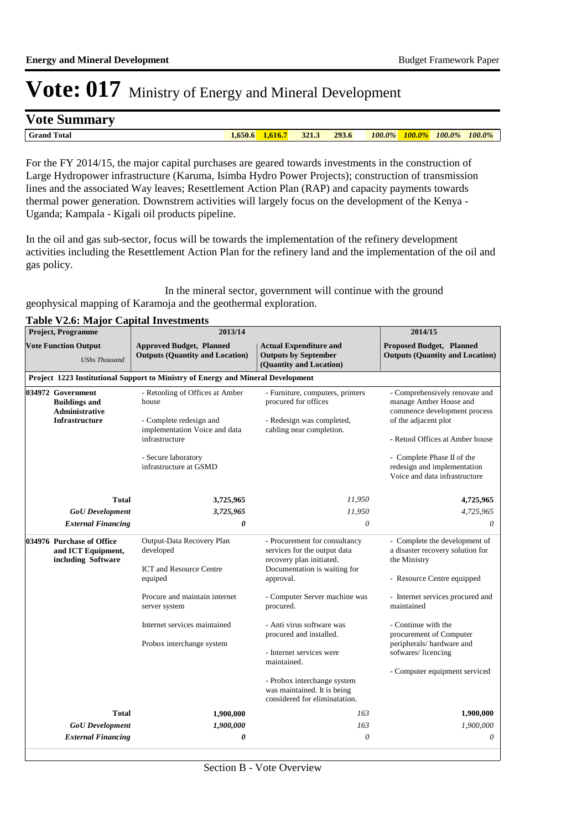#### **Vote Summary**

**Grand Total 1,650.6 1,616.7 321.3 293.6** *100.0% 100.0% 100.0% 100.0%*

For the FY 2014/15, the major capital purchases are geared towards investments in the construction of Large Hydropower infrastructure (Karuma, Isimba Hydro Power Projects); construction of transmission lines and the associated Way leaves; Resettlement Action Plan (RAP) and capacity payments towards thermal power generation. Downstrem activities will largely focus on the development of the Kenya - Uganda; Kampala - Kigali oil products pipeline.

In the oil and gas sub-sector, focus will be towards the implementation of the refinery development activities including the Resettlement Action Plan for the refinery land and the implementation of the oil and gas policy.

 In the mineral sector, government will continue with the ground geophysical mapping of Karamoja and the geothermal exploration.

|  | <b>Project, Programme</b>                                                                   | 2013/14                                                                                                                                                                 |                                                                                                                                        | 2014/15                                                                                                                                                                                                                                           |  |
|--|---------------------------------------------------------------------------------------------|-------------------------------------------------------------------------------------------------------------------------------------------------------------------------|----------------------------------------------------------------------------------------------------------------------------------------|---------------------------------------------------------------------------------------------------------------------------------------------------------------------------------------------------------------------------------------------------|--|
|  | <b>Vote Function Output</b><br><b>UShs Thousand</b>                                         | <b>Approved Budget, Planned</b><br><b>Outputs (Quantity and Location)</b>                                                                                               | <b>Actual Expenditure and</b><br><b>Outputs by September</b><br>(Quantity and Location)                                                |                                                                                                                                                                                                                                                   |  |
|  |                                                                                             | Project 1223 Institutional Support to Ministry of Energy and Mineral Development                                                                                        |                                                                                                                                        |                                                                                                                                                                                                                                                   |  |
|  | 034972 Government<br><b>Buildings and</b><br><b>Administrative</b><br><b>Infrastructure</b> | - Retooling of Offices at Amber<br>house<br>- Complete redesign and<br>implementation Voice and data<br>infrastructure<br>- Secure laboratory<br>infrastructure at GSMD | - Furniture, computers, printers<br>procured for offices<br>- Redesign was completed,<br>cabling near completion.                      | - Comprehensively renovate and<br>manage Amber House and<br>commence development process<br>of the adjacent plot<br>- Retool Offices at Amber house<br>- Complete Phase II of the<br>redesign and implementation<br>Voice and data infrastructure |  |
|  | <b>Total</b>                                                                                | 3,725,965                                                                                                                                                               | 11,950                                                                                                                                 | 4,725,965                                                                                                                                                                                                                                         |  |
|  | <b>GoU</b> Development                                                                      | 3,725,965                                                                                                                                                               | 11,950                                                                                                                                 | 4,725,965                                                                                                                                                                                                                                         |  |
|  | <b>External Financing</b>                                                                   | 0                                                                                                                                                                       | 0                                                                                                                                      | $\theta$                                                                                                                                                                                                                                          |  |
|  | 034976 Purchase of Office<br>and ICT Equipment,<br>including Software                       | Output-Data Recovery Plan<br>developed<br><b>ICT</b> and Resource Centre<br>equiped                                                                                     | - Procurement for consultancy<br>services for the output data<br>recovery plan initiated.<br>Documentation is waiting for<br>approval. | - Complete the development of<br>a disaster recovery solution for<br>the Ministry<br>- Resource Centre equipped                                                                                                                                   |  |
|  |                                                                                             | Procure and maintain internet<br>server system                                                                                                                          | - Computer Server machine was<br>procured.                                                                                             | - Internet services procured and<br>maintained                                                                                                                                                                                                    |  |
|  | Internet services maintained<br>Probox interchange system                                   | - Anti virus software was<br>procured and installed.<br>- Internet services were<br>maintained.                                                                         | - Continue with the<br>procurement of Computer<br>peripherals/hardware and<br>sofwares/licencing                                       |                                                                                                                                                                                                                                                   |  |
|  |                                                                                             |                                                                                                                                                                         | - Probox interchange system<br>was maintained. It is being<br>considered for eliminatation.                                            | - Computer equipment serviced                                                                                                                                                                                                                     |  |
|  | <b>Total</b>                                                                                | 1,900,000                                                                                                                                                               | 163                                                                                                                                    | 1,900,000                                                                                                                                                                                                                                         |  |
|  | <b>GoU</b> Development                                                                      | 1,900,000                                                                                                                                                               | 163                                                                                                                                    | 1,900,000                                                                                                                                                                                                                                         |  |
|  | <b>External Financing</b>                                                                   | 0                                                                                                                                                                       | 0                                                                                                                                      | $\theta$                                                                                                                                                                                                                                          |  |

#### **Table V2.6: Major Capital Investments**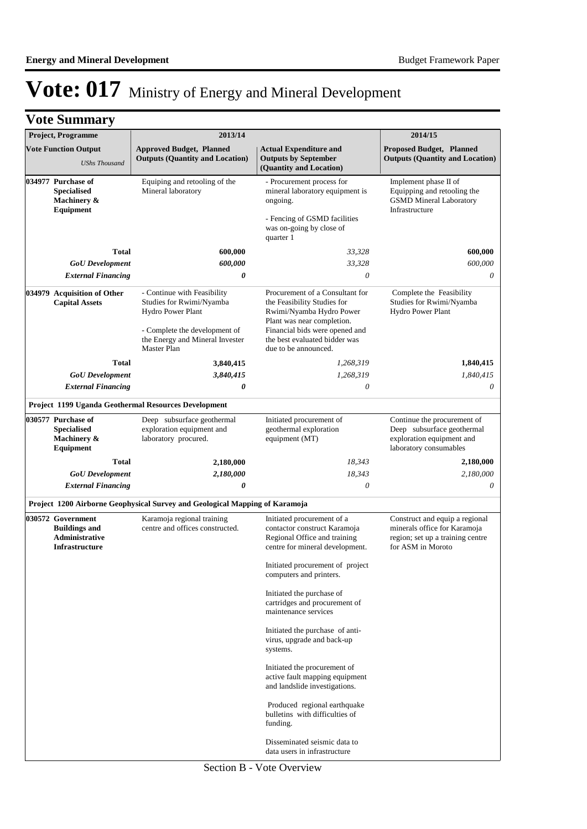|  | <b>Vote Summary</b>                                                                         |                                                                                                                                                                        |                                                                                                                                                                                                                     |                                                                                                                         |
|--|---------------------------------------------------------------------------------------------|------------------------------------------------------------------------------------------------------------------------------------------------------------------------|---------------------------------------------------------------------------------------------------------------------------------------------------------------------------------------------------------------------|-------------------------------------------------------------------------------------------------------------------------|
|  | Project, Programme                                                                          | 2013/14                                                                                                                                                                |                                                                                                                                                                                                                     | 2014/15                                                                                                                 |
|  | <b>Vote Function Output</b><br><b>UShs Thousand</b>                                         | <b>Approved Budget, Planned</b><br><b>Outputs (Quantity and Location)</b>                                                                                              | <b>Actual Expenditure and</b><br><b>Outputs by September</b><br>(Quantity and Location)                                                                                                                             | <b>Proposed Budget, Planned</b><br><b>Outputs (Quantity and Location)</b>                                               |
|  | 034977 Purchase of<br><b>Specialised</b><br>Machinery &<br>Equipment                        | Equiping and retooling of the<br>Mineral laboratory                                                                                                                    | - Procurement process for<br>mineral laboratory equipment is<br>ongoing.<br>- Fencing of GSMD facilities<br>was on-going by close of                                                                                | Implement phase II of<br>Equipping and retooling the<br><b>GSMD Mineral Laboratory</b><br>Infrastructure                |
|  |                                                                                             |                                                                                                                                                                        | quarter 1                                                                                                                                                                                                           |                                                                                                                         |
|  | Total                                                                                       | 600,000                                                                                                                                                                | 33,328                                                                                                                                                                                                              | 600.000                                                                                                                 |
|  | <b>GoU</b> Development                                                                      | 600,000                                                                                                                                                                | 33,328                                                                                                                                                                                                              | 600,000                                                                                                                 |
|  | <b>External Financing</b>                                                                   | 0                                                                                                                                                                      | 0                                                                                                                                                                                                                   | 0                                                                                                                       |
|  | 034979 Acquisition of Other<br><b>Capital Assets</b>                                        | - Continue with Feasibility<br>Studies for Rwimi/Nyamba<br>Hydro Power Plant<br>- Complete the development of<br>the Energy and Mineral Invester<br><b>Master Plan</b> | Procurement of a Consultant for<br>the Feasibility Studies for<br>Rwimi/Nyamba Hydro Power<br>Plant was near completion.<br>Financial bids were opened and<br>the best evaluated bidder was<br>due to be announced. | Complete the Feasibility<br>Studies for Rwimi/Nyamba<br>Hydro Power Plant                                               |
|  | <b>Total</b>                                                                                | 3,840,415                                                                                                                                                              | 1,268,319                                                                                                                                                                                                           | 1,840,415                                                                                                               |
|  | <b>GoU</b> Development                                                                      | 3,840,415                                                                                                                                                              | 1,268,319                                                                                                                                                                                                           | 1,840,415                                                                                                               |
|  | <b>External Financing</b>                                                                   | 0                                                                                                                                                                      | 0                                                                                                                                                                                                                   | 0                                                                                                                       |
|  |                                                                                             | Project 1199 Uganda Geothermal Resources Development                                                                                                                   |                                                                                                                                                                                                                     |                                                                                                                         |
|  | 030577 Purchase of<br><b>Specialised</b><br>Machinery &<br>Equipment                        | Deep subsurface geothermal<br>exploration equipment and<br>laboratory procured.                                                                                        | Initiated procurement of<br>geothermal exploration<br>equipment (MT)                                                                                                                                                | Continue the procurement of<br>Deep subsurface geothermal<br>exploration equipment and<br>laboratory consumables        |
|  | <b>Total</b>                                                                                | 2,180,000                                                                                                                                                              | 18,343                                                                                                                                                                                                              | 2,180,000                                                                                                               |
|  | <b>GoU</b> Development                                                                      | 2,180,000                                                                                                                                                              | 18,343                                                                                                                                                                                                              | 2,180,000                                                                                                               |
|  | <b>External Financing</b>                                                                   | 0                                                                                                                                                                      | $\theta$                                                                                                                                                                                                            | 0                                                                                                                       |
|  |                                                                                             | Project 1200 Airborne Geophysical Survey and Geological Mapping of Karamoja                                                                                            |                                                                                                                                                                                                                     |                                                                                                                         |
|  | 030572 Government<br><b>Buildings and</b><br><b>Administrative</b><br><b>Infrastructure</b> | Karamoja regional training<br>centre and offices constructed.                                                                                                          | Initiated procurement of a<br>contactor construct Karamoja<br>Regional Office and training<br>centre for mineral development.                                                                                       | Construct and equip a regional<br>minerals office for Karamoja<br>region; set up a training centre<br>for ASM in Moroto |
|  |                                                                                             |                                                                                                                                                                        | Initiated procurement of project<br>computers and printers.                                                                                                                                                         |                                                                                                                         |
|  |                                                                                             |                                                                                                                                                                        | Initiated the purchase of<br>cartridges and procurement of<br>maintenance services                                                                                                                                  |                                                                                                                         |
|  |                                                                                             |                                                                                                                                                                        | Initiated the purchase of anti-<br>virus, upgrade and back-up<br>systems.                                                                                                                                           |                                                                                                                         |
|  |                                                                                             |                                                                                                                                                                        | Initiated the procurement of<br>active fault mapping equipment<br>and landslide investigations.                                                                                                                     |                                                                                                                         |
|  |                                                                                             |                                                                                                                                                                        | Produced regional earthquake<br>bulletins with difficulties of<br>funding.                                                                                                                                          |                                                                                                                         |
|  |                                                                                             |                                                                                                                                                                        | Disseminated seismic data to<br>data users in infrastructure                                                                                                                                                        |                                                                                                                         |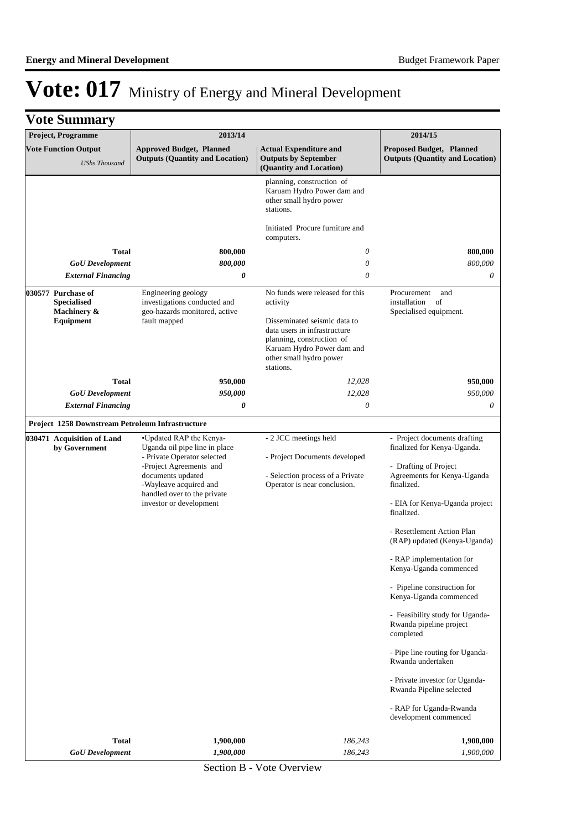| <b>Vote Summary</b><br>Project, Programme                            | 2013/14                                                                                                                                                                                                                     |                                                                                                                                                                                                                | 2014/15                                                                                                                                                                                                                                                                                                                                                                                                                                                                                                                                                                                                             |
|----------------------------------------------------------------------|-----------------------------------------------------------------------------------------------------------------------------------------------------------------------------------------------------------------------------|----------------------------------------------------------------------------------------------------------------------------------------------------------------------------------------------------------------|---------------------------------------------------------------------------------------------------------------------------------------------------------------------------------------------------------------------------------------------------------------------------------------------------------------------------------------------------------------------------------------------------------------------------------------------------------------------------------------------------------------------------------------------------------------------------------------------------------------------|
|                                                                      |                                                                                                                                                                                                                             |                                                                                                                                                                                                                |                                                                                                                                                                                                                                                                                                                                                                                                                                                                                                                                                                                                                     |
| <b>Vote Function Output</b><br><b>UShs Thousand</b>                  | <b>Approved Budget, Planned</b><br><b>Outputs (Quantity and Location)</b>                                                                                                                                                   | <b>Actual Expenditure and</b><br><b>Outputs by September</b><br>(Quantity and Location)                                                                                                                        | Proposed Budget, Planned<br><b>Outputs (Quantity and Location)</b>                                                                                                                                                                                                                                                                                                                                                                                                                                                                                                                                                  |
| Total                                                                | 800,000                                                                                                                                                                                                                     | planning, construction of<br>Karuam Hydro Power dam and<br>other small hydro power<br>stations.<br>Initiated Procure furniture and<br>computers.<br>0                                                          | 800,000                                                                                                                                                                                                                                                                                                                                                                                                                                                                                                                                                                                                             |
| <b>GoU</b> Development                                               | 800,000                                                                                                                                                                                                                     | $\theta$                                                                                                                                                                                                       | 800,000                                                                                                                                                                                                                                                                                                                                                                                                                                                                                                                                                                                                             |
| <b>External Financing</b>                                            | 0                                                                                                                                                                                                                           | 0                                                                                                                                                                                                              | 0                                                                                                                                                                                                                                                                                                                                                                                                                                                                                                                                                                                                                   |
| 030577 Purchase of<br><b>Specialised</b><br>Machinery &<br>Equipment | Engineering geology<br>investigations conducted and<br>geo-hazards monitored, active<br>fault mapped                                                                                                                        | No funds were released for this<br>activity<br>Disseminated seismic data to<br>data users in infrastructure<br>planning, construction of<br>Karuam Hydro Power dam and<br>other small hydro power<br>stations. | Procurement<br>and<br>installation<br>of<br>Specialised equipment.                                                                                                                                                                                                                                                                                                                                                                                                                                                                                                                                                  |
| Total                                                                | 950,000                                                                                                                                                                                                                     | 12,028                                                                                                                                                                                                         | 950,000                                                                                                                                                                                                                                                                                                                                                                                                                                                                                                                                                                                                             |
| <b>GoU</b> Development                                               | 950,000                                                                                                                                                                                                                     | 12,028                                                                                                                                                                                                         | 950,000                                                                                                                                                                                                                                                                                                                                                                                                                                                                                                                                                                                                             |
| <b>External Financing</b>                                            | 0                                                                                                                                                                                                                           | 0                                                                                                                                                                                                              | 0                                                                                                                                                                                                                                                                                                                                                                                                                                                                                                                                                                                                                   |
| Project 1258 Downstream Petroleum Infrastructure                     |                                                                                                                                                                                                                             |                                                                                                                                                                                                                |                                                                                                                                                                                                                                                                                                                                                                                                                                                                                                                                                                                                                     |
| 030471 Acquisition of Land<br>by Government                          | •Updated RAP the Kenya-<br>Uganda oil pipe line in place<br>- Private Operator selected<br>-Project Agreements and<br>documents updated<br>-Wayleave acquired and<br>handled over to the private<br>investor or development | - 2 JCC meetings held<br>- Project Documents developed<br>- Selection process of a Private<br>Operator is near conclusion.                                                                                     | - Project documents drafting<br>finalized for Kenya-Uganda.<br>- Drafting of Project<br>Agreements for Kenya-Uganda<br>finalized.<br>- EIA for Kenya-Uganda project<br>finalized.<br>- Resettlement Action Plan<br>(RAP) updated (Kenya-Uganda)<br>- RAP implementation for<br>Kenya-Uganda commenced<br>- Pipeline construction for<br>Kenya-Uganda commenced<br>- Feasibility study for Uganda-<br>Rwanda pipeline project<br>completed<br>- Pipe line routing for Uganda-<br>Rwanda undertaken<br>- Private investor for Uganda-<br>Rwanda Pipeline selected<br>- RAP for Uganda-Rwanda<br>development commenced |
| <b>Total</b><br><b>GoU</b> Development                               | 1,900,000<br>1,900,000                                                                                                                                                                                                      | 186,243<br>186,243                                                                                                                                                                                             | 1,900,000<br>1,900,000                                                                                                                                                                                                                                                                                                                                                                                                                                                                                                                                                                                              |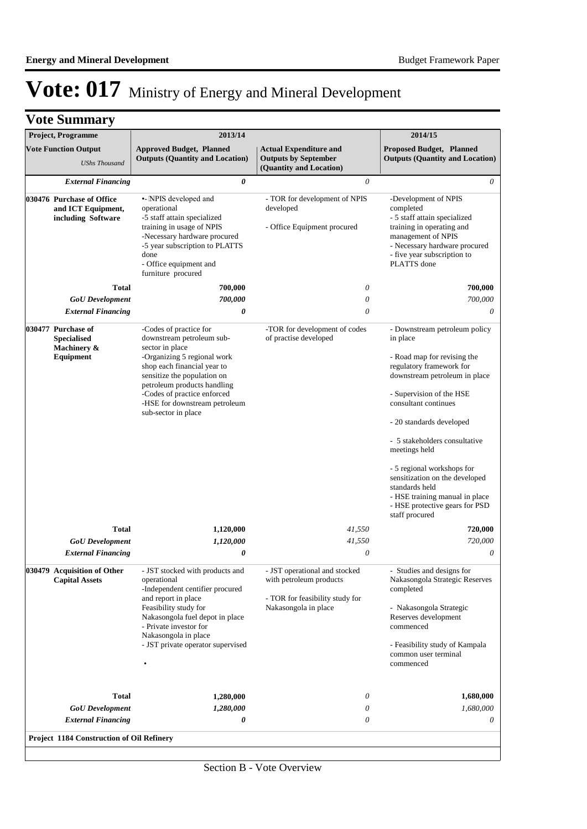| <b>Vote Function Output</b><br><b>Approved Budget, Planned</b><br><b>Actual Expenditure and</b><br><b>Proposed Budget, Planned</b><br><b>Outputs (Quantity and Location)</b><br><b>Outputs by September</b><br><b>Outputs (Quantity and Location)</b><br><b>UShs Thousand</b><br>(Quantity and Location)<br>0<br>0<br><b>External Financing</b><br>•- INPIS developed and<br>- TOR for development of NPIS<br>-Development of NPIS<br>030476 Purchase of Office<br>and ICT Equipment,<br>operational<br>completed<br>developed<br>-5 staff attain specialized<br>- 5 staff attain specialized<br>including Software<br>training in usage of NPIS<br>- Office Equipment procured<br>training in operating and<br>-Necessary hardware procured<br>management of NPIS<br>-5 year subscription to PLATTS<br>- five year subscription to<br>done<br>PLATTS done<br>- Office equipment and<br>furniture procured<br>$\theta$<br><b>Total</b><br>700,000<br><b>GoU</b> Development<br>700,000<br>$\theta$<br><b>External Financing</b><br>0<br>$\theta$<br>030477 Purchase of<br>-Codes of practice for<br>-TOR for development of codes<br><b>Specialised</b><br>downstream petroleum sub-<br>of practise developed<br>in place<br>sector in place<br>Machinery &<br>-Organizing 5 regional work<br>- Road map for revising the<br><b>Equipment</b><br>regulatory framework for<br>shop each financial year to<br>sensitize the population on<br>petroleum products handling<br>-Codes of practice enforced<br>- Supervision of the HSE<br>consultant continues<br>-HSE for downstream petroleum<br>sub-sector in place<br>- 20 standards developed<br>- 5 stakeholders consultative<br>meetings held<br>- 5 regional workshops for<br>standards held<br>staff procured<br><b>Total</b><br>41,550<br>1,120,000<br>41,550<br><b>GoU</b> Development<br>1,120,000<br><b>External Financing</b><br>$\theta$<br>0<br>030479 Acquisition of Other<br>- JST operational and stocked<br>- Studies and designs for<br>- JST stocked with products and<br>with petroleum products<br><b>Capital Assets</b><br>operational<br>-Independent centifier procured<br>completed<br>and report in place<br>- TOR for feasibility study for<br>Feasibility study for<br>Nakasongola in place<br>- Nakasongola Strategic<br>Nakasongola fuel depot in place<br>Reserves development<br>- Private investor for<br>commenced<br>Nakasongola in place<br>- JST private operator supervised<br>common user terminal<br>commenced<br>0<br><b>Total</b><br>1,280,000<br><b>GoU</b> Development<br>1,280,000<br>$\theta$<br><b>External Financing</b><br>0<br>0 | <b>Project, Programme</b> | 2013/14 | 2014/15                                                                                                                                                                         |
|----------------------------------------------------------------------------------------------------------------------------------------------------------------------------------------------------------------------------------------------------------------------------------------------------------------------------------------------------------------------------------------------------------------------------------------------------------------------------------------------------------------------------------------------------------------------------------------------------------------------------------------------------------------------------------------------------------------------------------------------------------------------------------------------------------------------------------------------------------------------------------------------------------------------------------------------------------------------------------------------------------------------------------------------------------------------------------------------------------------------------------------------------------------------------------------------------------------------------------------------------------------------------------------------------------------------------------------------------------------------------------------------------------------------------------------------------------------------------------------------------------------------------------------------------------------------------------------------------------------------------------------------------------------------------------------------------------------------------------------------------------------------------------------------------------------------------------------------------------------------------------------------------------------------------------------------------------------------------------------------------------------------------------------------------------------------------------------------------------------------------------------------------------------------------------------------------------------------------------------------------------------------------------------------------------------------------------------------------------------------------------------------------------------------------------------------------------------------------------------------------------------------------------------------------------------------------------------------------------------------------------|---------------------------|---------|---------------------------------------------------------------------------------------------------------------------------------------------------------------------------------|
|                                                                                                                                                                                                                                                                                                                                                                                                                                                                                                                                                                                                                                                                                                                                                                                                                                                                                                                                                                                                                                                                                                                                                                                                                                                                                                                                                                                                                                                                                                                                                                                                                                                                                                                                                                                                                                                                                                                                                                                                                                                                                                                                                                                                                                                                                                                                                                                                                                                                                                                                                                                                                                  |                           |         |                                                                                                                                                                                 |
|                                                                                                                                                                                                                                                                                                                                                                                                                                                                                                                                                                                                                                                                                                                                                                                                                                                                                                                                                                                                                                                                                                                                                                                                                                                                                                                                                                                                                                                                                                                                                                                                                                                                                                                                                                                                                                                                                                                                                                                                                                                                                                                                                                                                                                                                                                                                                                                                                                                                                                                                                                                                                                  |                           |         |                                                                                                                                                                                 |
|                                                                                                                                                                                                                                                                                                                                                                                                                                                                                                                                                                                                                                                                                                                                                                                                                                                                                                                                                                                                                                                                                                                                                                                                                                                                                                                                                                                                                                                                                                                                                                                                                                                                                                                                                                                                                                                                                                                                                                                                                                                                                                                                                                                                                                                                                                                                                                                                                                                                                                                                                                                                                                  |                           |         | 0                                                                                                                                                                               |
|                                                                                                                                                                                                                                                                                                                                                                                                                                                                                                                                                                                                                                                                                                                                                                                                                                                                                                                                                                                                                                                                                                                                                                                                                                                                                                                                                                                                                                                                                                                                                                                                                                                                                                                                                                                                                                                                                                                                                                                                                                                                                                                                                                                                                                                                                                                                                                                                                                                                                                                                                                                                                                  |                           |         | - Necessary hardware procured                                                                                                                                                   |
|                                                                                                                                                                                                                                                                                                                                                                                                                                                                                                                                                                                                                                                                                                                                                                                                                                                                                                                                                                                                                                                                                                                                                                                                                                                                                                                                                                                                                                                                                                                                                                                                                                                                                                                                                                                                                                                                                                                                                                                                                                                                                                                                                                                                                                                                                                                                                                                                                                                                                                                                                                                                                                  |                           |         | 700,000                                                                                                                                                                         |
|                                                                                                                                                                                                                                                                                                                                                                                                                                                                                                                                                                                                                                                                                                                                                                                                                                                                                                                                                                                                                                                                                                                                                                                                                                                                                                                                                                                                                                                                                                                                                                                                                                                                                                                                                                                                                                                                                                                                                                                                                                                                                                                                                                                                                                                                                                                                                                                                                                                                                                                                                                                                                                  |                           |         | 700,000                                                                                                                                                                         |
|                                                                                                                                                                                                                                                                                                                                                                                                                                                                                                                                                                                                                                                                                                                                                                                                                                                                                                                                                                                                                                                                                                                                                                                                                                                                                                                                                                                                                                                                                                                                                                                                                                                                                                                                                                                                                                                                                                                                                                                                                                                                                                                                                                                                                                                                                                                                                                                                                                                                                                                                                                                                                                  |                           |         | 0                                                                                                                                                                               |
|                                                                                                                                                                                                                                                                                                                                                                                                                                                                                                                                                                                                                                                                                                                                                                                                                                                                                                                                                                                                                                                                                                                                                                                                                                                                                                                                                                                                                                                                                                                                                                                                                                                                                                                                                                                                                                                                                                                                                                                                                                                                                                                                                                                                                                                                                                                                                                                                                                                                                                                                                                                                                                  |                           |         | - Downstream petroleum policy<br>downstream petroleum in place<br>sensitization on the developed<br>- HSE training manual in place<br>- HSE protective gears for PSD<br>720,000 |
|                                                                                                                                                                                                                                                                                                                                                                                                                                                                                                                                                                                                                                                                                                                                                                                                                                                                                                                                                                                                                                                                                                                                                                                                                                                                                                                                                                                                                                                                                                                                                                                                                                                                                                                                                                                                                                                                                                                                                                                                                                                                                                                                                                                                                                                                                                                                                                                                                                                                                                                                                                                                                                  |                           |         | 720,000                                                                                                                                                                         |
|                                                                                                                                                                                                                                                                                                                                                                                                                                                                                                                                                                                                                                                                                                                                                                                                                                                                                                                                                                                                                                                                                                                                                                                                                                                                                                                                                                                                                                                                                                                                                                                                                                                                                                                                                                                                                                                                                                                                                                                                                                                                                                                                                                                                                                                                                                                                                                                                                                                                                                                                                                                                                                  |                           |         | 0                                                                                                                                                                               |
|                                                                                                                                                                                                                                                                                                                                                                                                                                                                                                                                                                                                                                                                                                                                                                                                                                                                                                                                                                                                                                                                                                                                                                                                                                                                                                                                                                                                                                                                                                                                                                                                                                                                                                                                                                                                                                                                                                                                                                                                                                                                                                                                                                                                                                                                                                                                                                                                                                                                                                                                                                                                                                  |                           |         | Nakasongola Strategic Reserves<br>- Feasibility study of Kampala                                                                                                                |
|                                                                                                                                                                                                                                                                                                                                                                                                                                                                                                                                                                                                                                                                                                                                                                                                                                                                                                                                                                                                                                                                                                                                                                                                                                                                                                                                                                                                                                                                                                                                                                                                                                                                                                                                                                                                                                                                                                                                                                                                                                                                                                                                                                                                                                                                                                                                                                                                                                                                                                                                                                                                                                  |                           |         | 1,680,000                                                                                                                                                                       |
|                                                                                                                                                                                                                                                                                                                                                                                                                                                                                                                                                                                                                                                                                                                                                                                                                                                                                                                                                                                                                                                                                                                                                                                                                                                                                                                                                                                                                                                                                                                                                                                                                                                                                                                                                                                                                                                                                                                                                                                                                                                                                                                                                                                                                                                                                                                                                                                                                                                                                                                                                                                                                                  |                           |         | 1,680,000                                                                                                                                                                       |
|                                                                                                                                                                                                                                                                                                                                                                                                                                                                                                                                                                                                                                                                                                                                                                                                                                                                                                                                                                                                                                                                                                                                                                                                                                                                                                                                                                                                                                                                                                                                                                                                                                                                                                                                                                                                                                                                                                                                                                                                                                                                                                                                                                                                                                                                                                                                                                                                                                                                                                                                                                                                                                  |                           |         | 0                                                                                                                                                                               |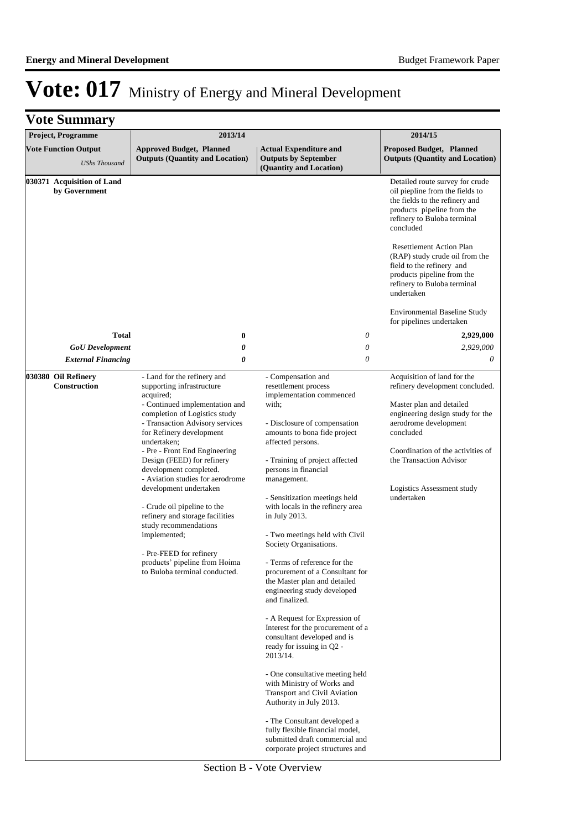| <b>Vote Summary</b>                                         |                                                                                                                                                                                                                                                                                                                                                                                                                                                                                                                                                                                       |                                                                                                                                                                                                                                                                                                                                                                                                                                                                                                                                                                                                                                                                                                                                                                                                                                                                                                                                           |                                                                                                                                                                                                                                                                                                                                                                                                                                             |
|-------------------------------------------------------------|---------------------------------------------------------------------------------------------------------------------------------------------------------------------------------------------------------------------------------------------------------------------------------------------------------------------------------------------------------------------------------------------------------------------------------------------------------------------------------------------------------------------------------------------------------------------------------------|-------------------------------------------------------------------------------------------------------------------------------------------------------------------------------------------------------------------------------------------------------------------------------------------------------------------------------------------------------------------------------------------------------------------------------------------------------------------------------------------------------------------------------------------------------------------------------------------------------------------------------------------------------------------------------------------------------------------------------------------------------------------------------------------------------------------------------------------------------------------------------------------------------------------------------------------|---------------------------------------------------------------------------------------------------------------------------------------------------------------------------------------------------------------------------------------------------------------------------------------------------------------------------------------------------------------------------------------------------------------------------------------------|
| Project, Programme                                          | 2013/14                                                                                                                                                                                                                                                                                                                                                                                                                                                                                                                                                                               | 2014/15                                                                                                                                                                                                                                                                                                                                                                                                                                                                                                                                                                                                                                                                                                                                                                                                                                                                                                                                   |                                                                                                                                                                                                                                                                                                                                                                                                                                             |
| <b>Vote Function Output</b><br><b>UShs Thousand</b>         | <b>Approved Budget, Planned</b><br><b>Outputs (Quantity and Location)</b>                                                                                                                                                                                                                                                                                                                                                                                                                                                                                                             | <b>Actual Expenditure and</b><br><b>Outputs by September</b><br>(Quantity and Location)                                                                                                                                                                                                                                                                                                                                                                                                                                                                                                                                                                                                                                                                                                                                                                                                                                                   | <b>Proposed Budget, Planned</b><br><b>Outputs (Quantity and Location)</b>                                                                                                                                                                                                                                                                                                                                                                   |
| 030371 Acquisition of Land<br>by Government<br><b>Total</b> | $\bf{0}$                                                                                                                                                                                                                                                                                                                                                                                                                                                                                                                                                                              | 0                                                                                                                                                                                                                                                                                                                                                                                                                                                                                                                                                                                                                                                                                                                                                                                                                                                                                                                                         | Detailed route survey for crude<br>oil piepline from the fields to<br>the fields to the refinery and<br>products pipeline from the<br>refinery to Buloba terminal<br>concluded<br><b>Resettlement Action Plan</b><br>(RAP) study crude oil from the<br>field to the refinery and<br>products pipeline from the<br>refinery to Buloba terminal<br>undertaken<br><b>Environmental Baseline Study</b><br>for pipelines undertaken<br>2,929,000 |
| <b>GoU</b> Development<br><b>External Financing</b>         | 0<br>0                                                                                                                                                                                                                                                                                                                                                                                                                                                                                                                                                                                | $\theta$<br>$\theta$                                                                                                                                                                                                                                                                                                                                                                                                                                                                                                                                                                                                                                                                                                                                                                                                                                                                                                                      | 2,929,000<br>0                                                                                                                                                                                                                                                                                                                                                                                                                              |
| 030380 Oil Refinery<br><b>Construction</b>                  | - Land for the refinery and<br>supporting infrastructure<br>acquired;<br>- Continued implementation and<br>completion of Logistics study<br>- Transaction Advisory services<br>for Refinery development<br>undertaken;<br>- Pre - Front End Engineering<br>Design (FEED) for refinery<br>development completed.<br>- Aviation studies for aerodrome<br>development undertaken<br>- Crude oil pipeline to the<br>refinery and storage facilities<br>study recommendations<br>implemented;<br>- Pre-FEED for refinery<br>products' pipeline from Hoima<br>to Buloba terminal conducted. | - Compensation and<br>resettlement process<br>implementation commenced<br>with;<br>- Disclosure of compensation<br>amounts to bona fide project<br>affected persons.<br>- Training of project affected<br>persons in financial<br>management.<br>- Sensitization meetings held<br>with locals in the refinery area<br>in July 2013.<br>- Two meetings held with Civil<br>Society Organisations.<br>- Terms of reference for the<br>procurement of a Consultant for<br>the Master plan and detailed<br>engineering study developed<br>and finalized.<br>- A Request for Expression of<br>Interest for the procurement of a<br>consultant developed and is<br>ready for issuing in O2 -<br>2013/14.<br>- One consultative meeting held<br>with Ministry of Works and<br><b>Transport and Civil Aviation</b><br>Authority in July 2013.<br>- The Consultant developed a<br>fully flexible financial model,<br>submitted draft commercial and | Acquisition of land for the<br>refinery development concluded.<br>Master plan and detailed<br>engineering design study for the<br>aerodrome development<br>concluded<br>Coordination of the activities of<br>the Transaction Advisor<br>Logistics Assessment study<br>undertaken                                                                                                                                                            |

Section B - Vote Overview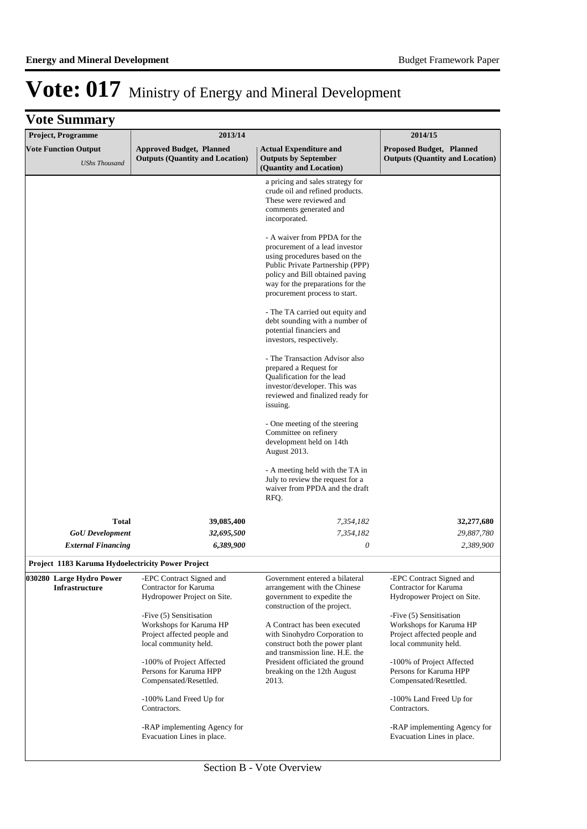| <b>Vote Summary</b>                                 |                                                                                                            |                                                                                                                                                                                                                                             |                                                                                                            |
|-----------------------------------------------------|------------------------------------------------------------------------------------------------------------|---------------------------------------------------------------------------------------------------------------------------------------------------------------------------------------------------------------------------------------------|------------------------------------------------------------------------------------------------------------|
| <b>Project, Programme</b>                           | 2013/14                                                                                                    |                                                                                                                                                                                                                                             | 2014/15                                                                                                    |
| <b>Vote Function Output</b><br><b>UShs Thousand</b> | <b>Approved Budget, Planned</b><br><b>Outputs (Quantity and Location)</b>                                  | <b>Actual Expenditure and</b><br><b>Outputs by September</b><br>(Quantity and Location)                                                                                                                                                     | Proposed Budget, Planned<br><b>Outputs (Quantity and Location)</b>                                         |
|                                                     |                                                                                                            | a pricing and sales strategy for<br>crude oil and refined products.<br>These were reviewed and<br>comments generated and<br>incorporated.                                                                                                   |                                                                                                            |
|                                                     |                                                                                                            | - A waiver from PPDA for the<br>procurement of a lead investor<br>using procedures based on the<br>Public Private Partnership (PPP)<br>policy and Bill obtained paving<br>way for the preparations for the<br>procurement process to start. |                                                                                                            |
|                                                     |                                                                                                            | - The TA carried out equity and<br>debt sounding with a number of<br>potential financiers and<br>investors, respectively.                                                                                                                   |                                                                                                            |
|                                                     |                                                                                                            | - The Transaction Advisor also<br>prepared a Request for<br>Qualification for the lead<br>investor/developer. This was<br>reviewed and finalized ready for<br>issuing.                                                                      |                                                                                                            |
|                                                     |                                                                                                            | - One meeting of the steering<br>Committee on refinery<br>development held on 14th<br>August 2013.                                                                                                                                          |                                                                                                            |
|                                                     |                                                                                                            | - A meeting held with the TA in<br>July to review the request for a<br>waiver from PPDA and the draft<br>RFQ.                                                                                                                               |                                                                                                            |
| <b>Total</b>                                        | 39,085,400                                                                                                 | 7,354,182                                                                                                                                                                                                                                   | 32,277,680                                                                                                 |
| <b>GoU</b> Development                              | 32,695,500                                                                                                 | 7,354,182                                                                                                                                                                                                                                   | 29,887,780                                                                                                 |
| <b>External Financing</b>                           | 6,389,900                                                                                                  | $\theta$                                                                                                                                                                                                                                    | 2,389,900                                                                                                  |
| Project 1183 Karuma Hydoelectricity Power Project   |                                                                                                            |                                                                                                                                                                                                                                             |                                                                                                            |
| 030280 Large Hydro Power<br>Infrastructure          | -EPC Contract Signed and<br>Contractor for Karuma<br>Hydropower Project on Site.                           | Government entered a bilateral<br>arrangement with the Chinese<br>government to expedite the<br>construction of the project.                                                                                                                | -EPC Contract Signed and<br>Contractor for Karuma<br>Hydropower Project on Site.                           |
|                                                     | -Five (5) Sensitisation<br>Workshops for Karuma HP<br>Project affected people and<br>local community held. | A Contract has been executed<br>with Sinohydro Corporation to<br>construct both the power plant<br>and transmission line. H.E. the                                                                                                          | -Five (5) Sensitisation<br>Workshops for Karuma HP<br>Project affected people and<br>local community held. |
|                                                     | -100% of Project Affected<br>Persons for Karuma HPP<br>Compensated/Resettled.                              | President officiated the ground<br>breaking on the 12th August<br>2013.                                                                                                                                                                     | -100% of Project Affected<br>Persons for Karuma HPP<br>Compensated/Resettled.                              |
|                                                     | -100% Land Freed Up for<br>Contractors.                                                                    |                                                                                                                                                                                                                                             | -100% Land Freed Up for<br>Contractors.                                                                    |
|                                                     | -RAP implementing Agency for<br>Evacuation Lines in place.                                                 |                                                                                                                                                                                                                                             | -RAP implementing Agency for<br>Evacuation Lines in place.                                                 |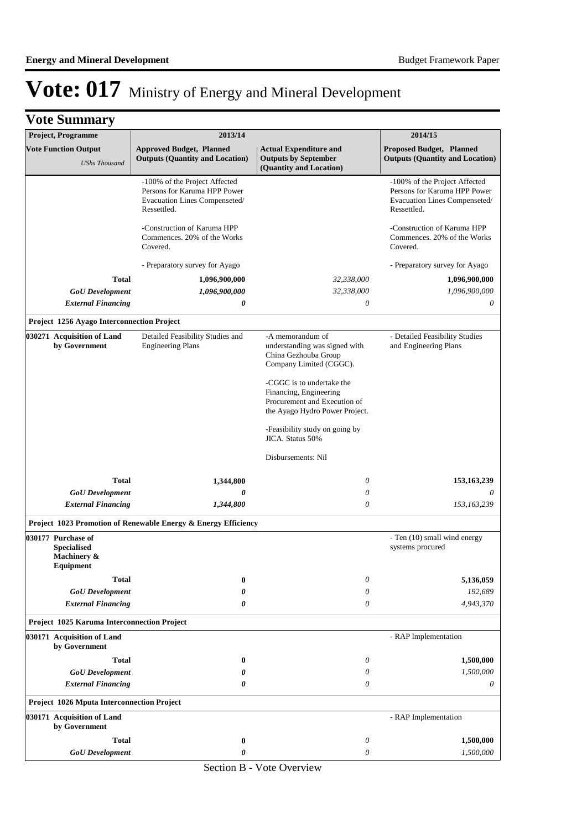| <b>Vote Summary</b>                                                  |                                                                                                               |                                                                                                                                                                                                                                                                                                           |                                                                                                               |  |  |
|----------------------------------------------------------------------|---------------------------------------------------------------------------------------------------------------|-----------------------------------------------------------------------------------------------------------------------------------------------------------------------------------------------------------------------------------------------------------------------------------------------------------|---------------------------------------------------------------------------------------------------------------|--|--|
| Project, Programme                                                   | 2013/14                                                                                                       |                                                                                                                                                                                                                                                                                                           | 2014/15                                                                                                       |  |  |
| <b>Vote Function Output</b><br><b>UShs Thousand</b>                  | <b>Approved Budget, Planned</b><br><b>Outputs (Quantity and Location)</b>                                     | <b>Actual Expenditure and</b><br><b>Outputs by September</b><br>(Quantity and Location)                                                                                                                                                                                                                   | <b>Proposed Budget, Planned</b><br><b>Outputs (Quantity and Location)</b>                                     |  |  |
|                                                                      | -100% of the Project Affected<br>Persons for Karuma HPP Power<br>Evacuation Lines Compenseted/<br>Ressettled. |                                                                                                                                                                                                                                                                                                           | -100% of the Project Affected<br>Persons for Karuma HPP Power<br>Evacuation Lines Compenseted/<br>Ressettled. |  |  |
|                                                                      | -Construction of Karuma HPP<br>Commences. 20% of the Works<br>Covered.                                        |                                                                                                                                                                                                                                                                                                           | -Construction of Karuma HPP<br>Commences. 20% of the Works<br>Covered.                                        |  |  |
|                                                                      | - Preparatory survey for Ayago                                                                                |                                                                                                                                                                                                                                                                                                           | - Preparatory survey for Ayago                                                                                |  |  |
| <b>Total</b>                                                         | 1,096,900,000                                                                                                 | 32,338,000                                                                                                                                                                                                                                                                                                | 1,096,900,000                                                                                                 |  |  |
| <b>GoU</b> Development                                               | 1,096,900,000                                                                                                 | 32,338,000                                                                                                                                                                                                                                                                                                | 1,096,900,000                                                                                                 |  |  |
| <b>External Financing</b>                                            | 0                                                                                                             | 0                                                                                                                                                                                                                                                                                                         | 0                                                                                                             |  |  |
| Project 1256 Ayago Interconnection Project                           |                                                                                                               |                                                                                                                                                                                                                                                                                                           |                                                                                                               |  |  |
| 030271 Acquisition of Land<br>by Government                          | Detailed Feasibility Studies and<br><b>Engineering Plans</b>                                                  | -A memorandum of<br>understanding was signed with<br>China Gezhouba Group<br>Company Limited (CGGC).<br>-CGGC is to undertake the<br>Financing, Engineering<br>Procurement and Execution of<br>the Ayago Hydro Power Project.<br>-Feasibility study on going by<br>JICA. Status 50%<br>Disbursements: Nil | - Detailed Feasibility Studies<br>and Engineering Plans                                                       |  |  |
| <b>Total</b>                                                         | 1,344,800                                                                                                     | 0                                                                                                                                                                                                                                                                                                         | 153,163,239                                                                                                   |  |  |
| <b>GoU</b> Development                                               | 0                                                                                                             | 0                                                                                                                                                                                                                                                                                                         | 0                                                                                                             |  |  |
| <b>External Financing</b>                                            | 1,344,800                                                                                                     | $\theta$                                                                                                                                                                                                                                                                                                  | 153,163,239                                                                                                   |  |  |
|                                                                      | Project 1023 Promotion of Renewable Energy & Energy Efficiency                                                |                                                                                                                                                                                                                                                                                                           |                                                                                                               |  |  |
| 030177 Purchase of<br><b>Specialised</b><br>Machinery &<br>Equipment |                                                                                                               |                                                                                                                                                                                                                                                                                                           | - Ten (10) small wind energy<br>systems procured                                                              |  |  |
| <b>Total</b>                                                         | $\bf{0}$                                                                                                      | 0                                                                                                                                                                                                                                                                                                         | 5,136,059                                                                                                     |  |  |
| <b>GoU</b> Development                                               | 0                                                                                                             | 0                                                                                                                                                                                                                                                                                                         | 192,689                                                                                                       |  |  |
| <b>External Financing</b>                                            | $\boldsymbol{\theta}$                                                                                         | 0                                                                                                                                                                                                                                                                                                         | 4,943,370                                                                                                     |  |  |
| Project 1025 Karuma Interconnection Project                          |                                                                                                               |                                                                                                                                                                                                                                                                                                           |                                                                                                               |  |  |
| 030171 Acquisition of Land<br>by Government                          |                                                                                                               |                                                                                                                                                                                                                                                                                                           | - RAP Implementation                                                                                          |  |  |
| <b>Total</b>                                                         | $\bf{0}$                                                                                                      | 0                                                                                                                                                                                                                                                                                                         | 1,500,000                                                                                                     |  |  |
| <b>GoU</b> Development                                               | 0                                                                                                             | 0                                                                                                                                                                                                                                                                                                         | 1,500,000                                                                                                     |  |  |
| <b>External Financing</b>                                            | 0                                                                                                             | 0                                                                                                                                                                                                                                                                                                         | 0                                                                                                             |  |  |
| <b>Project 1026 Mputa Interconnection Project</b>                    |                                                                                                               |                                                                                                                                                                                                                                                                                                           |                                                                                                               |  |  |
| 030171 Acquisition of Land<br>by Government                          |                                                                                                               |                                                                                                                                                                                                                                                                                                           | - RAP Implementation                                                                                          |  |  |
| <b>Total</b>                                                         | $\bf{0}$                                                                                                      | $\boldsymbol{\theta}$                                                                                                                                                                                                                                                                                     | 1,500,000                                                                                                     |  |  |
| <b>GoU</b> Development                                               | 0                                                                                                             | 0<br>1,500,000                                                                                                                                                                                                                                                                                            |                                                                                                               |  |  |

Section B - Vote Overview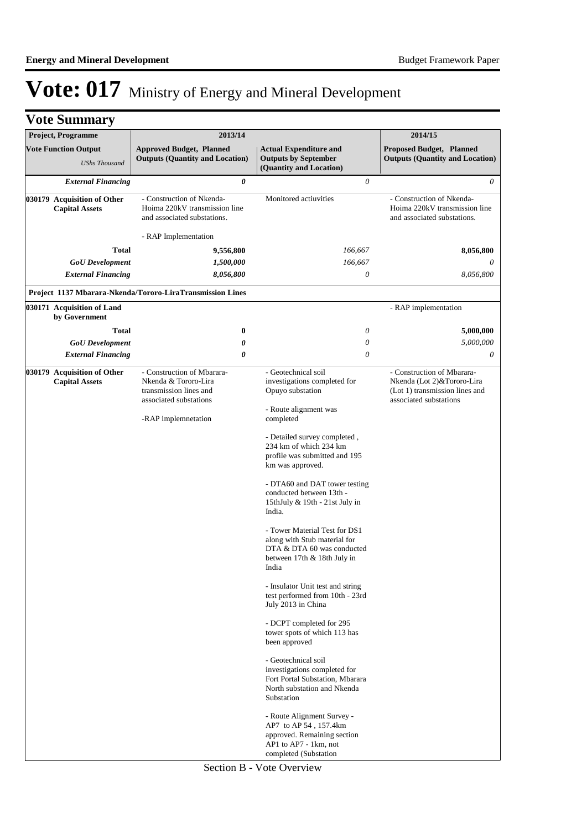|                                                      | <b>Vote Summary</b>                                  |                                                                                                        |          |                                                                                                                                      |                                                                                                                      |
|------------------------------------------------------|------------------------------------------------------|--------------------------------------------------------------------------------------------------------|----------|--------------------------------------------------------------------------------------------------------------------------------------|----------------------------------------------------------------------------------------------------------------------|
|                                                      | Project, Programme                                   | 2013/14                                                                                                |          |                                                                                                                                      | 2014/15                                                                                                              |
|                                                      | <b>Vote Function Output</b>                          | <b>Approved Budget, Planned</b>                                                                        |          | <b>Actual Expenditure and</b>                                                                                                        | Proposed Budget, Planned                                                                                             |
|                                                      | <b>UShs Thousand</b>                                 | <b>Outputs (Quantity and Location)</b>                                                                 |          | <b>Outputs by September</b><br>(Quantity and Location)                                                                               | <b>Outputs (Quantity and Location)</b>                                                                               |
|                                                      | <b>External Financing</b>                            |                                                                                                        | 0        | 0                                                                                                                                    | 0                                                                                                                    |
| 030179 Acquisition of Other<br><b>Capital Assets</b> |                                                      | - Construction of Nkenda-<br>Hoima 220kV transmission line<br>and associated substations.              |          | Monitored actiuvities                                                                                                                | - Construction of Nkenda-<br>Hoima 220kV transmission line<br>and associated substations.                            |
|                                                      |                                                      | - RAP Implementation                                                                                   |          |                                                                                                                                      |                                                                                                                      |
|                                                      | <b>Total</b>                                         | 9,556,800                                                                                              |          | 166,667                                                                                                                              | 8,056,800                                                                                                            |
|                                                      | <b>GoU</b> Development                               | 1,500,000                                                                                              |          | 166,667                                                                                                                              |                                                                                                                      |
|                                                      | <b>External Financing</b>                            | 8,056,800                                                                                              |          | 0                                                                                                                                    | 8,056,800                                                                                                            |
|                                                      |                                                      | Project 1137 Mbarara-Nkenda/Tororo-LiraTransmission Lines                                              |          |                                                                                                                                      |                                                                                                                      |
|                                                      | 030171 Acquisition of Land<br>by Government          |                                                                                                        |          |                                                                                                                                      | - RAP implementation                                                                                                 |
|                                                      | Total                                                |                                                                                                        | $\bf{0}$ | 0                                                                                                                                    | 5,000,000                                                                                                            |
|                                                      | <b>GoU</b> Development                               |                                                                                                        | 0        | 0                                                                                                                                    | 5,000,000                                                                                                            |
|                                                      | <b>External Financing</b>                            |                                                                                                        | 0        | $\theta$                                                                                                                             | 0                                                                                                                    |
|                                                      | 030179 Acquisition of Other<br><b>Capital Assets</b> | - Construction of Mbarara-<br>Nkenda & Tororo-Lira<br>transmission lines and<br>associated substations |          | - Geotechnical soil<br>investigations completed for<br>Opuyo substation<br>- Route alignment was                                     | - Construction of Mbarara-<br>Nkenda (Lot 2)&Tororo-Lira<br>(Lot 1) transmission lines and<br>associated substations |
|                                                      |                                                      | -RAP implemnetation                                                                                    |          | completed<br>- Detailed survey completed,<br>234 km of which 234 km<br>profile was submitted and 195                                 |                                                                                                                      |
| km was approved.<br>India.                           |                                                      | - DTA60 and DAT tower testing<br>conducted between 13th -<br>15thJuly & 19th - 21st July in            |          |                                                                                                                                      |                                                                                                                      |
|                                                      |                                                      |                                                                                                        |          | - Tower Material Test for DS1<br>along with Stub material for<br>DTA & DTA 60 was conducted<br>between 17th & 18th July in<br>India  |                                                                                                                      |
|                                                      |                                                      |                                                                                                        |          | - Insulator Unit test and string<br>test performed from 10th - 23rd<br>July 2013 in China                                            |                                                                                                                      |
|                                                      |                                                      |                                                                                                        |          | - DCPT completed for 295<br>tower spots of which 113 has<br>been approved                                                            |                                                                                                                      |
|                                                      |                                                      |                                                                                                        |          | - Geotechnical soil<br>investigations completed for<br>Fort Portal Substation, Mbarara<br>North substation and Nkenda<br>Substation  |                                                                                                                      |
|                                                      |                                                      |                                                                                                        |          | - Route Alignment Survey -<br>AP7 to AP 54, 157.4km<br>approved. Remaining section<br>AP1 to AP7 - 1km, not<br>completed (Substation |                                                                                                                      |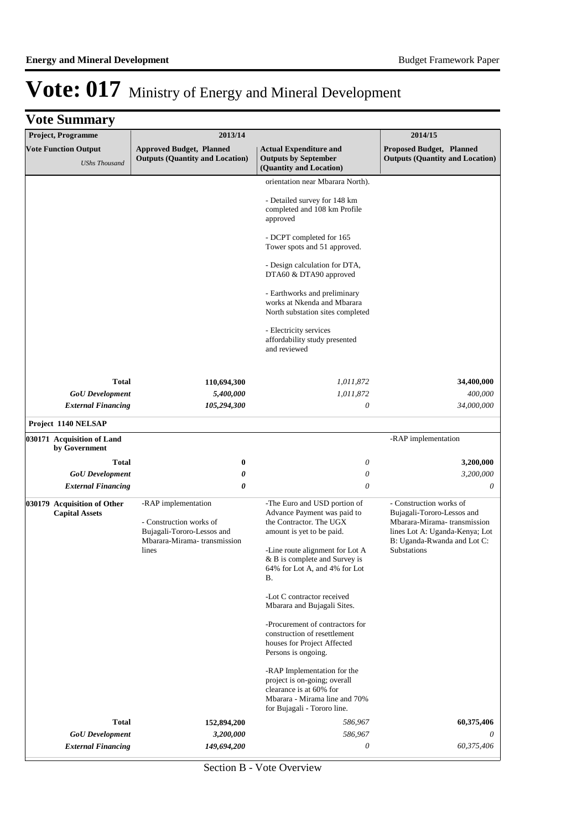| Project, Programme                                   | 2013/14                                                                                                              | 2014/15                                                                                                                                                                                                                        |                                                                                                                                                                       |
|------------------------------------------------------|----------------------------------------------------------------------------------------------------------------------|--------------------------------------------------------------------------------------------------------------------------------------------------------------------------------------------------------------------------------|-----------------------------------------------------------------------------------------------------------------------------------------------------------------------|
| <b>Vote Function Output</b><br><b>UShs Thousand</b>  | <b>Approved Budget, Planned</b><br><b>Outputs (Quantity and Location)</b>                                            | <b>Actual Expenditure and</b><br><b>Outputs by September</b><br>(Quantity and Location)                                                                                                                                        | Proposed Budget, Planned<br><b>Outputs (Quantity and Location)</b>                                                                                                    |
|                                                      |                                                                                                                      | orientation near Mbarara North).                                                                                                                                                                                               |                                                                                                                                                                       |
|                                                      |                                                                                                                      | - Detailed survey for 148 km<br>completed and 108 km Profile<br>approved                                                                                                                                                       |                                                                                                                                                                       |
|                                                      |                                                                                                                      | - DCPT completed for 165<br>Tower spots and 51 approved.                                                                                                                                                                       |                                                                                                                                                                       |
|                                                      |                                                                                                                      | - Design calculation for DTA,<br>DTA60 & DTA90 approved                                                                                                                                                                        |                                                                                                                                                                       |
|                                                      |                                                                                                                      | - Earthworks and preliminary<br>works at Nkenda and Mbarara<br>North substation sites completed                                                                                                                                |                                                                                                                                                                       |
|                                                      |                                                                                                                      | - Electricity services<br>affordability study presented<br>and reviewed                                                                                                                                                        |                                                                                                                                                                       |
| <b>Total</b>                                         |                                                                                                                      |                                                                                                                                                                                                                                |                                                                                                                                                                       |
| <b>GoU</b> Development                               | 110,694,300<br>5,400,000                                                                                             | 1,011,872<br>1,011,872                                                                                                                                                                                                         | 34,400,000<br>400,000                                                                                                                                                 |
| <b>External Financing</b>                            | 105,294,300                                                                                                          | 0                                                                                                                                                                                                                              | 34,000,000                                                                                                                                                            |
| Project 1140 NELSAP                                  |                                                                                                                      |                                                                                                                                                                                                                                |                                                                                                                                                                       |
| 030171 Acquisition of Land<br>by Government          |                                                                                                                      |                                                                                                                                                                                                                                | -RAP implementation                                                                                                                                                   |
| <b>Total</b>                                         | $\bf{0}$                                                                                                             | 0                                                                                                                                                                                                                              | 3,200,000                                                                                                                                                             |
| <b>GoU</b> Development                               | 0                                                                                                                    | $\boldsymbol{\mathit{0}}$                                                                                                                                                                                                      | 3,200,000                                                                                                                                                             |
| <b>External Financing</b>                            | 0                                                                                                                    | 0                                                                                                                                                                                                                              | 0                                                                                                                                                                     |
| 030179 Acquisition of Other<br><b>Capital Assets</b> | -RAP implementation<br>- Construction works of<br>Bujagali-Tororo-Lessos and<br>Mbarara-Mirama-transmission<br>lines | -The Euro and USD portion of<br>Advance Payment was paid to<br>the Contractor. The UGX<br>amount is yet to be paid.<br>-Line route alignment for Lot A<br>& B is complete and Survey is<br>64% for Lot A, and 4% for Lot<br>В. | - Construction works of<br>Bujagali-Tororo-Lessos and<br>Mbarara-Mirama- transmission<br>lines Lot A: Uganda-Kenya; Lot<br>B: Uganda-Rwanda and Lot C:<br>Substations |
|                                                      |                                                                                                                      | -Lot C contractor received<br>Mbarara and Bujagali Sites.                                                                                                                                                                      |                                                                                                                                                                       |
|                                                      |                                                                                                                      | -Procurement of contractors for<br>construction of resettlement<br>houses for Project Affected<br>Persons is ongoing.                                                                                                          |                                                                                                                                                                       |
|                                                      |                                                                                                                      | -RAP Implementation for the<br>project is on-going; overall<br>clearance is at 60% for<br>Mbarara - Mirama line and 70%                                                                                                        |                                                                                                                                                                       |
| <b>Total</b>                                         | 152,894,200                                                                                                          | for Bujagali - Tororo line.<br>586,967                                                                                                                                                                                         | 60,375,406                                                                                                                                                            |
| <b>GoU</b> Development                               | 3,200,000                                                                                                            | 586,967                                                                                                                                                                                                                        | 0                                                                                                                                                                     |
| <b>External Financing</b>                            | 149,694,200                                                                                                          | 0                                                                                                                                                                                                                              | 60,375,406                                                                                                                                                            |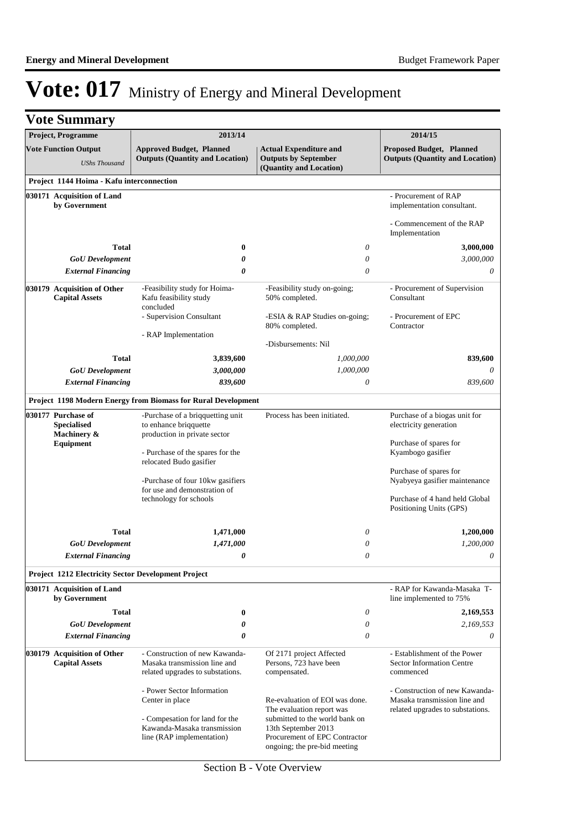| <b>Vote Summary</b>                                        |                                                                                                    |                                                                                                                        |                                                                                                    |  |
|------------------------------------------------------------|----------------------------------------------------------------------------------------------------|------------------------------------------------------------------------------------------------------------------------|----------------------------------------------------------------------------------------------------|--|
| <b>Project, Programme</b>                                  | 2013/14                                                                                            |                                                                                                                        | 2014/15                                                                                            |  |
| <b>Vote Function Output</b><br><b>UShs Thousand</b>        | <b>Approved Budget, Planned</b><br><b>Outputs (Quantity and Location)</b>                          | <b>Actual Expenditure and</b><br><b>Outputs by September</b><br>(Quantity and Location)                                | Proposed Budget, Planned<br><b>Outputs (Quantity and Location)</b>                                 |  |
| Project 1144 Hoima - Kafu interconnection                  |                                                                                                    |                                                                                                                        |                                                                                                    |  |
| 030171 Acquisition of Land<br>by Government                |                                                                                                    |                                                                                                                        | - Procurement of RAP<br>implementation consultant.                                                 |  |
|                                                            |                                                                                                    |                                                                                                                        | - Commencement of the RAP<br>Implementation                                                        |  |
| <b>Total</b>                                               | 0                                                                                                  | 0                                                                                                                      | 3,000,000                                                                                          |  |
| <b>GoU</b> Development                                     | 0                                                                                                  | 0                                                                                                                      | 3,000,000                                                                                          |  |
| <b>External Financing</b>                                  | 0                                                                                                  | 0                                                                                                                      | 0                                                                                                  |  |
| 030179 Acquisition of Other<br><b>Capital Assets</b>       | -Feasibility study for Hoima-<br>Kafu feasibility study<br>concluded                               | -Feasibility study on-going;<br>50% completed.                                                                         | - Procurement of Supervision<br>Consultant                                                         |  |
|                                                            | - Supervision Consultant                                                                           | -ESIA & RAP Studies on-going;<br>80% completed.                                                                        | - Procurement of EPC<br>Contractor                                                                 |  |
|                                                            | - RAP Implementation                                                                               | -Disbursements: Nil                                                                                                    |                                                                                                    |  |
| <b>Total</b>                                               | 3,839,600                                                                                          | 1,000,000                                                                                                              | 839,600                                                                                            |  |
| <b>GoU</b> Development                                     | 3,000,000                                                                                          | 1,000,000                                                                                                              | 0                                                                                                  |  |
| <b>External Financing</b>                                  | 839,600                                                                                            | 0                                                                                                                      | 839,600                                                                                            |  |
|                                                            | Project 1198 Modern Energy from Biomass for Rural Development                                      |                                                                                                                        |                                                                                                    |  |
| 030177 Purchase of                                         | -Purchase of a briqquetting unit                                                                   | Process has been initiated.                                                                                            | Purchase of a biogas unit for                                                                      |  |
| <b>Specialised</b><br>Machinery &                          | to enhance briqquette<br>production in private sector                                              |                                                                                                                        | electricity generation                                                                             |  |
| Equipment                                                  | - Purchase of the spares for the<br>relocated Budo gasifier                                        |                                                                                                                        | Purchase of spares for<br>Kyambogo gasifier                                                        |  |
|                                                            | -Purchase of four 10kw gasifiers                                                                   |                                                                                                                        | Purchase of spares for<br>Nyabyeya gasifier maintenance                                            |  |
|                                                            | for use and demonstration of<br>technology for schools                                             |                                                                                                                        | Purchase of 4 hand held Global<br>Positioning Units (GPS)                                          |  |
| Total                                                      | 1,471,000                                                                                          | 0                                                                                                                      | 1,200,000                                                                                          |  |
| <b>GoU</b> Development                                     | 1,471,000                                                                                          | 0                                                                                                                      | 1,200,000                                                                                          |  |
| <b>External Financing</b>                                  | 0                                                                                                  | 0                                                                                                                      | 0                                                                                                  |  |
| <b>Project 1212 Electricity Sector Development Project</b> |                                                                                                    |                                                                                                                        |                                                                                                    |  |
| 030171 Acquisition of Land<br>by Government                |                                                                                                    |                                                                                                                        | - RAP for Kawanda-Masaka T-<br>line implemented to 75%                                             |  |
| <b>Total</b>                                               | 0                                                                                                  | 0                                                                                                                      | 2,169,553                                                                                          |  |
| <b>GoU</b> Development                                     | 0                                                                                                  | 0                                                                                                                      | 2,169,553                                                                                          |  |
| <b>External Financing</b>                                  | 0                                                                                                  | $\theta$                                                                                                               | $\theta$                                                                                           |  |
| 030179 Acquisition of Other<br><b>Capital Assets</b>       | - Construction of new Kawanda-<br>Masaka transmission line and<br>related upgrades to substations. | Of 2171 project Affected<br>Persons, 723 have been<br>compensated.                                                     | - Establishment of the Power<br>Sector Information Centre<br>commenced                             |  |
|                                                            | - Power Sector Information<br>Center in place                                                      | Re-evaluation of EOI was done.<br>The evaluation report was                                                            | - Construction of new Kawanda-<br>Masaka transmission line and<br>related upgrades to substations. |  |
|                                                            | - Compesation for land for the<br>Kawanda-Masaka transmission<br>line (RAP implementation)         | submitted to the world bank on<br>13th September 2013<br>Procurement of EPC Contractor<br>ongoing; the pre-bid meeting |                                                                                                    |  |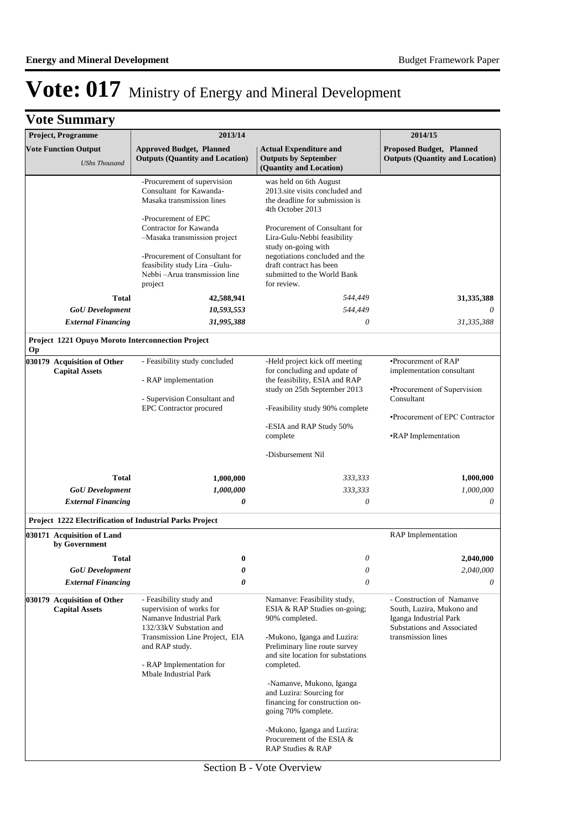| <b>Vote Summary</b>                                                 |                                                                                                                                                                                                                                                                                                                               |                                                                                                                                                                                                                                                                                                                                                                                                    |                                                                                                                                                        |  |
|---------------------------------------------------------------------|-------------------------------------------------------------------------------------------------------------------------------------------------------------------------------------------------------------------------------------------------------------------------------------------------------------------------------|----------------------------------------------------------------------------------------------------------------------------------------------------------------------------------------------------------------------------------------------------------------------------------------------------------------------------------------------------------------------------------------------------|--------------------------------------------------------------------------------------------------------------------------------------------------------|--|
| Project, Programme                                                  | 2013/14                                                                                                                                                                                                                                                                                                                       |                                                                                                                                                                                                                                                                                                                                                                                                    | 2014/15                                                                                                                                                |  |
| <b>Vote Function Output</b>                                         | <b>Approved Budget, Planned</b><br><b>Outputs (Quantity and Location)</b>                                                                                                                                                                                                                                                     | <b>Actual Expenditure and</b><br><b>Outputs by September</b>                                                                                                                                                                                                                                                                                                                                       | Proposed Budget, Planned<br><b>Outputs (Quantity and Location)</b>                                                                                     |  |
| <b>UShs Thousand</b>                                                |                                                                                                                                                                                                                                                                                                                               | (Quantity and Location)                                                                                                                                                                                                                                                                                                                                                                            |                                                                                                                                                        |  |
| <b>Total</b><br><b>GoU</b> Development<br><b>External Financing</b> | -Procurement of supervision<br>Consultant for Kawanda-<br>Masaka transmission lines<br>-Procurement of EPC<br>Contractor for Kawanda<br>-Masaka transmission project<br>-Procurement of Consultant for<br>feasibility study Lira-Gulu-<br>Nebbi - Arua transmission line<br>project<br>42,588,941<br>10,593,553<br>31,995,388 | was held on 6th August<br>2013.site visits concluded and<br>the deadline for submission is<br>4th October 2013<br>Procurement of Consultant for<br>Lira-Gulu-Nebbi feasibility<br>study on-going with<br>negotiations concluded and the<br>draft contract has been<br>submitted to the World Bank<br>for review.<br>544,449<br>544,449<br>0                                                        | 31,335,388<br>31,335,388                                                                                                                               |  |
| Project 1221 Opuyo Moroto Interconnection Project<br><b>Op</b>      |                                                                                                                                                                                                                                                                                                                               |                                                                                                                                                                                                                                                                                                                                                                                                    |                                                                                                                                                        |  |
| 030179 Acquisition of Other<br><b>Capital Assets</b>                | - Feasibility study concluded<br>- RAP implementation<br>- Supervision Consultant and<br><b>EPC</b> Contractor procured                                                                                                                                                                                                       | -Held project kick off meeting<br>for concluding and update of<br>the feasibility, ESIA and RAP<br>study on 25th September 2013<br>-Feasibility study 90% complete<br>-ESIA and RAP Study 50%<br>complete<br>-Disbursement Nil                                                                                                                                                                     | •Procurement of RAP<br>implementation consultant<br>•Procurement of Supervision<br>Consultant<br>•Procurement of EPC Contractor<br>•RAP Implementation |  |
| <b>Total</b>                                                        | 1,000,000                                                                                                                                                                                                                                                                                                                     | 333,333                                                                                                                                                                                                                                                                                                                                                                                            | 1,000,000                                                                                                                                              |  |
| <b>GoU</b> Development                                              | 1,000,000                                                                                                                                                                                                                                                                                                                     | 333,333                                                                                                                                                                                                                                                                                                                                                                                            | 1,000,000                                                                                                                                              |  |
| <b>External Financing</b>                                           | 0                                                                                                                                                                                                                                                                                                                             | 0                                                                                                                                                                                                                                                                                                                                                                                                  | 0                                                                                                                                                      |  |
| <b>Project 1222 Electrification of Industrial Parks Project</b>     |                                                                                                                                                                                                                                                                                                                               |                                                                                                                                                                                                                                                                                                                                                                                                    |                                                                                                                                                        |  |
| 030171 Acquisition of Land<br>by Government                         |                                                                                                                                                                                                                                                                                                                               |                                                                                                                                                                                                                                                                                                                                                                                                    | RAP Implementation                                                                                                                                     |  |
| Total                                                               | $\boldsymbol{0}$                                                                                                                                                                                                                                                                                                              | 0                                                                                                                                                                                                                                                                                                                                                                                                  | 2,040,000                                                                                                                                              |  |
| <b>GoU</b> Development                                              | 0                                                                                                                                                                                                                                                                                                                             | 0                                                                                                                                                                                                                                                                                                                                                                                                  | 2,040,000                                                                                                                                              |  |
| <b>External Financing</b>                                           | 0                                                                                                                                                                                                                                                                                                                             | $\theta$                                                                                                                                                                                                                                                                                                                                                                                           | 0                                                                                                                                                      |  |
| 030179 Acquisition of Other<br><b>Capital Assets</b>                | - Feasibility study and<br>supervision of works for<br>Namanye Industrial Park<br>132/33kV Substation and<br>Transmission Line Project, EIA<br>and RAP study.<br>- RAP Implementation for<br>Mbale Industrial Park                                                                                                            | Namanve: Feasibility study,<br>ESIA & RAP Studies on-going;<br>90% completed.<br>-Mukono, Iganga and Luzira:<br>Preliminary line route survey<br>and site location for substations<br>completed.<br>-Namanve, Mukono, Iganga<br>and Luzira: Sourcing for<br>financing for construction on-<br>going 70% complete.<br>-Mukono, Iganga and Luzira:<br>Procurement of the ESIA &<br>RAP Studies & RAP | - Construction of Namanve<br>South, Luzira, Mukono and<br>Iganga Industrial Park<br>Substations and Associated<br>transmission lines                   |  |

Section B - Vote Overview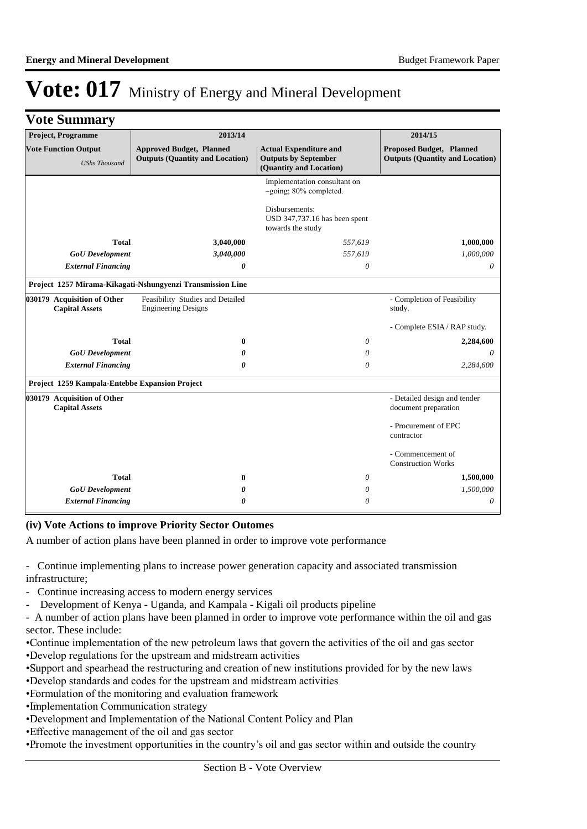|  | <b>Vote Summary</b> |
|--|---------------------|
|--|---------------------|

| Project, Programme                                   | 2013/14                                                                   |                                                                                         | 2014/15                                                                   |  |
|------------------------------------------------------|---------------------------------------------------------------------------|-----------------------------------------------------------------------------------------|---------------------------------------------------------------------------|--|
| <b>Vote Function Output</b><br><b>UShs Thousand</b>  | <b>Approved Budget, Planned</b><br><b>Outputs (Quantity and Location)</b> | <b>Actual Expenditure and</b><br><b>Outputs by September</b><br>(Quantity and Location) | <b>Proposed Budget, Planned</b><br><b>Outputs (Quantity and Location)</b> |  |
|                                                      |                                                                           | Implementation consultant on<br>-going; 80% completed.                                  |                                                                           |  |
|                                                      |                                                                           | Disbursements:<br>USD 347,737.16 has been spent<br>towards the study                    |                                                                           |  |
| <b>Total</b>                                         | 3,040,000                                                                 | 557,619                                                                                 | 1,000,000                                                                 |  |
| <b>GoU</b> Development                               | 3,040,000                                                                 | 557,619                                                                                 | 1,000,000                                                                 |  |
| <b>External Financing</b>                            | 0                                                                         | 0                                                                                       | $\theta$                                                                  |  |
|                                                      | Project 1257 Mirama-Kikagati-Nshungyenzi Transmission Line                |                                                                                         |                                                                           |  |
| 030179 Acquisition of Other<br><b>Capital Assets</b> | Feasibility Studies and Detailed<br><b>Engineering Designs</b>            |                                                                                         | - Completion of Feasibility<br>study.                                     |  |
|                                                      |                                                                           |                                                                                         | - Complete ESIA / RAP study.                                              |  |
| <b>Total</b>                                         | 0                                                                         | 0                                                                                       | 2,284,600                                                                 |  |
| <b>GoU</b> Development                               | 0                                                                         | 0                                                                                       | $\theta$                                                                  |  |
| <b>External Financing</b>                            | 0                                                                         | 0                                                                                       | 2,284,600                                                                 |  |
| Project 1259 Kampala-Entebbe Expansion Project       |                                                                           |                                                                                         |                                                                           |  |
| 030179 Acquisition of Other<br><b>Capital Assets</b> |                                                                           |                                                                                         | - Detailed design and tender<br>document preparation                      |  |
|                                                      |                                                                           |                                                                                         | - Procurement of EPC<br>contractor                                        |  |
|                                                      |                                                                           |                                                                                         | - Commencement of<br><b>Construction Works</b>                            |  |
| <b>Total</b>                                         | 0                                                                         | 0                                                                                       | 1,500,000                                                                 |  |
| <b>GoU</b> Development                               | 0                                                                         | $\theta$                                                                                | 1,500,000                                                                 |  |
| <b>External Financing</b>                            | 0                                                                         | 0                                                                                       | 0                                                                         |  |

#### **(iv) Vote Actions to improve Priority Sector Outomes**

A number of action plans have been planned in order to improve vote performance

- Continue implementing plans to increase power generation capacity and associated transmission infrastructure;
- Continue increasing access to modern energy services
- Development of Kenya Uganda, and Kampala Kigali oil products pipeline

- A number of action plans have been planned in order to improve vote performance within the oil and gas sector. These include:

- • Continue implementation of the new petroleum laws that govern the activities of the oil and gas sector
- • Develop regulations for the upstream and midstream activities
- • Support and spearhead the restructuring and creation of new institutions provided for by the new laws
- • Develop standards and codes for the upstream and midstream activities
- • Formulation of the monitoring and evaluation framework
- Implementation Communication strategy
- • Development and Implementation of the National Content Policy and Plan
- • Effective management of the oil and gas sector
- • Promote the investment opportunities in the country's oil and gas sector within and outside the country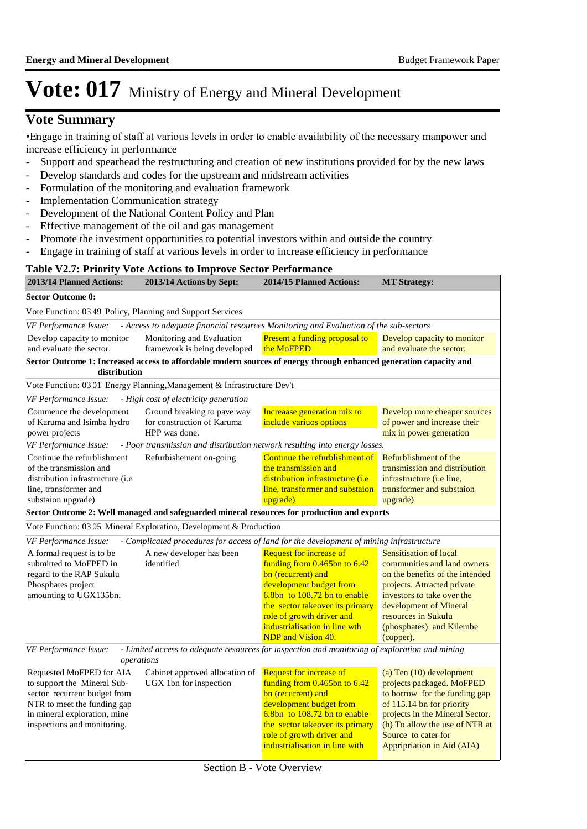### **Vote Summary**

• Engage in training of staff at various levels in order to enable availability of the necessary manpower and increase efficiency in performance

- Support and spearhead the restructuring and creation of new institutions provided for by the new laws
- Develop standards and codes for the upstream and midstream activities
- Formulation of the monitoring and evaluation framework
- Implementation Communication strategy
- Development of the National Content Policy and Plan
- Effective management of the oil and gas management
- Promote the investment opportunities to potential investors within and outside the country
- Engage in training of staff at various levels in order to increase efficiency in performance

#### **Table V2.7: Priority Vote Actions to Improve Sector Performance**

|                                                                                                                                                                                       | Table v2.7. I Hortly voic Actions to improve Sector I criticiance                                                  |                                                                                                                                                                                                                                                                                    |                                                                                                                                                                                                                                                        |  |  |
|---------------------------------------------------------------------------------------------------------------------------------------------------------------------------------------|--------------------------------------------------------------------------------------------------------------------|------------------------------------------------------------------------------------------------------------------------------------------------------------------------------------------------------------------------------------------------------------------------------------|--------------------------------------------------------------------------------------------------------------------------------------------------------------------------------------------------------------------------------------------------------|--|--|
| 2013/14 Planned Actions:                                                                                                                                                              | 2013/14 Actions by Sept:                                                                                           | 2014/15 Planned Actions:                                                                                                                                                                                                                                                           | <b>MT Strategy:</b>                                                                                                                                                                                                                                    |  |  |
| <b>Sector Outcome 0:</b>                                                                                                                                                              |                                                                                                                    |                                                                                                                                                                                                                                                                                    |                                                                                                                                                                                                                                                        |  |  |
| Vote Function: 03 49 Policy, Planning and Support Services                                                                                                                            |                                                                                                                    |                                                                                                                                                                                                                                                                                    |                                                                                                                                                                                                                                                        |  |  |
| VF Performance Issue:                                                                                                                                                                 | - Access to adequate financial resources Monitoring and Evaluation of the sub-sectors                              |                                                                                                                                                                                                                                                                                    |                                                                                                                                                                                                                                                        |  |  |
| Develop capacity to monitor<br>and evaluate the sector.                                                                                                                               | Monitoring and Evaluation<br>framework is being developed                                                          | Present a funding proposal to<br>the MoFPED                                                                                                                                                                                                                                        | Develop capacity to monitor<br>and evaluate the sector.                                                                                                                                                                                                |  |  |
| distribution                                                                                                                                                                          | Sector Outcome 1: Increased access to affordable modern sources of energy through enhanced generation capacity and |                                                                                                                                                                                                                                                                                    |                                                                                                                                                                                                                                                        |  |  |
|                                                                                                                                                                                       | Vote Function: 03 01 Energy Planning, Management & Infrastructure Dev't                                            |                                                                                                                                                                                                                                                                                    |                                                                                                                                                                                                                                                        |  |  |
| VF Performance Issue:                                                                                                                                                                 | - High cost of electricity generation                                                                              |                                                                                                                                                                                                                                                                                    |                                                                                                                                                                                                                                                        |  |  |
| Commence the development<br>of Karuma and Isimba hydro<br>power projects                                                                                                              | Ground breaking to pave way<br>for construction of Karuma<br>HPP was done.                                         | Increaase generation mix to<br>include variuos options                                                                                                                                                                                                                             | Develop more cheaper sources<br>of power and increase their<br>mix in power generation                                                                                                                                                                 |  |  |
| VF Performance Issue:                                                                                                                                                                 | - Poor transmission and distribution network resulting into energy losses.                                         |                                                                                                                                                                                                                                                                                    |                                                                                                                                                                                                                                                        |  |  |
| Continue the refurblishment<br>of the transmission and<br>distribution infrastructure ( <i>i.e</i><br>line, transformer and<br>substaion upgrade)                                     | Refurbishement on-going                                                                                            | Continue the refurblishment of<br>Refurblishment of the<br>the transmission and<br>transmission and distribution<br>distribution infrastructure <i>(i.e</i> )<br>infrastructure (i.e line,<br>line, transformer and substaion<br>transformer and substaion<br>upgrade)<br>upgrade) |                                                                                                                                                                                                                                                        |  |  |
|                                                                                                                                                                                       | Sector Outcome 2: Well managed and safeguarded mineral resources for production and exports                        |                                                                                                                                                                                                                                                                                    |                                                                                                                                                                                                                                                        |  |  |
|                                                                                                                                                                                       | Vote Function: 03 05 Mineral Exploration, Development & Production                                                 |                                                                                                                                                                                                                                                                                    |                                                                                                                                                                                                                                                        |  |  |
| VF Performance Issue:                                                                                                                                                                 | - Complicated procedures for access of land for the development of mining infrastructure                           |                                                                                                                                                                                                                                                                                    |                                                                                                                                                                                                                                                        |  |  |
| A formal request is to be<br>submitted to MoFPED in<br>regard to the RAP Sukulu<br>Phosphates project<br>amounting to UGX135bn.                                                       | A new developer has been<br>identified                                                                             | <b>Request for increase of</b><br>funding from 0.465bn to 6.42<br>bn (recurrent) and<br>development budget from<br>$6.8$ bn to 108.72 bn to enable<br>the sector takeover its primary<br>role of growth driver and<br>industrialisation in line wth<br>NDP and Vision 40.          | <b>Sensitisation of local</b><br>communities and land owners<br>on the benefits of the intended<br>projects. Attracted private<br>investors to take over the<br>development of Mineral<br>resources in Sukulu<br>(phosphates) and Kilembe<br>(copper). |  |  |
| VF Performance Issue:                                                                                                                                                                 | - Limited access to adequate resources for inspection and monitoring of exploration and mining<br>operations       |                                                                                                                                                                                                                                                                                    |                                                                                                                                                                                                                                                        |  |  |
| Requested MoFPED for AIA<br>to support the Mineral Sub-<br>sector recurrent budget from<br>NTR to meet the funding gap<br>in mineral exploration, mine<br>inspections and monitoring. | Cabinet approved allocation of<br>UGX 1bn for inspection                                                           | <b>Request for increase of</b><br>funding from 0.465bn to 6.42<br>bn (recurrent) and<br>development budget from<br>6.8bn to 108.72 bn to enable<br>the sector takeover its primary<br>role of growth driver and<br>industrialisation in line with                                  | (a) Ten (10) development<br>projects packaged. MoFPED<br>to borrow for the funding gap<br>of 115.14 bn for priority<br>projects in the Mineral Sector.<br>(b) To allow the use of NTR at<br>Source to cater for<br>Appripriation in Aid (AIA)          |  |  |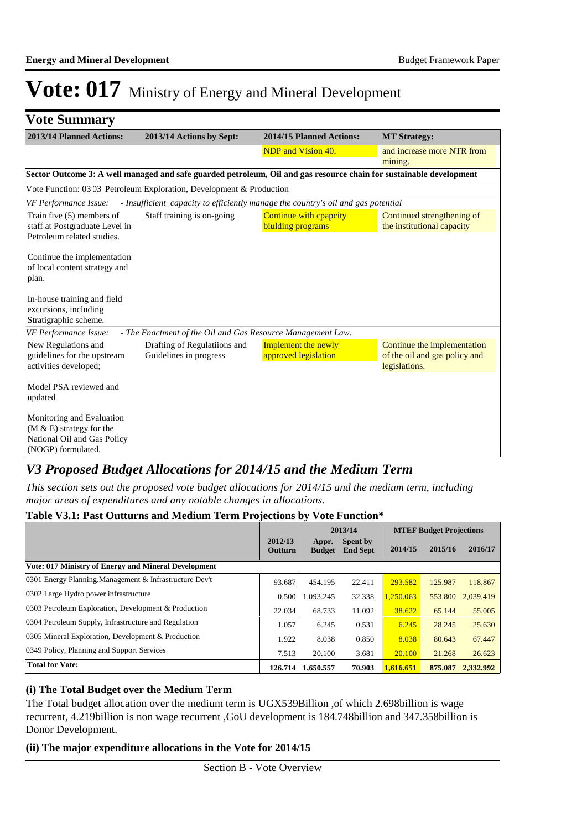| <b>Vote Summary</b>                                                                                          |                                                                                                                     |                                                    |                                                                               |
|--------------------------------------------------------------------------------------------------------------|---------------------------------------------------------------------------------------------------------------------|----------------------------------------------------|-------------------------------------------------------------------------------|
| 2013/14 Planned Actions:                                                                                     | 2013/14 Actions by Sept:                                                                                            | 2014/15 Planned Actions:                           | <b>MT Strategy:</b>                                                           |
|                                                                                                              |                                                                                                                     | NDP and Vision 40.                                 | and increase more NTR from<br>mining.                                         |
|                                                                                                              | Sector Outcome 3: A well managed and safe guarded petroleum, Oil and gas resource chain for sustainable development |                                                    |                                                                               |
|                                                                                                              | Vote Function: 03 03 Petroleum Exploration, Development & Production                                                |                                                    |                                                                               |
| VF Performance Issue:                                                                                        | - Insufficient capacity to efficiently manage the country's oil and gas potential                                   |                                                    |                                                                               |
| Train five (5) members of<br>staff at Postgraduate Level in<br>Petroleum related studies.                    | Staff training is on-going                                                                                          | Continue with cpapcity<br>biulding programs        | Continued strengthening of<br>the institutional capacity                      |
| Continue the implementation<br>of local content strategy and<br>plan.                                        |                                                                                                                     |                                                    |                                                                               |
| In-house training and field<br>excursions, including<br>Stratigraphic scheme.                                |                                                                                                                     |                                                    |                                                                               |
| VF Performance Issue:                                                                                        | - The Enactment of the Oil and Gas Resource Management Law.                                                         |                                                    |                                                                               |
| New Regulations and<br>guidelines for the upstream<br>activities developed;                                  | Drafting of Regulatiions and<br>Guidelines in progress                                                              | <b>Implement the newly</b><br>approved legislation | Continue the implementation<br>of the oil and gas policy and<br>legislations. |
| Model PSA reviewed and<br>updated                                                                            |                                                                                                                     |                                                    |                                                                               |
| Monitoring and Evaluation<br>$(M & E)$ strategy for the<br>National Oil and Gas Policy<br>(NOGP) formulated. |                                                                                                                     |                                                    |                                                                               |

### *V3 Proposed Budget Allocations for 2014/15 and the Medium Term*

*This section sets out the proposed vote budget allocations for 2014/15 and the medium term, including major areas of expenditures and any notable changes in allocations.* 

|                                                         |                    | 2013/14                |                                    | <b>MTEF Budget Projections</b> |         |           |
|---------------------------------------------------------|--------------------|------------------------|------------------------------------|--------------------------------|---------|-----------|
|                                                         | 2012/13<br>Outturn | Appr.<br><b>Budget</b> | <b>Spent by</b><br><b>End Sept</b> | 2014/15                        | 2015/16 | 2016/17   |
| Vote: 017 Ministry of Energy and Mineral Development    |                    |                        |                                    |                                |         |           |
| 0301 Energy Planning, Management & Infrastructure Dev't | 93.687             | 454.195                | 22.411                             | 293.582                        | 125.987 | 118.867   |
| 0302 Large Hydro power infrastructure                   | 0.500              | 1.093.245              | 32.338                             | 1.250.063                      | 553.800 | 2.039.419 |
| 0303 Petroleum Exploration, Development & Production    | 22.034             | 68.733                 | 11.092                             | 38.622                         | 65.144  | 55,005    |
| 0304 Petroleum Supply, Infrastructure and Regulation    | 1.057              | 6.245                  | 0.531                              | 6.245                          | 28.245  | 25.630    |
| 0305 Mineral Exploration, Development & Production      | 1.922              | 8.038                  | 0.850                              | 8.038                          | 80.643  | 67.447    |
| 0349 Policy, Planning and Support Services              | 7.513              | 20.100                 | 3.681                              | 20.100                         | 21.268  | 26.623    |
| <b>Total for Vote:</b>                                  | 126.714            | 1,650.557              | 70.903                             | 1.616.651                      | 875.087 | 2.332.992 |

### **Table V3.1: Past Outturns and Medium Term Projections by Vote Function\***

#### **(i) The Total Budget over the Medium Term**

The Total budget allocation over the medium term is UGX539Billion ,of which 2.698billion is wage recurrent, 4.219billion is non wage recurrent ,GoU development is 184.748billion and 347.358billion is Donor Development.

#### **(ii) The major expenditure allocations in the Vote for 2014/15**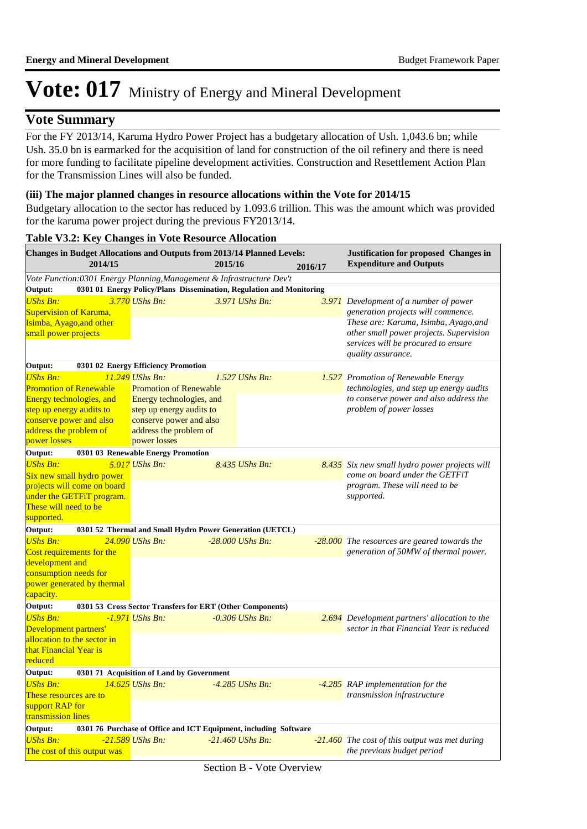### **Vote Summary**

For the FY 2013/14, Karuma Hydro Power Project has a budgetary allocation of Ush. 1,043.6 bn; while Ush. 35.0 bn is earmarked for the acquisition of land for construction of the oil refinery and there is need for more funding to facilitate pipeline development activities. Construction and Resettlement Action Plan for the Transmission Lines will also be funded.

#### **(iii) The major planned changes in resource allocations within the Vote for 2014/15**

Budgetary allocation to the sector has reduced by 1.093.6 trillion. This was the amount which was provided for the karuma power project during the previous FY2013/14.

| 2014/15<br>2015/16                                                                                            |  |  |  |  |  |
|---------------------------------------------------------------------------------------------------------------|--|--|--|--|--|
| <b>Expenditure and Outputs</b><br>2016/17                                                                     |  |  |  |  |  |
| Vote Function:0301 Energy Planning, Management & Infrastructure Dev't                                         |  |  |  |  |  |
| 0301 01 Energy Policy/Plans Dissemination, Regulation and Monitoring<br>Output:                               |  |  |  |  |  |
| <b>UShs Bn:</b><br>$3.770$ UShs Bn:<br>3.971 UShs Bn:<br>3.971 Development of a number of power               |  |  |  |  |  |
| generation projects will commence.<br><b>Supervision of Karuma,</b>                                           |  |  |  |  |  |
| These are: Karuma, Isimba, Ayago, and<br>Isimba, Ayago, and other                                             |  |  |  |  |  |
| other small power projects. Supervision<br>small power projects<br>services will be procured to ensure        |  |  |  |  |  |
| quality assurance.                                                                                            |  |  |  |  |  |
| Output:<br>0301 02 Energy Efficiency Promotion                                                                |  |  |  |  |  |
| <b>UShs Bn:</b><br>$11.249$ UShs Bn:<br>$1.527$ UShs Bn:<br>1.527 Promotion of Renewable Energy               |  |  |  |  |  |
| <b>Promotion of Renewable</b><br>technologies, and step up energy audits<br><b>Promotion of Renewable</b>     |  |  |  |  |  |
| to conserve power and also address the<br>Energy technologies, and<br>Energy technologies, and                |  |  |  |  |  |
| problem of power losses<br>step up energy audits to<br>step up energy audits to                               |  |  |  |  |  |
| conserve power and also<br>conserve power and also                                                            |  |  |  |  |  |
| address the problem of<br>address the problem of                                                              |  |  |  |  |  |
| power losses<br>power losses<br>0301 03 Renewable Energy Promotion<br>Output:                                 |  |  |  |  |  |
| <b>UShs Bn:</b><br>$5.017$ UShs Bn:<br>8.435 UShs Bn:<br>8.435 Six new small hydro power projects will        |  |  |  |  |  |
| come on board under the GETFiT<br>Six new small hydro power                                                   |  |  |  |  |  |
| program. These will need to be<br>projects will come on board                                                 |  |  |  |  |  |
| under the GETFiT program.<br>supported.                                                                       |  |  |  |  |  |
| These will need to be                                                                                         |  |  |  |  |  |
| supported.                                                                                                    |  |  |  |  |  |
| Output:<br>0301 52 Thermal and Small Hydro Power Generation (UETCL)                                           |  |  |  |  |  |
| <b>UShs Bn:</b><br>24.090 UShs Bn:<br>$-28.000$ UShs Bn:<br>-28.000 The resources are geared towards the      |  |  |  |  |  |
| generation of 50MW of thermal power.<br>Cost requirements for the                                             |  |  |  |  |  |
| development and                                                                                               |  |  |  |  |  |
| consumption needs for                                                                                         |  |  |  |  |  |
| power generated by thermal<br>capacity.                                                                       |  |  |  |  |  |
| Output:<br>0301 53 Cross Sector Transfers for ERT (Other Components)                                          |  |  |  |  |  |
| <b>UShs Bn:</b><br>$-1.971$ UShs Bn:<br>$-0.306$ UShs Bn:<br>2.694 Development partners' allocation to the    |  |  |  |  |  |
| sector in that Financial Year is reduced<br>Development partners'                                             |  |  |  |  |  |
| allocation to the sector in                                                                                   |  |  |  |  |  |
| that Financial Year is                                                                                        |  |  |  |  |  |
| reduced                                                                                                       |  |  |  |  |  |
| Output:<br>0301 71 Acquisition of Land by Government                                                          |  |  |  |  |  |
| <b>UShs Bn:</b><br>14.625 UShs Bn:<br>$-4.285$ UShs Bn:<br>-4.285 RAP implementation for the                  |  |  |  |  |  |
| These resources are to<br>transmission infrastructure                                                         |  |  |  |  |  |
| support RAP for                                                                                               |  |  |  |  |  |
| transmission lines                                                                                            |  |  |  |  |  |
| Output:<br>0301 76 Purchase of Office and ICT Equipment, including Software                                   |  |  |  |  |  |
| <b>UShs Bn:</b><br>-21.589 UShs Bn:<br>$-21.460$ UShs Bn:<br>$-21.460$ The cost of this output was met during |  |  |  |  |  |
| the previous budget period<br>The cost of this output was                                                     |  |  |  |  |  |

#### **Table V3.2: Key Changes in Vote Resource Allocation**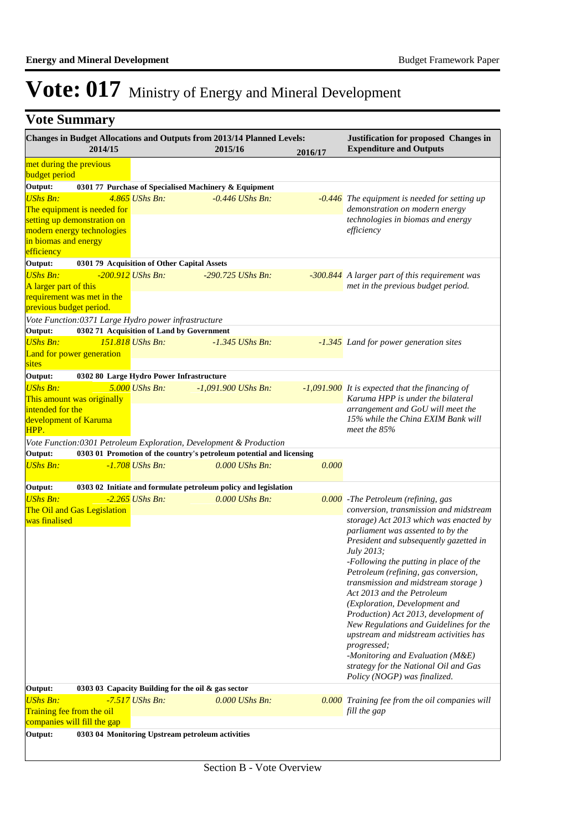|  | <b>Vote Summary</b> |
|--|---------------------|
|--|---------------------|

|                                                                                                 | 2014/15 | <b>Changes in Budget Allocations and Outputs from 2013/14 Planned Levels:</b>                    | 2015/16               |                   | 2016/17 | Justification for proposed Changes in<br><b>Expenditure and Outputs</b>                                                                                                                    |  |
|-------------------------------------------------------------------------------------------------|---------|--------------------------------------------------------------------------------------------------|-----------------------|-------------------|---------|--------------------------------------------------------------------------------------------------------------------------------------------------------------------------------------------|--|
| met during the previous<br>budget period                                                        |         |                                                                                                  |                       |                   |         |                                                                                                                                                                                            |  |
| Output:                                                                                         |         | 0301 77 Purchase of Specialised Machinery & Equipment                                            |                       |                   |         |                                                                                                                                                                                            |  |
| <b>UShs Bn:</b><br>The equipment is needed for                                                  |         | 4.865 UShs Bn:                                                                                   |                       | $-0.446$ UShs Bn: |         | $-0.446$ The equipment is needed for setting up<br>demonstration on modern energy                                                                                                          |  |
| setting up demonstration on<br>modern energy technologies<br>in biomas and energy<br>efficiency |         |                                                                                                  |                       |                   |         | technologies in biomas and energy<br>efficiency                                                                                                                                            |  |
| Output:                                                                                         |         | 0301 79 Acquisition of Other Capital Assets                                                      |                       |                   |         |                                                                                                                                                                                            |  |
| <b>UShs Bn:</b><br>A larger part of this                                                        |         | -200.912 UShs Bn:                                                                                | $-290.725$ UShs Bn:   |                   |         | -300.844 A larger part of this requirement was<br>met in the previous budget period.                                                                                                       |  |
| requirement was met in the<br>previous budget period.                                           |         |                                                                                                  |                       |                   |         |                                                                                                                                                                                            |  |
| Output:                                                                                         |         | Vote Function:0371 Large Hydro power infrastructure<br>0302 71 Acquisition of Land by Government |                       |                   |         |                                                                                                                                                                                            |  |
| <b>UShs Bn:</b><br>Land for power generation                                                    |         | 151.818 UShs Bn:                                                                                 |                       | $-1.345$ UShs Bn: |         | -1.345 Land for power generation sites                                                                                                                                                     |  |
| sites                                                                                           |         |                                                                                                  |                       |                   |         |                                                                                                                                                                                            |  |
| Output:                                                                                         |         | 0302 80 Large Hydro Power Infrastructure                                                         |                       |                   |         |                                                                                                                                                                                            |  |
| <b>UShs Bn:</b>                                                                                 |         | $5.000$ UShs Bn:                                                                                 | $-1,091,900$ UShs Bn: |                   |         | $-1,091.900$ It is expected that the financing of                                                                                                                                          |  |
| This amount was originally<br>intended for the                                                  |         |                                                                                                  |                       |                   |         | Karuma HPP is under the bilateral<br>arrangement and GoU will meet the                                                                                                                     |  |
| development of Karuma<br>HPP.                                                                   |         |                                                                                                  |                       |                   |         | 15% while the China EXIM Bank will<br>meet the 85%                                                                                                                                         |  |
|                                                                                                 |         | Vote Function: 0301 Petroleum Exploration, Development & Production                              |                       |                   |         |                                                                                                                                                                                            |  |
| Output:                                                                                         |         | 0303 01 Promotion of the country's petroleum potential and licensing                             |                       |                   |         |                                                                                                                                                                                            |  |
| <b>UShs Bn:</b>                                                                                 |         | $-1.708$ UShs Bn:                                                                                |                       | $0.000$ UShs Bn:  | 0.000   |                                                                                                                                                                                            |  |
| Output:                                                                                         |         | 0303 02 Initiate and formulate petroleum policy and legislation                                  |                       |                   |         |                                                                                                                                                                                            |  |
| <b>UShs Bn:</b>                                                                                 |         | -2.265 UShs Bn:                                                                                  |                       | 0.000 UShs Bn:    |         | 0.000 - The Petroleum (refining, gas                                                                                                                                                       |  |
| The Oil and Gas Legislation<br>was finalised                                                    |         |                                                                                                  |                       |                   |         | conversion, transmission and midstream<br>storage) Act 2013 which was enacted by                                                                                                           |  |
|                                                                                                 |         |                                                                                                  |                       |                   |         | parliament was assented to by the<br>President and subsequently gazetted in<br>July 2013;<br>-Following the putting in place of the                                                        |  |
|                                                                                                 |         |                                                                                                  |                       |                   |         | Petroleum (refining, gas conversion,<br><i>transmission and midstream storage</i> )<br>Act 2013 and the Petroleum<br>(Exploration, Development and<br>Production) Act 2013, development of |  |
|                                                                                                 |         |                                                                                                  |                       |                   |         | New Regulations and Guidelines for the<br>upstream and midstream activities has<br>progressed;                                                                                             |  |
|                                                                                                 |         |                                                                                                  |                       |                   |         | -Monitoring and Evaluation (M&E)<br>strategy for the National Oil and Gas<br>Policy (NOGP) was finalized.                                                                                  |  |
| Output:                                                                                         |         | 0303 03 Capacity Building for the oil & gas sector                                               |                       |                   |         |                                                                                                                                                                                            |  |
| <b>UShs Bn:</b>                                                                                 |         | $-7.517$ UShs Bn:                                                                                |                       | $0.000$ UShs Bn:  |         | <b>0.000</b> Training fee from the oil companies will                                                                                                                                      |  |
| Training fee from the oil<br>companies will fill the gap                                        |         |                                                                                                  |                       |                   |         | fill the gap                                                                                                                                                                               |  |
| Output:                                                                                         |         | 0303 04 Monitoring Upstream petroleum activities                                                 |                       |                   |         |                                                                                                                                                                                            |  |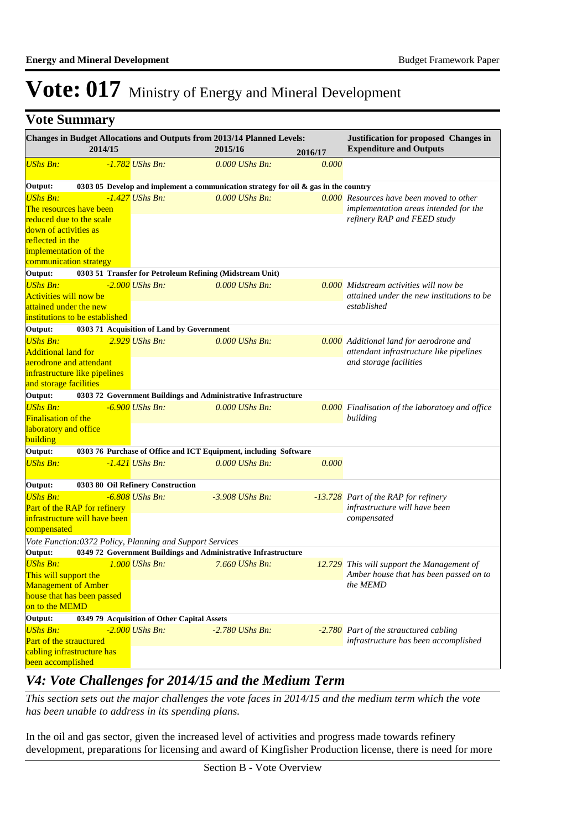|  | <b>Vote Summary</b> |
|--|---------------------|
|--|---------------------|

|                               | 2014/15                        |                                                          | Changes in Budget Allocations and Outputs from 2013/14 Planned Levels:<br>2015/16      | 2016/17 | Justification for proposed Changes in<br><b>Expenditure and Outputs</b> |
|-------------------------------|--------------------------------|----------------------------------------------------------|----------------------------------------------------------------------------------------|---------|-------------------------------------------------------------------------|
| <b>UShs Bn:</b>               |                                | -1.782 UShs Bn:                                          | 0.000 UShs Bn:                                                                         | 0.000   |                                                                         |
|                               |                                |                                                          |                                                                                        |         |                                                                         |
| Output:                       |                                |                                                          | 0303 05 Develop and implement a communication strategy for oil $\&$ gas in the country |         |                                                                         |
| <b>UShs Bn:</b>               |                                | $-1.427$ UShs Bn:                                        | $0.000$ UShs Bn:                                                                       |         | $\overline{0.000}$ Resources have been moved to other                   |
|                               | The resources have been        |                                                          |                                                                                        |         | implementation areas intended for the                                   |
|                               | reduced due to the scale       |                                                          |                                                                                        |         | refinery RAP and FEED study                                             |
| down of activities as         |                                |                                                          |                                                                                        |         |                                                                         |
| reflected in the              |                                |                                                          |                                                                                        |         |                                                                         |
| implementation of the         |                                |                                                          |                                                                                        |         |                                                                         |
| communication strategy        |                                |                                                          |                                                                                        |         |                                                                         |
| Output:                       |                                |                                                          | 0303 51 Transfer for Petroleum Refining (Midstream Unit)                               |         |                                                                         |
| <b>UShs Bn:</b>               |                                | $-2.000$ UShs Bn:                                        | 0.000 UShs Bn:                                                                         |         | 0.000 Midstream activities will now be                                  |
| <b>Activities will now be</b> |                                |                                                          |                                                                                        |         | attained under the new institutions to be                               |
| attained under the new        |                                |                                                          |                                                                                        |         | established                                                             |
|                               | institutions to be established |                                                          |                                                                                        |         |                                                                         |
| Output:                       |                                | 0303 71 Acquisition of Land by Government                |                                                                                        |         |                                                                         |
| <b>UShs Bn:</b>               |                                | $2.929$ UShs Bn:                                         | 0.000 UShs Bn:                                                                         |         | 0.000 Additional land for aerodrone and                                 |
| <b>Additional land for</b>    |                                |                                                          |                                                                                        |         | attendant infrastructure like pipelines                                 |
| aerodrone and attendant       |                                |                                                          |                                                                                        |         | and storage facilities                                                  |
|                               | infrastructure like pipelines  |                                                          |                                                                                        |         |                                                                         |
| and storage facilities        |                                |                                                          |                                                                                        |         |                                                                         |
| Output:                       |                                |                                                          | 0303 72 Government Buildings and Administrative Infrastructure                         |         |                                                                         |
| <b>UShs Bn:</b>               |                                | $-6.900$ UShs Bn:                                        | 0.000 UShs Bn:                                                                         |         | <b>0.000</b> Finalisation of the laboratoey and office                  |
| <b>Finalisation of the</b>    |                                |                                                          |                                                                                        |         | building                                                                |
| laboratory and office         |                                |                                                          |                                                                                        |         |                                                                         |
| building                      |                                |                                                          |                                                                                        |         |                                                                         |
| Output:                       |                                |                                                          | 0303 76 Purchase of Office and ICT Equipment, including Software                       |         |                                                                         |
| <b>UShs Bn:</b>               |                                | $-1.421$ UShs Bn:                                        | $0.000$ UShs Bn:                                                                       | 0.000   |                                                                         |
|                               |                                |                                                          |                                                                                        |         |                                                                         |
| Output:                       |                                | 0303 80 Oil Refinery Construction                        |                                                                                        |         |                                                                         |
| <b>UShs Bn:</b>               |                                | $-6.808$ UShs Bn:                                        | $-3.908$ UShs Bn:                                                                      |         | -13.728 Part of the RAP for refinery                                    |
|                               | Part of the RAP for refinery   |                                                          |                                                                                        |         | infrastructure will have been                                           |
|                               | infrastructure will have been  |                                                          |                                                                                        |         | compensated                                                             |
| compensated                   |                                |                                                          |                                                                                        |         |                                                                         |
|                               |                                | Vote Function:0372 Policy, Planning and Support Services |                                                                                        |         |                                                                         |
| Output:                       |                                |                                                          | 0349 72 Government Buildings and Administrative Infrastructure                         |         |                                                                         |
| <b>UShs Bn:</b>               |                                | $1.000$ UShs Bn:                                         | 7.660 UShs Bn:                                                                         |         | 12.729 This will support the Management of                              |
| This will support the         |                                |                                                          |                                                                                        |         | Amber house that has been passed on to                                  |
| <b>Management of Amber</b>    |                                |                                                          |                                                                                        |         | the MEMD                                                                |
|                               | house that has been passed     |                                                          |                                                                                        |         |                                                                         |
| on to the MEMD                |                                |                                                          |                                                                                        |         |                                                                         |
| Output:                       |                                | 0349 79 Acquisition of Other Capital Assets              |                                                                                        |         |                                                                         |
| <b>UShs Bn:</b>               |                                | $-2.000$ UShs Bn:                                        | $-2.780$ UShs Bn:                                                                      |         | -2.780 Part of the strauctured cabling                                  |
| Part of the strauctured       |                                |                                                          |                                                                                        |         | infrastructure has been accomplished                                    |
|                               | cabling infrastructure has     |                                                          |                                                                                        |         |                                                                         |
| been accomplished             |                                |                                                          |                                                                                        |         |                                                                         |

### *V4: Vote Challenges for 2014/15 and the Medium Term*

*This section sets out the major challenges the vote faces in 2014/15 and the medium term which the vote has been unable to address in its spending plans.*

In the oil and gas sector, given the increased level of activities and progress made towards refinery development, preparations for licensing and award of Kingfisher Production license, there is need for more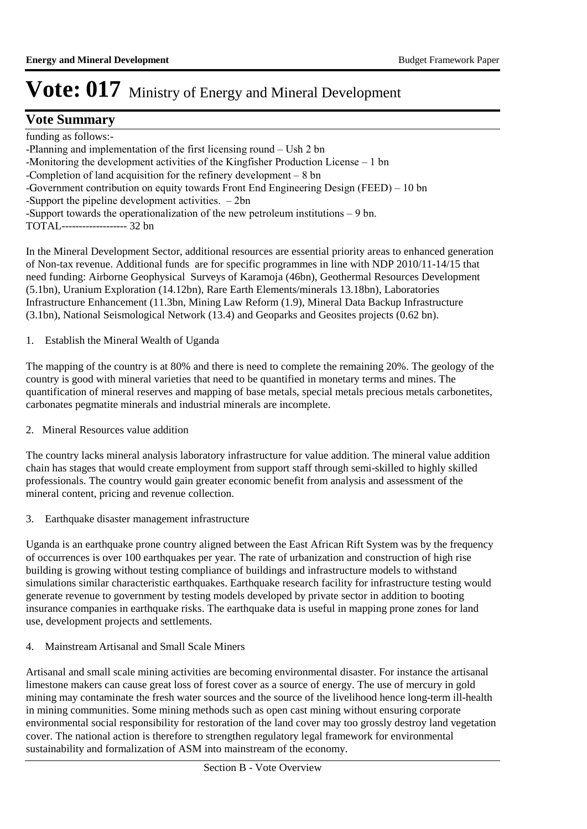### **Vote Summary**

funding as follows:- -Planning and implementation of the first licensing round  $-$  Ush 2 bn -Monitoring the development activities of the Kingfisher Production License  $-1$  bn -Completion of land acquisition for the refinery development  $-8$  bn -Government contribution on equity towards Front End Engineering Design (FEED) - 10 bn -Support the pipeline development activities.  $-2bn$ -Support towards the operationalization of the new petroleum institutions  $-9$  bn. TOTAL------------------- 32 bn

In the Mineral Development Sector, additional resources are essential priority areas to enhanced generation of Non-tax revenue. Additional funds are for specific programmes in line with NDP 2010/11-14/15 that need funding: Airborne Geophysical Surveys of Karamoja (46bn), Geothermal Resources Development (5.1bn), Uranium Exploration (14.12bn), Rare Earth Elements/minerals 13.18bn), Laboratories Infrastructure Enhancement (11.3bn, Mining Law Reform (1.9), Mineral Data Backup Infrastructure (3.1bn), National Seismological Network (13.4) and Geoparks and Geosites projects (0.62 bn).

1. Establish the Mineral Wealth of Uganda

The mapping of the country is at 80% and there is need to complete the remaining 20%. The geology of the country is good with mineral varieties that need to be quantified in monetary terms and mines. The quantification of mineral reserves and mapping of base metals, special metals precious metals carbonetites, carbonates pegmatite minerals and industrial minerals are incomplete.

2. Mineral Resources value addition

The country lacks mineral analysis laboratory infrastructure for value addition. The mineral value addition chain has stages that would create employment from support staff through semi-skilled to highly skilled professionals. The country would gain greater economic benefit from analysis and assessment of the mineral content, pricing and revenue collection.

3. Earthquake disaster management infrastructure

Uganda is an earthquake prone country aligned between the East African Rift System was by the frequency of occurrences is over 100 earthquakes per year. The rate of urbanization and construction of high rise building is growing without testing compliance of buildings and infrastructure models to withstand simulations similar characteristic earthquakes. Earthquake research facility for infrastructure testing would generate revenue to government by testing models developed by private sector in addition to booting insurance companies in earthquake risks. The earthquake data is useful in mapping prone zones for land use, development projects and settlements.

4. Mainstream Artisanal and Small Scale Miners

Artisanal and small scale mining activities are becoming environmental disaster. For instance the artisanal limestone makers can cause great loss of forest cover as a source of energy. The use of mercury in gold mining may contaminate the fresh water sources and the source of the livelihood hence long-term ill-health in mining communities. Some mining methods such as open cast mining without ensuring corporate environmental social responsibility for restoration of the land cover may too grossly destroy land vegetation cover. The national action is therefore to strengthen regulatory legal framework for environmental sustainability and formalization of ASM into mainstream of the economy.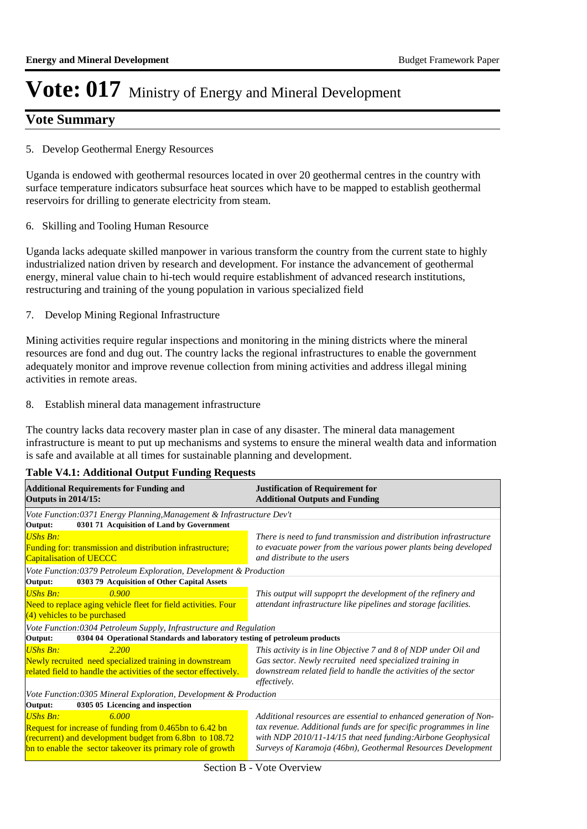### **Vote Summary**

#### 5. Develop Geothermal Energy Resources

Uganda is endowed with geothermal resources located in over 20 geothermal centres in the country with surface temperature indicators subsurface heat sources which have to be mapped to establish geothermal reservoirs for drilling to generate electricity from steam.

6. Skilling and Tooling Human Resource

Uganda lacks adequate skilled manpower in various transform the country from the current state to highly industrialized nation driven by research and development. For instance the advancement of geothermal energy, mineral value chain to hi-tech would require establishment of advanced research institutions, restructuring and training of the young population in various specialized field

7. Develop Mining Regional Infrastructure

Mining activities require regular inspections and monitoring in the mining districts where the mineral resources are fond and dug out. The country lacks the regional infrastructures to enable the government adequately monitor and improve revenue collection from mining activities and address illegal mining activities in remote areas.

8. Establish mineral data management infrastructure

The country lacks data recovery master plan in case of any disaster. The mineral data management infrastructure is meant to put up mechanisms and systems to ensure the mineral wealth data and information is safe and available at all times for sustainable planning and development.

#### **Table V4.1: Additional Output Funding Requests**

| <b>Additional Requirements for Funding and</b><br><b>Outputs in 2014/15:</b>          | <b>Justification of Requirement for</b><br><b>Additional Outputs and Funding</b> |  |  |
|---------------------------------------------------------------------------------------|----------------------------------------------------------------------------------|--|--|
| Vote Function:0371 Energy Planning, Management & Infrastructure Dev't                 |                                                                                  |  |  |
| 0301 71 Acquisition of Land by Government<br>Output:                                  |                                                                                  |  |  |
| <b>UShs Bn:</b>                                                                       | There is need to fund transmission and distribution infrastructure               |  |  |
| <b>Funding for: transmission and distribution infrastructure;</b>                     | to evacuate power from the various power plants being developed                  |  |  |
| <b>Capitalisation of UECCC</b>                                                        | and distribute to the users                                                      |  |  |
| Vote Function:0379 Petroleum Exploration, Development & Production                    |                                                                                  |  |  |
| 0303 79 Acquisition of Other Capital Assets<br>Output:                                |                                                                                  |  |  |
| <b>UShs Bn:</b><br>0.900                                                              | This output will suppoprt the development of the refinery and                    |  |  |
| Need to replace aging vehicle fleet for field activities. Four                        | attendant infrastructure like pipelines and storage facilities.                  |  |  |
| $(4)$ vehicles to be purchased                                                        |                                                                                  |  |  |
| Vote Function:0304 Petroleum Supply, Infrastructure and Regulation                    |                                                                                  |  |  |
| Output:<br>0304 04 Operational Standards and laboratory testing of petroleum products |                                                                                  |  |  |
| <b>UShs Bn:</b><br>2.200                                                              | This activity is in line Objective 7 and 8 of NDP under Oil and                  |  |  |
| Newly recruited need specialized training in downstream                               | Gas sector. Newly recruited need specialized training in                         |  |  |
| related field to handle the activities of the sector effectively.                     | downstream related field to handle the activities of the sector                  |  |  |
|                                                                                       | effectively.                                                                     |  |  |
| Vote Function:0305 Mineral Exploration, Development & Production                      |                                                                                  |  |  |
| 0305 05 Licencing and inspection<br>Output:                                           |                                                                                  |  |  |
| <b>UShs Bn:</b><br>6.000                                                              | Additional resources are essential to enhanced generation of Non-                |  |  |
| Request for increase of funding from 0.465bn to 6.42 bn                               | tax revenue. Additional funds are for specific programmes in line                |  |  |
| (recurrent) and development budget from 6.8bn to 108.72                               | with NDP 2010/11-14/15 that need funding:Airbone Geophysical                     |  |  |
| bn to enable the sector takeover its primary role of growth                           | Surveys of Karamoja (46bn), Geothermal Resources Development                     |  |  |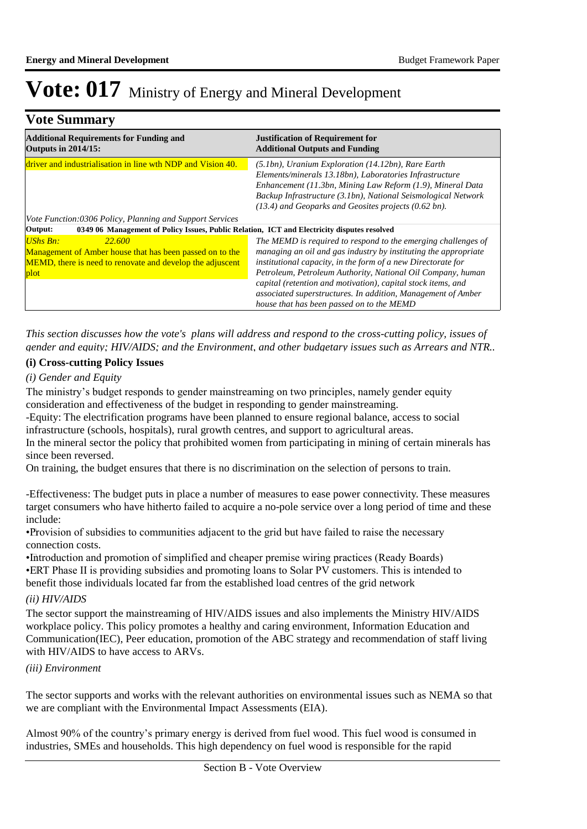### **Vote Summary**

| <b>Additional Requirements for Funding and</b><br><b>Outputs in 2014/15:</b>                                                                                              | <b>Justification of Requirement for</b><br><b>Additional Outputs and Funding</b>                                                                                                                                                                                                                                                                                                                                                             |
|---------------------------------------------------------------------------------------------------------------------------------------------------------------------------|----------------------------------------------------------------------------------------------------------------------------------------------------------------------------------------------------------------------------------------------------------------------------------------------------------------------------------------------------------------------------------------------------------------------------------------------|
| driver and industrialisation in line wth NDP and Vision 40.                                                                                                               | (5.1bn), Uranium Exploration (14.12bn), Rare Earth<br>Elements/minerals 13.18bn), Laboratories Infrastructure<br>Enhancement (11.3bn, Mining Law Reform (1.9), Mineral Data<br>Backup Infrastructure (3.1bn), National Seismological Network<br>(13.4) and Geoparks and Geosites projects (0.62 bn).                                                                                                                                         |
| Vote Function:0306 Policy, Planning and Support Services                                                                                                                  |                                                                                                                                                                                                                                                                                                                                                                                                                                              |
| 0349 06 Management of Policy Issues, Public Relation, ICT and Electricity disputes resolved<br>Output:                                                                    |                                                                                                                                                                                                                                                                                                                                                                                                                                              |
| <b>UShs Bn:</b><br>22.600<br>Management of Amber house that has been passed on to the<br><b>MEMD</b> , there is need to renovate and develop the adjuscent<br><b>plot</b> | The MEMD is required to respond to the emerging challenges of<br>managing an oil and gas industry by instituting the appropriate<br>institutional capacity, in the form of a new Directorate for<br>Petroleum, Petroleum Authority, National Oil Company, human<br>capital (retention and motivation), capital stock items, and<br>associated superstructures. In addition, Management of Amber<br>house that has been passed on to the MEMD |

*This section discusses how the vote's plans will address and respond to the cross-cutting policy, issues of gender and equity; HIV/AIDS; and the Environment, and other budgetary issues such as Arrears and NTR..* 

#### **(i) Cross-cutting Policy Issues**

*(i) Gender and Equity*

The ministry's budget responds to gender mainstreaming on two principles, namely gender equity consideration and effectiveness of the budget in responding to gender mainstreaming.

-Equity: The electrification programs have been planned to ensure regional balance, access to social infrastructure (schools, hospitals), rural growth centres, and support to agricultural areas.

In the mineral sector the policy that prohibited women from participating in mining of certain minerals has since been reversed.

On training, the budget ensures that there is no discrimination on the selection of persons to train.

-Effectiveness: The budget puts in place a number of measures to ease power connectivity. These measures target consumers who have hitherto failed to acquire a no-pole service over a long period of time and these include:

• Provision of subsidies to communities adjacent to the grid but have failed to raise the necessary connection costs.

• Introduction and promotion of simplified and cheaper premise wiring practices (Ready Boards) • ERT Phase II is providing subsidies and promoting loans to Solar PV customers. This is intended to benefit those individuals located far from the established load centres of the grid network

#### *(ii) HIV/AIDS*

The sector support the mainstreaming of HIV/AIDS issues and also implements the Ministry HIV/AIDS workplace policy. This policy promotes a healthy and caring environment, Information Education and Communication(IEC), Peer education, promotion of the ABC strategy and recommendation of staff living with HIV/AIDS to have access to ARVs.

#### *(iii) Environment*

The sector supports and works with the relevant authorities on environmental issues such as NEMA so that we are compliant with the Environmental Impact Assessments (EIA).

Almost 90% of the country's primary energy is derived from fuel wood. This fuel wood is consumed in industries, SMEs and households. This high dependency on fuel wood is responsible for the rapid